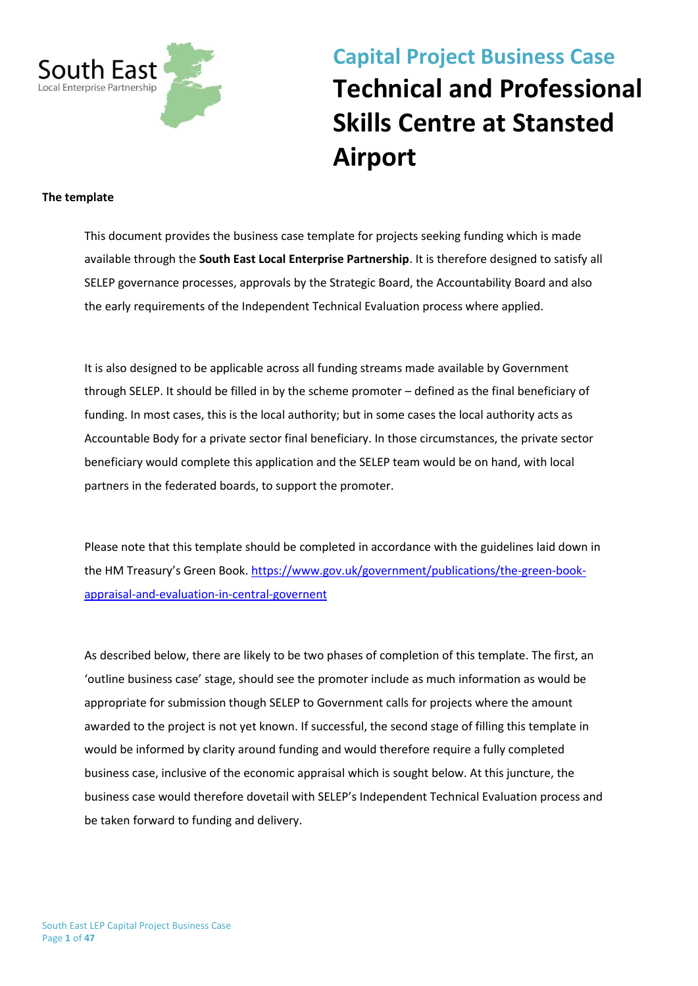

# **Capital Project Business Case Technical and Professional Skills Centre at Stansted Airport**

#### **The template**

This document provides the business case template for projects seeking funding which is made available through the **South East Local Enterprise Partnership**. It is therefore designed to satisfy all SELEP governance processes, approvals by the Strategic Board, the Accountability Board and also the early requirements of the Independent Technical Evaluation process where applied.

It is also designed to be applicable across all funding streams made available by Government through SELEP. It should be filled in by the scheme promoter – defined as the final beneficiary of funding. In most cases, this is the local authority; but in some cases the local authority acts as Accountable Body for a private sector final beneficiary. In those circumstances, the private sector beneficiary would complete this application and the SELEP team would be on hand, with local partners in the federated boards, to support the promoter.

Please note that this template should be completed in accordance with the guidelines laid down in the HM Treasury's Green Book. [https://www.gov.uk/government/publications/the-green-book](https://www.gov.uk/government/publications/the-green-book-appraisal-and-evaluation-in-central-governent)[appraisal-and-evaluation-in-central-governent](https://www.gov.uk/government/publications/the-green-book-appraisal-and-evaluation-in-central-governent)

As described below, there are likely to be two phases of completion of this template. The first, an 'outline business case' stage, should see the promoter include as much information as would be appropriate for submission though SELEP to Government calls for projects where the amount awarded to the project is not yet known. If successful, the second stage of filling this template in would be informed by clarity around funding and would therefore require a fully completed business case, inclusive of the economic appraisal which is sought below. At this juncture, the business case would therefore dovetail with SELEP's Independent Technical Evaluation process and be taken forward to funding and delivery.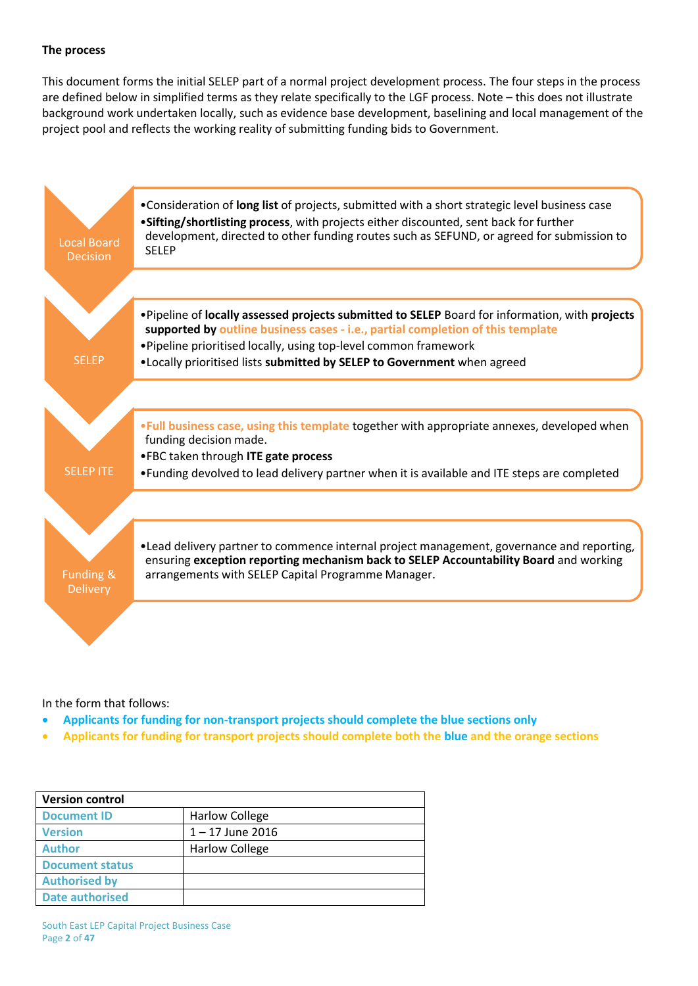#### **The process**

This document forms the initial SELEP part of a normal project development process. The four steps in the process are defined below in simplified terms as they relate specifically to the LGF process. Note – this does not illustrate background work undertaken locally, such as evidence base development, baselining and local management of the project pool and reflects the working reality of submitting funding bids to Government.



In the form that follows:

- **Applicants for funding for non-transport projects should complete the blue sections only**
- **Applicants for funding for transport projects should complete both the blue and the orange sections**

| <b>Version control</b> |                       |  |  |  |
|------------------------|-----------------------|--|--|--|
| <b>Document ID</b>     | <b>Harlow College</b> |  |  |  |
| <b>Version</b>         | $1 - 17$ June 2016    |  |  |  |
| <b>Author</b>          | <b>Harlow College</b> |  |  |  |
| <b>Document status</b> |                       |  |  |  |
| <b>Authorised by</b>   |                       |  |  |  |
| <b>Date authorised</b> |                       |  |  |  |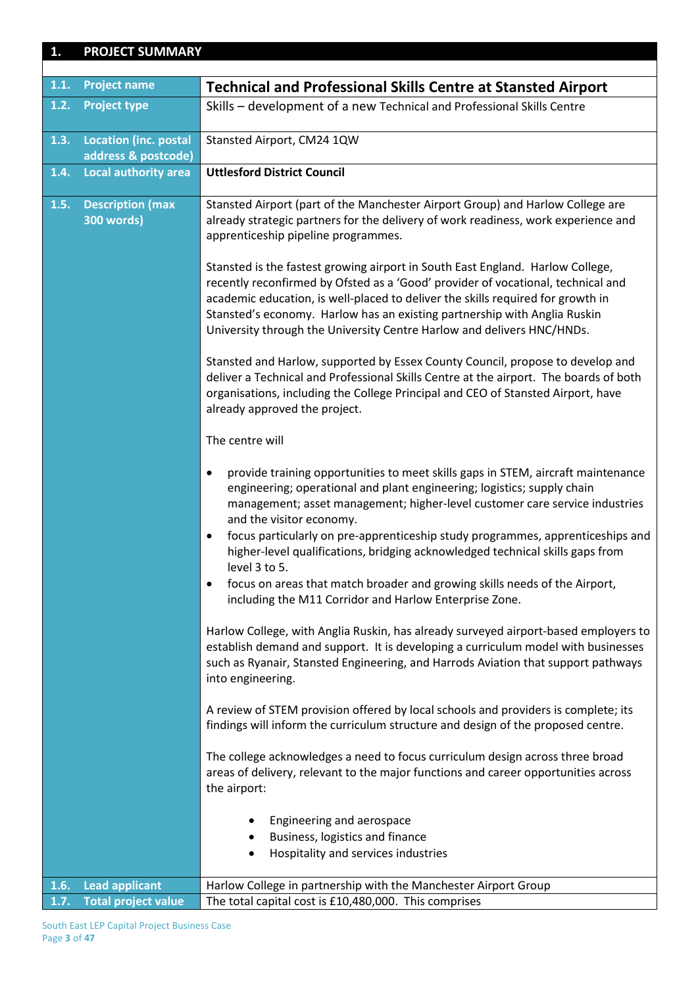| 1.   | <b>PROJECT SUMMARY</b>                              |                                                                                                                                                                                                                                                                                                                                                                                                                                                                                                                                                                                                                                                                                                                                                                                                                                                                                                                                                                                                                                                                                                                                                                                                                                                                                                                                                                                                                                                                                                                                                                                                                                                                                                                                                                                                                                                                                                                                                                                                                                                                                                                                                                                                                                       |
|------|-----------------------------------------------------|---------------------------------------------------------------------------------------------------------------------------------------------------------------------------------------------------------------------------------------------------------------------------------------------------------------------------------------------------------------------------------------------------------------------------------------------------------------------------------------------------------------------------------------------------------------------------------------------------------------------------------------------------------------------------------------------------------------------------------------------------------------------------------------------------------------------------------------------------------------------------------------------------------------------------------------------------------------------------------------------------------------------------------------------------------------------------------------------------------------------------------------------------------------------------------------------------------------------------------------------------------------------------------------------------------------------------------------------------------------------------------------------------------------------------------------------------------------------------------------------------------------------------------------------------------------------------------------------------------------------------------------------------------------------------------------------------------------------------------------------------------------------------------------------------------------------------------------------------------------------------------------------------------------------------------------------------------------------------------------------------------------------------------------------------------------------------------------------------------------------------------------------------------------------------------------------------------------------------------------|
|      |                                                     |                                                                                                                                                                                                                                                                                                                                                                                                                                                                                                                                                                                                                                                                                                                                                                                                                                                                                                                                                                                                                                                                                                                                                                                                                                                                                                                                                                                                                                                                                                                                                                                                                                                                                                                                                                                                                                                                                                                                                                                                                                                                                                                                                                                                                                       |
| 1.1. | <b>Project name</b>                                 | <b>Technical and Professional Skills Centre at Stansted Airport</b>                                                                                                                                                                                                                                                                                                                                                                                                                                                                                                                                                                                                                                                                                                                                                                                                                                                                                                                                                                                                                                                                                                                                                                                                                                                                                                                                                                                                                                                                                                                                                                                                                                                                                                                                                                                                                                                                                                                                                                                                                                                                                                                                                                   |
| 1.2. | <b>Project type</b>                                 | Skills - development of a new Technical and Professional Skills Centre                                                                                                                                                                                                                                                                                                                                                                                                                                                                                                                                                                                                                                                                                                                                                                                                                                                                                                                                                                                                                                                                                                                                                                                                                                                                                                                                                                                                                                                                                                                                                                                                                                                                                                                                                                                                                                                                                                                                                                                                                                                                                                                                                                |
| 1.3. | <b>Location (inc. postal</b><br>address & postcode) | Stansted Airport, CM24 1QW                                                                                                                                                                                                                                                                                                                                                                                                                                                                                                                                                                                                                                                                                                                                                                                                                                                                                                                                                                                                                                                                                                                                                                                                                                                                                                                                                                                                                                                                                                                                                                                                                                                                                                                                                                                                                                                                                                                                                                                                                                                                                                                                                                                                            |
| 1.4. | <b>Local authority area</b>                         | <b>Uttlesford District Council</b>                                                                                                                                                                                                                                                                                                                                                                                                                                                                                                                                                                                                                                                                                                                                                                                                                                                                                                                                                                                                                                                                                                                                                                                                                                                                                                                                                                                                                                                                                                                                                                                                                                                                                                                                                                                                                                                                                                                                                                                                                                                                                                                                                                                                    |
| 1.5. | <b>Description (max</b><br><b>300 words)</b>        | Stansted Airport (part of the Manchester Airport Group) and Harlow College are<br>already strategic partners for the delivery of work readiness, work experience and<br>apprenticeship pipeline programmes.<br>Stansted is the fastest growing airport in South East England. Harlow College,<br>recently reconfirmed by Ofsted as a 'Good' provider of vocational, technical and<br>academic education, is well-placed to deliver the skills required for growth in<br>Stansted's economy. Harlow has an existing partnership with Anglia Ruskin<br>University through the University Centre Harlow and delivers HNC/HNDs.<br>Stansted and Harlow, supported by Essex County Council, propose to develop and<br>deliver a Technical and Professional Skills Centre at the airport. The boards of both<br>organisations, including the College Principal and CEO of Stansted Airport, have<br>already approved the project.<br>The centre will<br>provide training opportunities to meet skills gaps in STEM, aircraft maintenance<br>$\bullet$<br>engineering; operational and plant engineering; logistics; supply chain<br>management; asset management; higher-level customer care service industries<br>and the visitor economy.<br>focus particularly on pre-apprenticeship study programmes, apprenticeships and<br>$\bullet$<br>higher-level qualifications, bridging acknowledged technical skills gaps from<br>level 3 to 5.<br>focus on areas that match broader and growing skills needs of the Airport,<br>including the M11 Corridor and Harlow Enterprise Zone.<br>Harlow College, with Anglia Ruskin, has already surveyed airport-based employers to<br>establish demand and support. It is developing a curriculum model with businesses<br>such as Ryanair, Stansted Engineering, and Harrods Aviation that support pathways<br>into engineering.<br>A review of STEM provision offered by local schools and providers is complete; its<br>findings will inform the curriculum structure and design of the proposed centre.<br>The college acknowledges a need to focus curriculum design across three broad<br>areas of delivery, relevant to the major functions and career opportunities across<br>the airport: |
|      |                                                     | Engineering and aerospace<br>Business, logistics and finance<br>٠<br>Hospitality and services industries<br>٠                                                                                                                                                                                                                                                                                                                                                                                                                                                                                                                                                                                                                                                                                                                                                                                                                                                                                                                                                                                                                                                                                                                                                                                                                                                                                                                                                                                                                                                                                                                                                                                                                                                                                                                                                                                                                                                                                                                                                                                                                                                                                                                         |
| 1.6. | <b>Lead applicant</b>                               | Harlow College in partnership with the Manchester Airport Group                                                                                                                                                                                                                                                                                                                                                                                                                                                                                                                                                                                                                                                                                                                                                                                                                                                                                                                                                                                                                                                                                                                                                                                                                                                                                                                                                                                                                                                                                                                                                                                                                                                                                                                                                                                                                                                                                                                                                                                                                                                                                                                                                                       |
| 1.7. | <b>Total project value</b>                          | The total capital cost is £10,480,000. This comprises                                                                                                                                                                                                                                                                                                                                                                                                                                                                                                                                                                                                                                                                                                                                                                                                                                                                                                                                                                                                                                                                                                                                                                                                                                                                                                                                                                                                                                                                                                                                                                                                                                                                                                                                                                                                                                                                                                                                                                                                                                                                                                                                                                                 |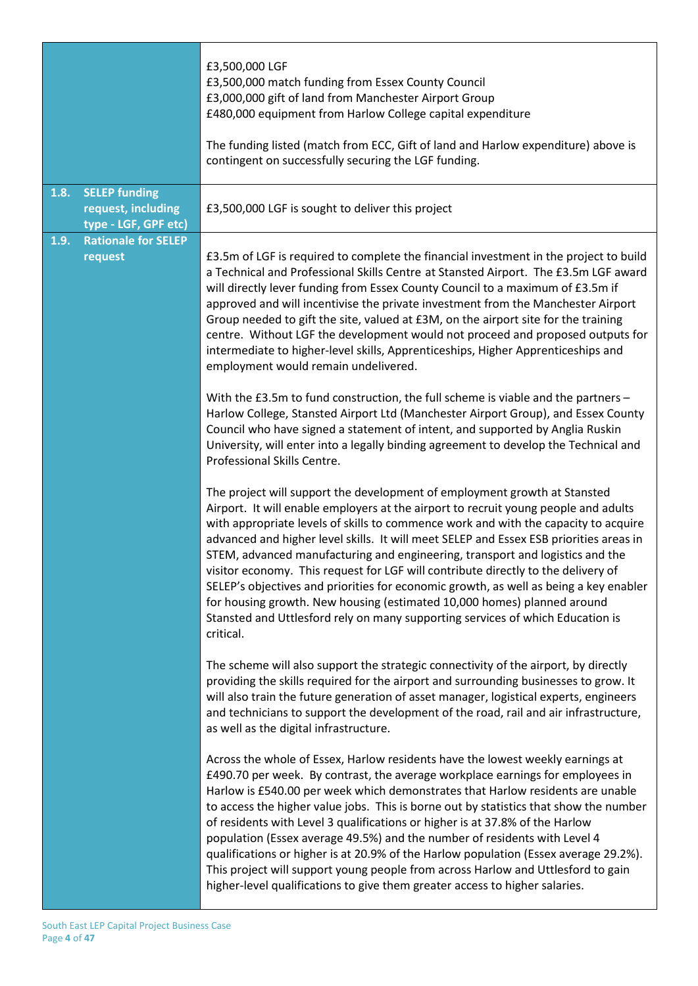|      |                                                                    | £3,500,000 LGF<br>£3,500,000 match funding from Essex County Council<br>£3,000,000 gift of land from Manchester Airport Group<br>£480,000 equipment from Harlow College capital expenditure<br>The funding listed (match from ECC, Gift of land and Harlow expenditure) above is<br>contingent on successfully securing the LGF funding.                                                                                                                                                                                                                                                                                                                                                                                                                                                   |
|------|--------------------------------------------------------------------|--------------------------------------------------------------------------------------------------------------------------------------------------------------------------------------------------------------------------------------------------------------------------------------------------------------------------------------------------------------------------------------------------------------------------------------------------------------------------------------------------------------------------------------------------------------------------------------------------------------------------------------------------------------------------------------------------------------------------------------------------------------------------------------------|
| 1.8. | <b>SELEP funding</b><br>request, including<br>type - LGF, GPF etc) | £3,500,000 LGF is sought to deliver this project                                                                                                                                                                                                                                                                                                                                                                                                                                                                                                                                                                                                                                                                                                                                           |
| 1.9. | <b>Rationale for SELEP</b><br>request                              | £3.5m of LGF is required to complete the financial investment in the project to build<br>a Technical and Professional Skills Centre at Stansted Airport. The £3.5m LGF award<br>will directly lever funding from Essex County Council to a maximum of £3.5m if<br>approved and will incentivise the private investment from the Manchester Airport<br>Group needed to gift the site, valued at £3M, on the airport site for the training<br>centre. Without LGF the development would not proceed and proposed outputs for<br>intermediate to higher-level skills, Apprenticeships, Higher Apprenticeships and<br>employment would remain undelivered.                                                                                                                                     |
|      |                                                                    | With the £3.5m to fund construction, the full scheme is viable and the partners -<br>Harlow College, Stansted Airport Ltd (Manchester Airport Group), and Essex County<br>Council who have signed a statement of intent, and supported by Anglia Ruskin<br>University, will enter into a legally binding agreement to develop the Technical and<br>Professional Skills Centre.                                                                                                                                                                                                                                                                                                                                                                                                             |
|      |                                                                    | The project will support the development of employment growth at Stansted<br>Airport. It will enable employers at the airport to recruit young people and adults<br>with appropriate levels of skills to commence work and with the capacity to acquire<br>advanced and higher level skills. It will meet SELEP and Essex ESB priorities areas in<br>STEM, advanced manufacturing and engineering, transport and logistics and the<br>visitor economy. This request for LGF will contribute directly to the delivery of<br>SELEP's objectives and priorities for economic growth, as well as being a key enabler<br>for housing growth. New housing (estimated 10,000 homes) planned around<br>Stansted and Uttlesford rely on many supporting services of which Education is<br>critical. |
|      |                                                                    | The scheme will also support the strategic connectivity of the airport, by directly<br>providing the skills required for the airport and surrounding businesses to grow. It<br>will also train the future generation of asset manager, logistical experts, engineers<br>and technicians to support the development of the road, rail and air infrastructure,<br>as well as the digital infrastructure.                                                                                                                                                                                                                                                                                                                                                                                     |
|      |                                                                    | Across the whole of Essex, Harlow residents have the lowest weekly earnings at<br>£490.70 per week. By contrast, the average workplace earnings for employees in<br>Harlow is £540.00 per week which demonstrates that Harlow residents are unable<br>to access the higher value jobs. This is borne out by statistics that show the number<br>of residents with Level 3 qualifications or higher is at 37.8% of the Harlow<br>population (Essex average 49.5%) and the number of residents with Level 4<br>qualifications or higher is at 20.9% of the Harlow population (Essex average 29.2%).<br>This project will support young people from across Harlow and Uttlesford to gain<br>higher-level qualifications to give them greater access to higher salaries.                        |

Ι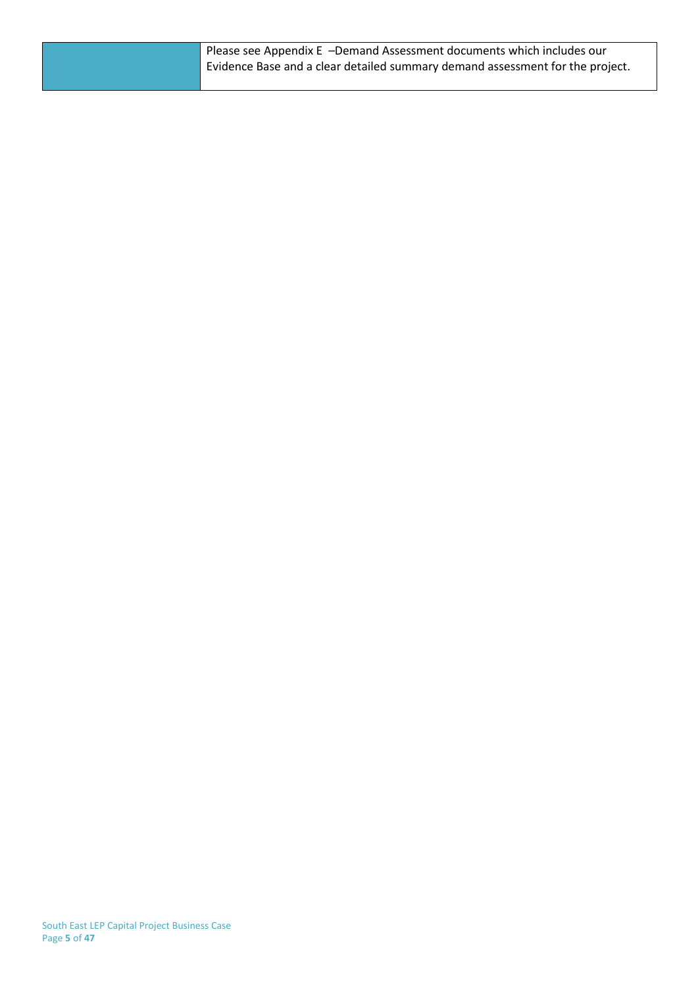Please see Appendix E –Demand Assessment documents which includes our Evidence Base and a clear detailed summary demand assessment for the project.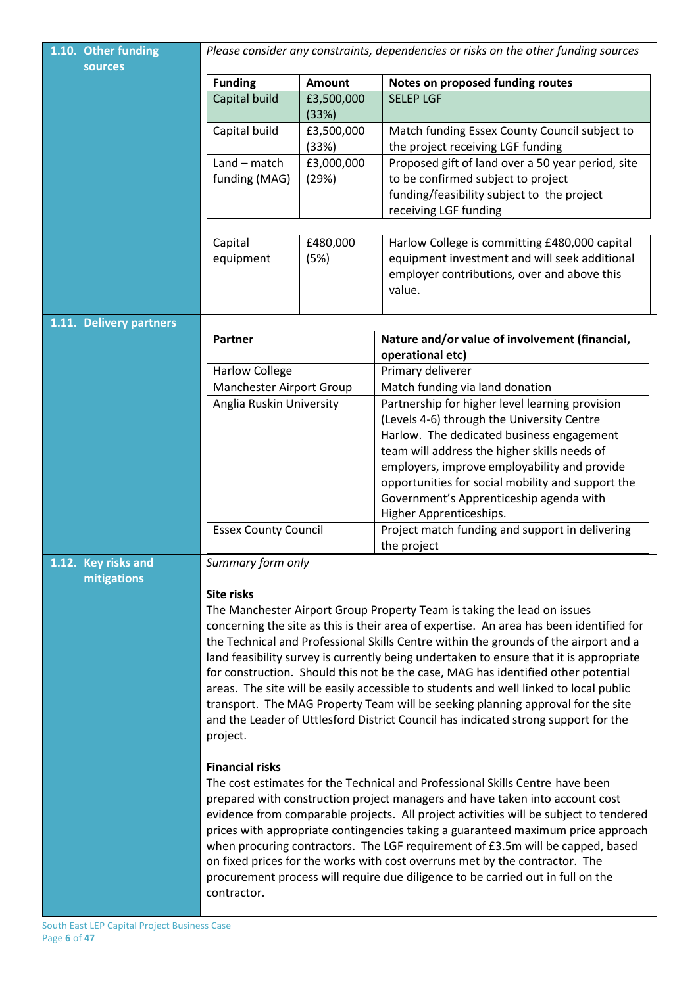| 1.10. Other funding                | Please consider any constraints, dependencies or risks on the other funding sources                                                                                      |            |                                                                                              |  |  |  |
|------------------------------------|--------------------------------------------------------------------------------------------------------------------------------------------------------------------------|------------|----------------------------------------------------------------------------------------------|--|--|--|
| sources                            | <b>Funding</b><br><b>Amount</b>                                                                                                                                          |            | Notes on proposed funding routes                                                             |  |  |  |
|                                    | Capital build<br>£3,500,000                                                                                                                                              |            | <b>SELEP LGF</b>                                                                             |  |  |  |
|                                    |                                                                                                                                                                          | (33%)      |                                                                                              |  |  |  |
|                                    | Capital build                                                                                                                                                            | £3,500,000 | Match funding Essex County Council subject to                                                |  |  |  |
|                                    |                                                                                                                                                                          | (33%)      | the project receiving LGF funding                                                            |  |  |  |
|                                    | $Land - match$                                                                                                                                                           | £3,000,000 | Proposed gift of land over a 50 year period, site                                            |  |  |  |
|                                    | funding (MAG)                                                                                                                                                            | (29%)      | to be confirmed subject to project<br>funding/feasibility subject to the project             |  |  |  |
|                                    |                                                                                                                                                                          |            | receiving LGF funding                                                                        |  |  |  |
|                                    |                                                                                                                                                                          |            |                                                                                              |  |  |  |
|                                    | Capital                                                                                                                                                                  | £480,000   | Harlow College is committing £480,000 capital                                                |  |  |  |
|                                    | equipment                                                                                                                                                                | (5%)       | equipment investment and will seek additional                                                |  |  |  |
|                                    |                                                                                                                                                                          |            | employer contributions, over and above this                                                  |  |  |  |
|                                    |                                                                                                                                                                          |            | value.                                                                                       |  |  |  |
| 1.11. Delivery partners            |                                                                                                                                                                          |            |                                                                                              |  |  |  |
|                                    | <b>Partner</b>                                                                                                                                                           |            | Nature and/or value of involvement (financial,                                               |  |  |  |
|                                    |                                                                                                                                                                          |            | operational etc)                                                                             |  |  |  |
|                                    | <b>Harlow College</b><br>Manchester Airport Group                                                                                                                        |            | Primary deliverer<br>Match funding via land donation                                         |  |  |  |
|                                    | Anglia Ruskin University                                                                                                                                                 |            | Partnership for higher level learning provision                                              |  |  |  |
|                                    |                                                                                                                                                                          |            | (Levels 4-6) through the University Centre                                                   |  |  |  |
|                                    |                                                                                                                                                                          |            | Harlow. The dedicated business engagement                                                    |  |  |  |
|                                    |                                                                                                                                                                          |            | team will address the higher skills needs of                                                 |  |  |  |
|                                    |                                                                                                                                                                          |            | employers, improve employability and provide                                                 |  |  |  |
|                                    |                                                                                                                                                                          |            | opportunities for social mobility and support the<br>Government's Apprenticeship agenda with |  |  |  |
|                                    |                                                                                                                                                                          |            | Higher Apprenticeships.                                                                      |  |  |  |
|                                    | <b>Essex County Council</b>                                                                                                                                              |            | Project match funding and support in delivering                                              |  |  |  |
|                                    |                                                                                                                                                                          |            | the project                                                                                  |  |  |  |
| 1.12. Key risks and<br>mitigations | Summary form only                                                                                                                                                        |            |                                                                                              |  |  |  |
|                                    | <b>Site risks</b>                                                                                                                                                        |            |                                                                                              |  |  |  |
|                                    | The Manchester Airport Group Property Team is taking the lead on issues                                                                                                  |            |                                                                                              |  |  |  |
|                                    |                                                                                                                                                                          |            | concerning the site as this is their area of expertise. An area has been identified for      |  |  |  |
|                                    |                                                                                                                                                                          |            | the Technical and Professional Skills Centre within the grounds of the airport and a         |  |  |  |
|                                    | land feasibility survey is currently being undertaken to ensure that it is appropriate                                                                                   |            |                                                                                              |  |  |  |
|                                    | for construction. Should this not be the case, MAG has identified other potential                                                                                        |            |                                                                                              |  |  |  |
|                                    | areas. The site will be easily accessible to students and well linked to local public<br>transport. The MAG Property Team will be seeking planning approval for the site |            |                                                                                              |  |  |  |
|                                    | and the Leader of Uttlesford District Council has indicated strong support for the                                                                                       |            |                                                                                              |  |  |  |
|                                    | project.                                                                                                                                                                 |            |                                                                                              |  |  |  |
|                                    |                                                                                                                                                                          |            |                                                                                              |  |  |  |
|                                    | <b>Financial risks</b><br>The cost estimates for the Technical and Professional Skills Centre have been                                                                  |            |                                                                                              |  |  |  |
|                                    |                                                                                                                                                                          |            | prepared with construction project managers and have taken into account cost                 |  |  |  |
|                                    | evidence from comparable projects. All project activities will be subject to tendered                                                                                    |            |                                                                                              |  |  |  |
|                                    |                                                                                                                                                                          |            | prices with appropriate contingencies taking a guaranteed maximum price approach             |  |  |  |
|                                    |                                                                                                                                                                          |            | when procuring contractors. The LGF requirement of £3.5m will be capped, based               |  |  |  |
|                                    | on fixed prices for the works with cost overruns met by the contractor. The                                                                                              |            |                                                                                              |  |  |  |
|                                    | procurement process will require due diligence to be carried out in full on the<br>contractor.                                                                           |            |                                                                                              |  |  |  |
|                                    |                                                                                                                                                                          |            |                                                                                              |  |  |  |

ı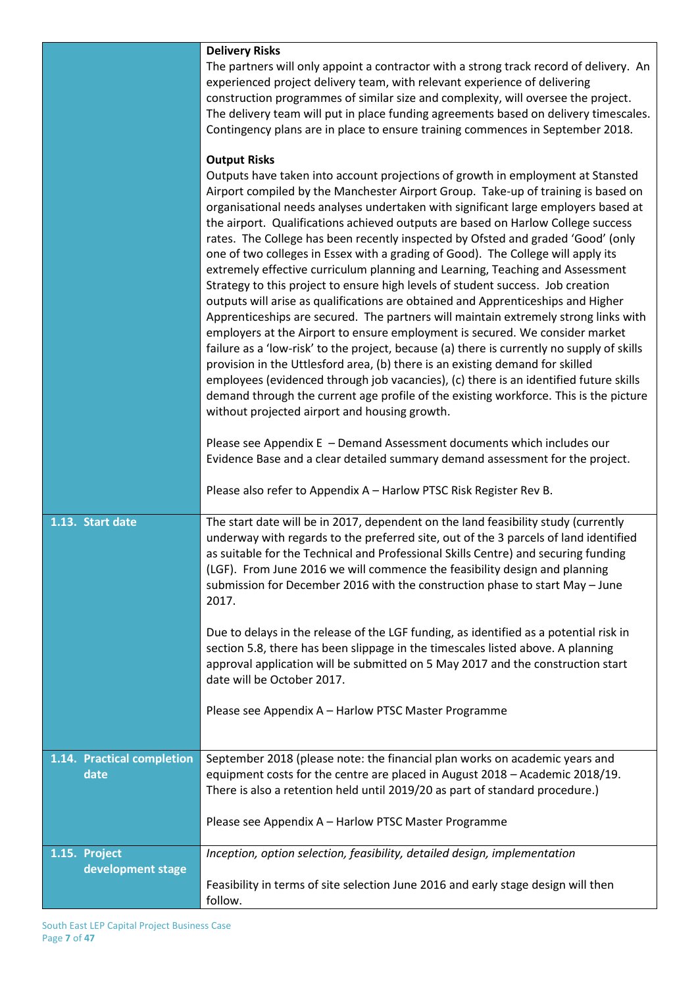|                                    | <b>Delivery Risks</b><br>The partners will only appoint a contractor with a strong track record of delivery. An<br>experienced project delivery team, with relevant experience of delivering<br>construction programmes of similar size and complexity, will oversee the project.<br>The delivery team will put in place funding agreements based on delivery timescales.<br>Contingency plans are in place to ensure training commences in September 2018.<br><b>Output Risks</b><br>Outputs have taken into account projections of growth in employment at Stansted<br>Airport compiled by the Manchester Airport Group. Take-up of training is based on<br>organisational needs analyses undertaken with significant large employers based at<br>the airport. Qualifications achieved outputs are based on Harlow College success<br>rates. The College has been recently inspected by Ofsted and graded 'Good' (only<br>one of two colleges in Essex with a grading of Good). The College will apply its<br>extremely effective curriculum planning and Learning, Teaching and Assessment<br>Strategy to this project to ensure high levels of student success. Job creation<br>outputs will arise as qualifications are obtained and Apprenticeships and Higher<br>Apprenticeships are secured. The partners will maintain extremely strong links with<br>employers at the Airport to ensure employment is secured. We consider market<br>failure as a 'low-risk' to the project, because (a) there is currently no supply of skills<br>provision in the Uttlesford area, (b) there is an existing demand for skilled<br>employees (evidenced through job vacancies), (c) there is an identified future skills<br>demand through the current age profile of the existing workforce. This is the picture<br>without projected airport and housing growth.<br>Please see Appendix E - Demand Assessment documents which includes our<br>Evidence Base and a clear detailed summary demand assessment for the project. |
|------------------------------------|--------------------------------------------------------------------------------------------------------------------------------------------------------------------------------------------------------------------------------------------------------------------------------------------------------------------------------------------------------------------------------------------------------------------------------------------------------------------------------------------------------------------------------------------------------------------------------------------------------------------------------------------------------------------------------------------------------------------------------------------------------------------------------------------------------------------------------------------------------------------------------------------------------------------------------------------------------------------------------------------------------------------------------------------------------------------------------------------------------------------------------------------------------------------------------------------------------------------------------------------------------------------------------------------------------------------------------------------------------------------------------------------------------------------------------------------------------------------------------------------------------------------------------------------------------------------------------------------------------------------------------------------------------------------------------------------------------------------------------------------------------------------------------------------------------------------------------------------------------------------------------------------------------------------------------------------------------------------------------------------------------------------------|
|                                    | Please also refer to Appendix A - Harlow PTSC Risk Register Rev B.                                                                                                                                                                                                                                                                                                                                                                                                                                                                                                                                                                                                                                                                                                                                                                                                                                                                                                                                                                                                                                                                                                                                                                                                                                                                                                                                                                                                                                                                                                                                                                                                                                                                                                                                                                                                                                                                                                                                                       |
| 1.13. Start date                   | The start date will be in 2017, dependent on the land feasibility study (currently<br>underway with regards to the preferred site, out of the 3 parcels of land identified<br>as suitable for the Technical and Professional Skills Centre) and securing funding<br>(LGF). From June 2016 we will commence the feasibility design and planning<br>submission for December 2016 with the construction phase to start May - June<br>2017.<br>Due to delays in the release of the LGF funding, as identified as a potential risk in<br>section 5.8, there has been slippage in the timescales listed above. A planning<br>approval application will be submitted on 5 May 2017 and the construction start                                                                                                                                                                                                                                                                                                                                                                                                                                                                                                                                                                                                                                                                                                                                                                                                                                                                                                                                                                                                                                                                                                                                                                                                                                                                                                                   |
|                                    | date will be October 2017.<br>Please see Appendix A - Harlow PTSC Master Programme                                                                                                                                                                                                                                                                                                                                                                                                                                                                                                                                                                                                                                                                                                                                                                                                                                                                                                                                                                                                                                                                                                                                                                                                                                                                                                                                                                                                                                                                                                                                                                                                                                                                                                                                                                                                                                                                                                                                       |
|                                    |                                                                                                                                                                                                                                                                                                                                                                                                                                                                                                                                                                                                                                                                                                                                                                                                                                                                                                                                                                                                                                                                                                                                                                                                                                                                                                                                                                                                                                                                                                                                                                                                                                                                                                                                                                                                                                                                                                                                                                                                                          |
| 1.14. Practical completion<br>date | September 2018 (please note: the financial plan works on academic years and<br>equipment costs for the centre are placed in August 2018 - Academic 2018/19.<br>There is also a retention held until 2019/20 as part of standard procedure.)                                                                                                                                                                                                                                                                                                                                                                                                                                                                                                                                                                                                                                                                                                                                                                                                                                                                                                                                                                                                                                                                                                                                                                                                                                                                                                                                                                                                                                                                                                                                                                                                                                                                                                                                                                              |
|                                    | Please see Appendix A - Harlow PTSC Master Programme                                                                                                                                                                                                                                                                                                                                                                                                                                                                                                                                                                                                                                                                                                                                                                                                                                                                                                                                                                                                                                                                                                                                                                                                                                                                                                                                                                                                                                                                                                                                                                                                                                                                                                                                                                                                                                                                                                                                                                     |
| 1.15. Project<br>development stage | Inception, option selection, feasibility, detailed design, implementation                                                                                                                                                                                                                                                                                                                                                                                                                                                                                                                                                                                                                                                                                                                                                                                                                                                                                                                                                                                                                                                                                                                                                                                                                                                                                                                                                                                                                                                                                                                                                                                                                                                                                                                                                                                                                                                                                                                                                |
|                                    | Feasibility in terms of site selection June 2016 and early stage design will then<br>follow.                                                                                                                                                                                                                                                                                                                                                                                                                                                                                                                                                                                                                                                                                                                                                                                                                                                                                                                                                                                                                                                                                                                                                                                                                                                                                                                                                                                                                                                                                                                                                                                                                                                                                                                                                                                                                                                                                                                             |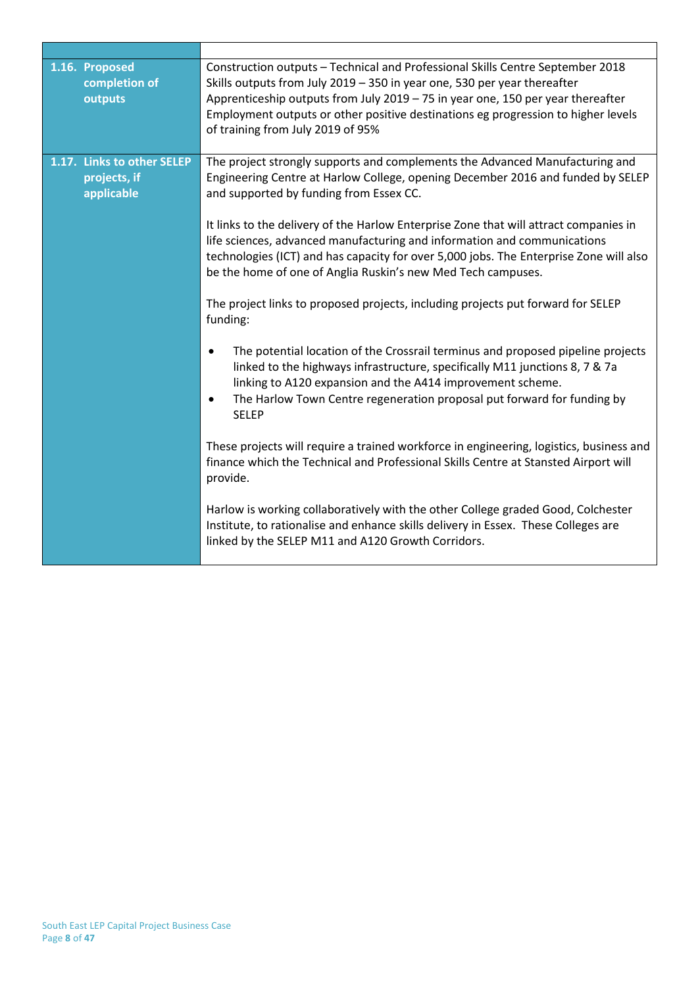| 1.16. Proposed<br>completion of<br>outputs               | Construction outputs - Technical and Professional Skills Centre September 2018<br>Skills outputs from July 2019 - 350 in year one, 530 per year thereafter<br>Apprenticeship outputs from July 2019 - 75 in year one, 150 per year thereafter<br>Employment outputs or other positive destinations eg progression to higher levels<br>of training from July 2019 of 95%                                                                                                                                                                                                                                                                                                                                                                                                                                                                                                                                                                                                                                                                                                                                                                                                                      |
|----------------------------------------------------------|----------------------------------------------------------------------------------------------------------------------------------------------------------------------------------------------------------------------------------------------------------------------------------------------------------------------------------------------------------------------------------------------------------------------------------------------------------------------------------------------------------------------------------------------------------------------------------------------------------------------------------------------------------------------------------------------------------------------------------------------------------------------------------------------------------------------------------------------------------------------------------------------------------------------------------------------------------------------------------------------------------------------------------------------------------------------------------------------------------------------------------------------------------------------------------------------|
| 1.17. Links to other SELEP<br>projects, if<br>applicable | The project strongly supports and complements the Advanced Manufacturing and<br>Engineering Centre at Harlow College, opening December 2016 and funded by SELEP<br>and supported by funding from Essex CC.<br>It links to the delivery of the Harlow Enterprise Zone that will attract companies in<br>life sciences, advanced manufacturing and information and communications<br>technologies (ICT) and has capacity for over 5,000 jobs. The Enterprise Zone will also<br>be the home of one of Anglia Ruskin's new Med Tech campuses.<br>The project links to proposed projects, including projects put forward for SELEP<br>funding:<br>The potential location of the Crossrail terminus and proposed pipeline projects<br>$\bullet$<br>linked to the highways infrastructure, specifically M11 junctions 8, 7 & 7a<br>linking to A120 expansion and the A414 improvement scheme.<br>The Harlow Town Centre regeneration proposal put forward for funding by<br>$\bullet$<br><b>SELEP</b><br>These projects will require a trained workforce in engineering, logistics, business and<br>finance which the Technical and Professional Skills Centre at Stansted Airport will<br>provide. |
|                                                          | Harlow is working collaboratively with the other College graded Good, Colchester<br>Institute, to rationalise and enhance skills delivery in Essex. These Colleges are<br>linked by the SELEP M11 and A120 Growth Corridors.                                                                                                                                                                                                                                                                                                                                                                                                                                                                                                                                                                                                                                                                                                                                                                                                                                                                                                                                                                 |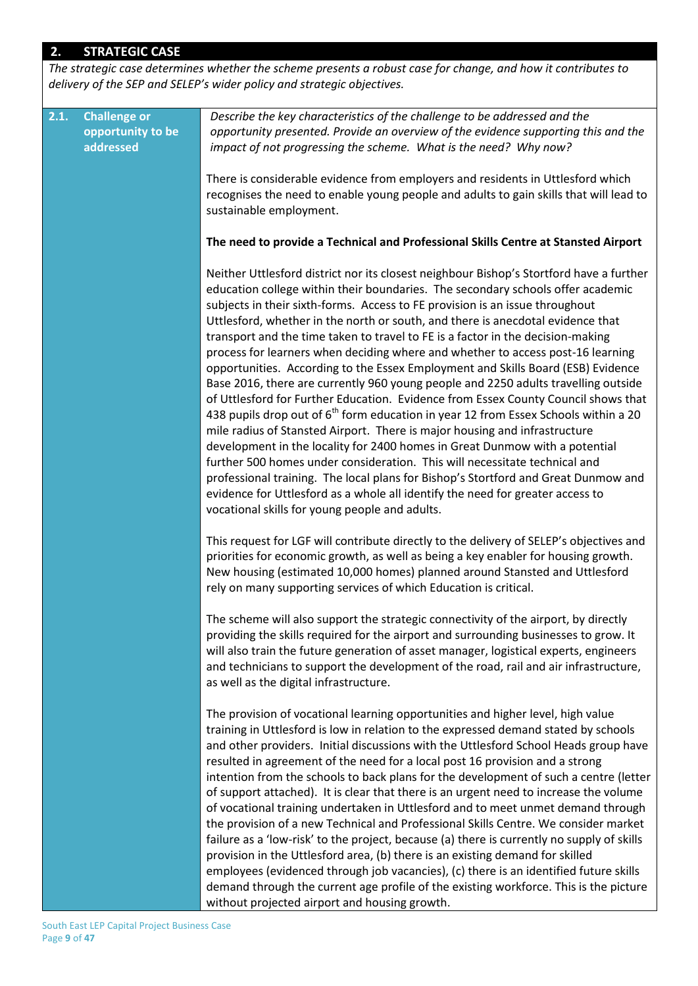# **2. STRATEGIC CASE**

*The strategic case determines whether the scheme presents a robust case for change, and how it contributes to delivery of the SEP and SELEP's wider policy and strategic objectives.* 

| 2.1. | <b>Challenge or</b><br>opportunity to be<br>addressed | Describe the key characteristics of the challenge to be addressed and the<br>opportunity presented. Provide an overview of the evidence supporting this and the<br>impact of not progressing the scheme. What is the need? Why now?                                                                                                                                                                                                                                                                                                                                                                                                                                                                                                                                                                                                                                                                                                                                                                                                                                                                                                                                                                                                                                                                                                                         |
|------|-------------------------------------------------------|-------------------------------------------------------------------------------------------------------------------------------------------------------------------------------------------------------------------------------------------------------------------------------------------------------------------------------------------------------------------------------------------------------------------------------------------------------------------------------------------------------------------------------------------------------------------------------------------------------------------------------------------------------------------------------------------------------------------------------------------------------------------------------------------------------------------------------------------------------------------------------------------------------------------------------------------------------------------------------------------------------------------------------------------------------------------------------------------------------------------------------------------------------------------------------------------------------------------------------------------------------------------------------------------------------------------------------------------------------------|
|      |                                                       | There is considerable evidence from employers and residents in Uttlesford which<br>recognises the need to enable young people and adults to gain skills that will lead to<br>sustainable employment.                                                                                                                                                                                                                                                                                                                                                                                                                                                                                                                                                                                                                                                                                                                                                                                                                                                                                                                                                                                                                                                                                                                                                        |
|      |                                                       | The need to provide a Technical and Professional Skills Centre at Stansted Airport                                                                                                                                                                                                                                                                                                                                                                                                                                                                                                                                                                                                                                                                                                                                                                                                                                                                                                                                                                                                                                                                                                                                                                                                                                                                          |
|      |                                                       | Neither Uttlesford district nor its closest neighbour Bishop's Stortford have a further<br>education college within their boundaries. The secondary schools offer academic<br>subjects in their sixth-forms. Access to FE provision is an issue throughout<br>Uttlesford, whether in the north or south, and there is anecdotal evidence that<br>transport and the time taken to travel to FE is a factor in the decision-making<br>process for learners when deciding where and whether to access post-16 learning<br>opportunities. According to the Essex Employment and Skills Board (ESB) Evidence<br>Base 2016, there are currently 960 young people and 2250 adults travelling outside<br>of Uttlesford for Further Education. Evidence from Essex County Council shows that<br>438 pupils drop out of 6 <sup>th</sup> form education in year 12 from Essex Schools within a 20<br>mile radius of Stansted Airport. There is major housing and infrastructure<br>development in the locality for 2400 homes in Great Dunmow with a potential<br>further 500 homes under consideration. This will necessitate technical and<br>professional training. The local plans for Bishop's Stortford and Great Dunmow and<br>evidence for Uttlesford as a whole all identify the need for greater access to<br>vocational skills for young people and adults. |
|      |                                                       | This request for LGF will contribute directly to the delivery of SELEP's objectives and<br>priorities for economic growth, as well as being a key enabler for housing growth.<br>New housing (estimated 10,000 homes) planned around Stansted and Uttlesford<br>rely on many supporting services of which Education is critical.                                                                                                                                                                                                                                                                                                                                                                                                                                                                                                                                                                                                                                                                                                                                                                                                                                                                                                                                                                                                                            |
|      |                                                       | The scheme will also support the strategic connectivity of the airport, by directly<br>providing the skills required for the airport and surrounding businesses to grow. It<br>will also train the future generation of asset manager, logistical experts, engineers<br>and technicians to support the development of the road, rail and air infrastructure,<br>as well as the digital infrastructure.                                                                                                                                                                                                                                                                                                                                                                                                                                                                                                                                                                                                                                                                                                                                                                                                                                                                                                                                                      |
|      |                                                       | The provision of vocational learning opportunities and higher level, high value<br>training in Uttlesford is low in relation to the expressed demand stated by schools<br>and other providers. Initial discussions with the Uttlesford School Heads group have<br>resulted in agreement of the need for a local post 16 provision and a strong<br>intention from the schools to back plans for the development of such a centre (letter<br>of support attached). It is clear that there is an urgent need to increase the volume<br>of vocational training undertaken in Uttlesford and to meet unmet demand through<br>the provision of a new Technical and Professional Skills Centre. We consider market<br>failure as a 'low-risk' to the project, because (a) there is currently no supply of skills<br>provision in the Uttlesford area, (b) there is an existing demand for skilled<br>employees (evidenced through job vacancies), (c) there is an identified future skills<br>demand through the current age profile of the existing workforce. This is the picture<br>without projected airport and housing growth.                                                                                                                                                                                                                               |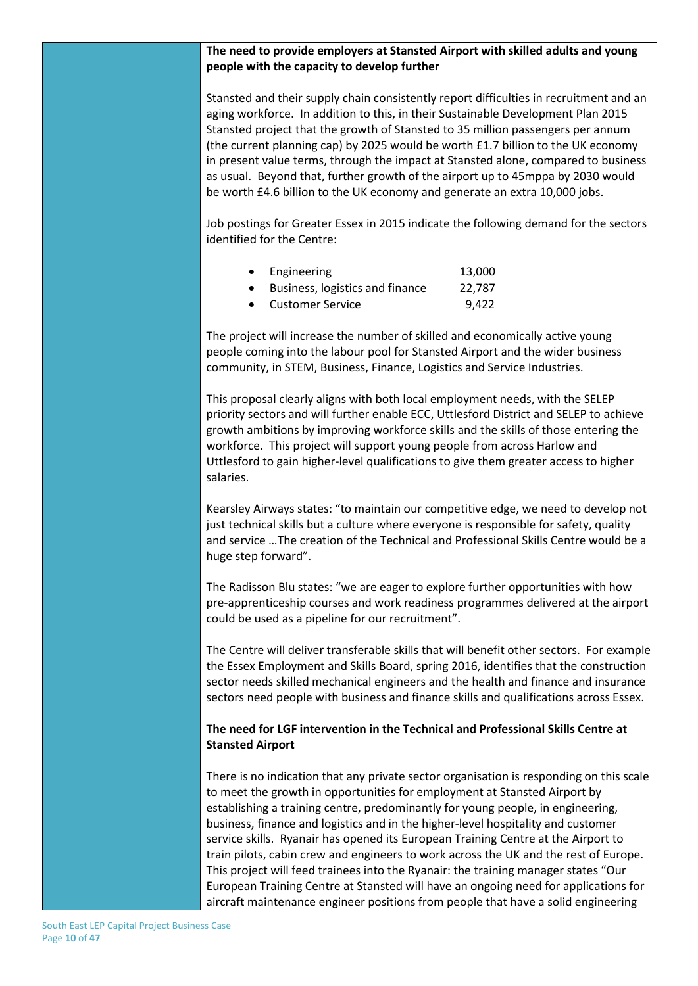#### **The need to provide employers at Stansted Airport with skilled adults and young people with the capacity to develop further**

Stansted and their supply chain consistently report difficulties in recruitment and an aging workforce. In addition to this, in their Sustainable Development Plan 2015 Stansted project that the growth of Stansted to 35 million passengers per annum (the current planning cap) by 2025 would be worth £1.7 billion to the UK economy in present value terms, through the impact at Stansted alone, compared to business as usual. Beyond that, further growth of the airport up to 45mppa by 2030 would be worth £4.6 billion to the UK economy and generate an extra 10,000 jobs.

Job postings for Greater Essex in 2015 indicate the following demand for the sectors identified for the Centre:

| Engineering                     | 13,000 |
|---------------------------------|--------|
| Business, logistics and finance | 22,787 |
| <b>Customer Service</b>         | 9.422  |

The project will increase the number of skilled and economically active young people coming into the labour pool for Stansted Airport and the wider business community, in STEM, Business, Finance, Logistics and Service Industries.

This proposal clearly aligns with both local employment needs, with the SELEP priority sectors and will further enable ECC, Uttlesford District and SELEP to achieve growth ambitions by improving workforce skills and the skills of those entering the workforce. This project will support young people from across Harlow and Uttlesford to gain higher-level qualifications to give them greater access to higher salaries.

Kearsley Airways states: "to maintain our competitive edge, we need to develop not just technical skills but a culture where everyone is responsible for safety, quality and service …The creation of the Technical and Professional Skills Centre would be a huge step forward".

The Radisson Blu states: "we are eager to explore further opportunities with how pre-apprenticeship courses and work readiness programmes delivered at the airport could be used as a pipeline for our recruitment".

The Centre will deliver transferable skills that will benefit other sectors. For example the Essex Employment and Skills Board, spring 2016, identifies that the construction sector needs skilled mechanical engineers and the health and finance and insurance sectors need people with business and finance skills and qualifications across Essex.

#### **The need for LGF intervention in the Technical and Professional Skills Centre at Stansted Airport**

There is no indication that any private sector organisation is responding on this scale to meet the growth in opportunities for employment at Stansted Airport by establishing a training centre, predominantly for young people, in engineering, business, finance and logistics and in the higher-level hospitality and customer service skills. Ryanair has opened its European Training Centre at the Airport to train pilots, cabin crew and engineers to work across the UK and the rest of Europe. This project will feed trainees into the Ryanair: the training manager states "Our European Training Centre at Stansted will have an ongoing need for applications for aircraft maintenance engineer positions from people that have a solid engineering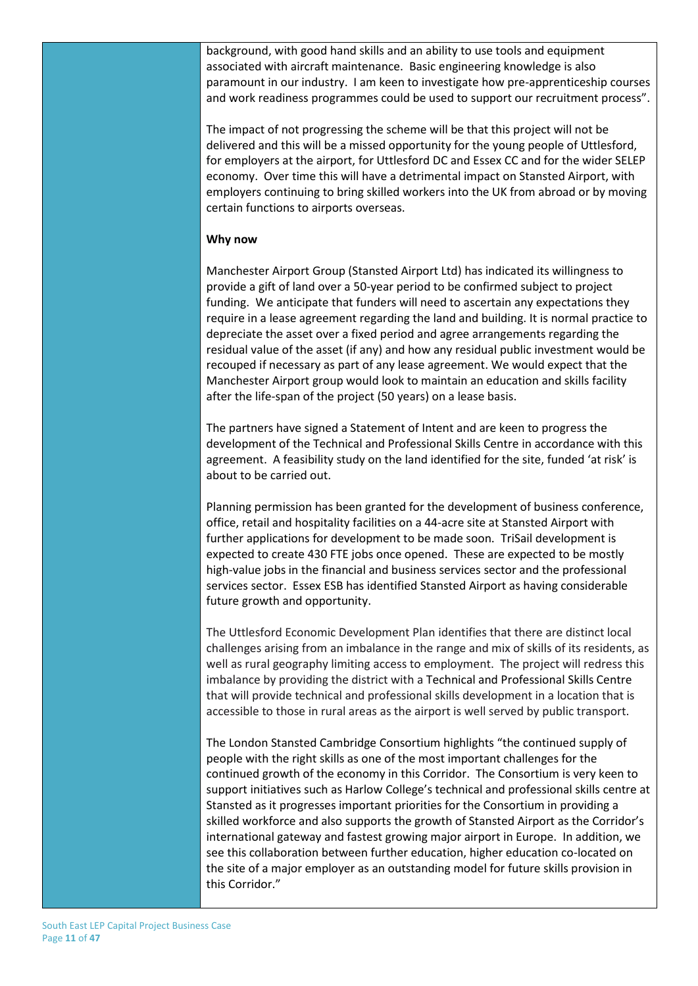background, with good hand skills and an ability to use tools and equipment associated with aircraft maintenance. Basic engineering knowledge is also paramount in our industry. I am keen to investigate how pre-apprenticeship courses and work readiness programmes could be used to support our recruitment process".

The impact of not progressing the scheme will be that this project will not be delivered and this will be a missed opportunity for the young people of Uttlesford, for employers at the airport, for Uttlesford DC and Essex CC and for the wider SELEP economy. Over time this will have a detrimental impact on Stansted Airport, with employers continuing to bring skilled workers into the UK from abroad or by moving certain functions to airports overseas.

#### **Why now**

Manchester Airport Group (Stansted Airport Ltd) has indicated its willingness to provide a gift of land over a 50-year period to be confirmed subject to project funding. We anticipate that funders will need to ascertain any expectations they require in a lease agreement regarding the land and building. It is normal practice to depreciate the asset over a fixed period and agree arrangements regarding the residual value of the asset (if any) and how any residual public investment would be recouped if necessary as part of any lease agreement. We would expect that the Manchester Airport group would look to maintain an education and skills facility after the life-span of the project (50 years) on a lease basis.

The partners have signed a Statement of Intent and are keen to progress the development of the Technical and Professional Skills Centre in accordance with this agreement. A feasibility study on the land identified for the site, funded 'at risk' is about to be carried out.

Planning permission has been granted for the development of business conference, office, retail and hospitality facilities on a 44-acre site at Stansted Airport with further applications for development to be made soon. TriSail development is expected to create 430 FTE jobs once opened. These are expected to be mostly high-value jobs in the financial and business services sector and the professional services sector. Essex ESB has identified Stansted Airport as having considerable future growth and opportunity.

The Uttlesford Economic Development Plan identifies that there are distinct local challenges arising from an imbalance in the range and mix of skills of its residents, as well as rural geography limiting access to employment. The project will redress this imbalance by providing the district with a Technical and Professional Skills Centre that will provide technical and professional skills development in a location that is accessible to those in rural areas as the airport is well served by public transport.

The London Stansted Cambridge Consortium highlights "the continued supply of people with the right skills as one of the most important challenges for the continued growth of the economy in this Corridor. The Consortium is very keen to support initiatives such as Harlow College's technical and professional skills centre at Stansted as it progresses important priorities for the Consortium in providing a skilled workforce and also supports the growth of Stansted Airport as the Corridor's international gateway and fastest growing major airport in Europe. In addition, we see this collaboration between further education, higher education co-located on the site of a major employer as an outstanding model for future skills provision in this Corridor."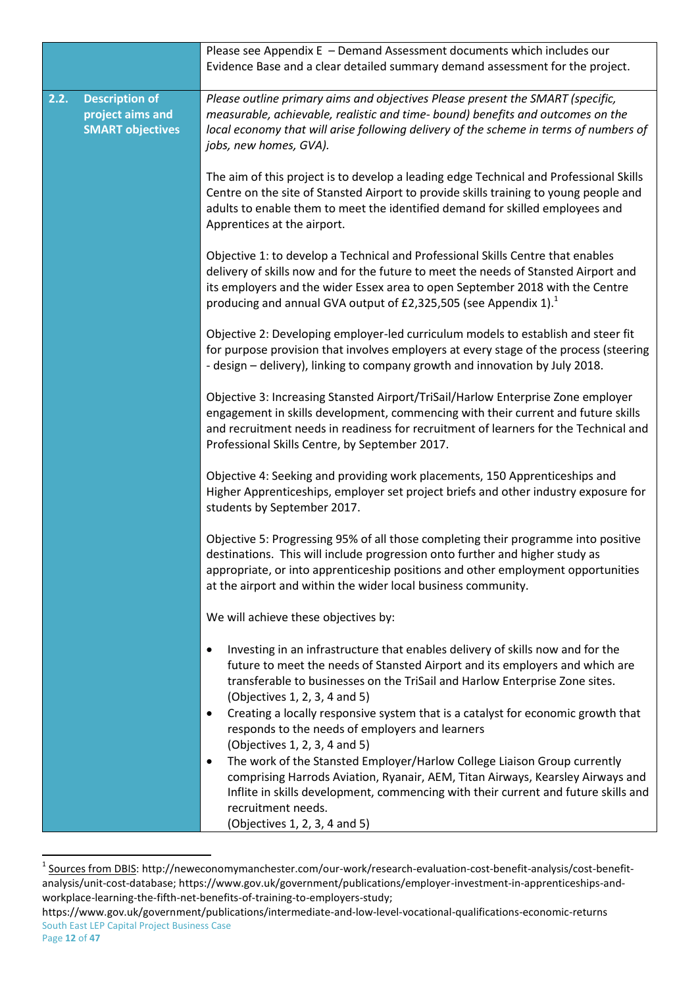|      |                                                                      | Please see Appendix E - Demand Assessment documents which includes our<br>Evidence Base and a clear detailed summary demand assessment for the project.                                                                                                                                                                                                                                                                                         |
|------|----------------------------------------------------------------------|-------------------------------------------------------------------------------------------------------------------------------------------------------------------------------------------------------------------------------------------------------------------------------------------------------------------------------------------------------------------------------------------------------------------------------------------------|
| 2.2. | <b>Description of</b><br>project aims and<br><b>SMART objectives</b> | Please outline primary aims and objectives Please present the SMART (specific,<br>measurable, achievable, realistic and time- bound) benefits and outcomes on the<br>local economy that will arise following delivery of the scheme in terms of numbers of<br>jobs, new homes, GVA).                                                                                                                                                            |
|      |                                                                      | The aim of this project is to develop a leading edge Technical and Professional Skills<br>Centre on the site of Stansted Airport to provide skills training to young people and<br>adults to enable them to meet the identified demand for skilled employees and<br>Apprentices at the airport.                                                                                                                                                 |
|      |                                                                      | Objective 1: to develop a Technical and Professional Skills Centre that enables<br>delivery of skills now and for the future to meet the needs of Stansted Airport and<br>its employers and the wider Essex area to open September 2018 with the Centre<br>producing and annual GVA output of £2,325,505 (see Appendix 1).                                                                                                                      |
|      |                                                                      | Objective 2: Developing employer-led curriculum models to establish and steer fit<br>for purpose provision that involves employers at every stage of the process (steering<br>- design - delivery), linking to company growth and innovation by July 2018.                                                                                                                                                                                      |
|      |                                                                      | Objective 3: Increasing Stansted Airport/TriSail/Harlow Enterprise Zone employer<br>engagement in skills development, commencing with their current and future skills<br>and recruitment needs in readiness for recruitment of learners for the Technical and<br>Professional Skills Centre, by September 2017.                                                                                                                                 |
|      |                                                                      | Objective 4: Seeking and providing work placements, 150 Apprenticeships and<br>Higher Apprenticeships, employer set project briefs and other industry exposure for<br>students by September 2017.                                                                                                                                                                                                                                               |
|      |                                                                      | Objective 5: Progressing 95% of all those completing their programme into positive<br>destinations. This will include progression onto further and higher study as<br>appropriate, or into apprenticeship positions and other employment opportunities<br>at the airport and within the wider local business community.                                                                                                                         |
|      |                                                                      | We will achieve these objectives by:                                                                                                                                                                                                                                                                                                                                                                                                            |
|      |                                                                      | Investing in an infrastructure that enables delivery of skills now and for the<br>$\bullet$<br>future to meet the needs of Stansted Airport and its employers and which are<br>transferable to businesses on the TriSail and Harlow Enterprise Zone sites.<br>(Objectives 1, 2, 3, 4 and 5)<br>Creating a locally responsive system that is a catalyst for economic growth that<br>$\bullet$<br>responds to the needs of employers and learners |
|      |                                                                      | (Objectives 1, 2, 3, 4 and 5)<br>The work of the Stansted Employer/Harlow College Liaison Group currently<br>$\bullet$<br>comprising Harrods Aviation, Ryanair, AEM, Titan Airways, Kearsley Airways and<br>Inflite in skills development, commencing with their current and future skills and<br>recruitment needs.<br>(Objectives 1, 2, 3, 4 and 5)                                                                                           |

 1 Sources from DBIS: [http://neweconomymanchester.com/our-work/research-evaluation-cost-benefit-analysis/cost-benefit](http://neweconomymanchester.com/our-work/research-evaluation-cost-benefit-analysis/cost-benefit-analysis/unit-cost-database)[analysis/unit-cost-database;](http://neweconomymanchester.com/our-work/research-evaluation-cost-benefit-analysis/cost-benefit-analysis/unit-cost-database) [https://www.gov.uk/government/publications/employer-investment-in-apprenticeships-and](https://www.gov.uk/government/publications/employer-investment-in-apprenticeships-and-workplace-learning-the-fifth-net-benefits-of-training-to-employers-study)[workplace-learning-the-fifth-net-benefits-of-training-to-employers-study;](https://www.gov.uk/government/publications/employer-investment-in-apprenticeships-and-workplace-learning-the-fifth-net-benefits-of-training-to-employers-study)

South East LEP Capital Project Business Case https://www.gov.uk/government/publications/intermediate-and-low-level-vocational-qualifications-economic-returns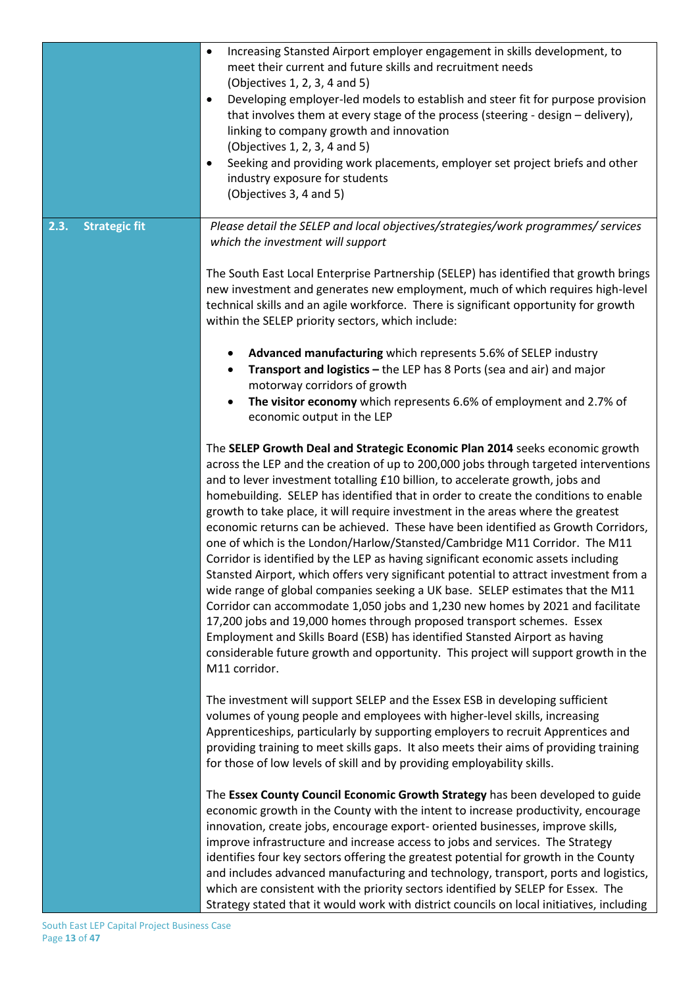|                              | Increasing Stansted Airport employer engagement in skills development, to<br>$\bullet$<br>meet their current and future skills and recruitment needs<br>(Objectives 1, 2, 3, 4 and 5)<br>Developing employer-led models to establish and steer fit for purpose provision<br>$\bullet$<br>that involves them at every stage of the process (steering - design - delivery),<br>linking to company growth and innovation<br>(Objectives 1, 2, 3, 4 and 5)<br>Seeking and providing work placements, employer set project briefs and other<br>$\bullet$<br>industry exposure for students<br>(Objectives 3, 4 and 5)                                                                                                                                                                                                                                                                                                                                                                                                                                                                                                                                                                                                        |
|------------------------------|-------------------------------------------------------------------------------------------------------------------------------------------------------------------------------------------------------------------------------------------------------------------------------------------------------------------------------------------------------------------------------------------------------------------------------------------------------------------------------------------------------------------------------------------------------------------------------------------------------------------------------------------------------------------------------------------------------------------------------------------------------------------------------------------------------------------------------------------------------------------------------------------------------------------------------------------------------------------------------------------------------------------------------------------------------------------------------------------------------------------------------------------------------------------------------------------------------------------------|
| <b>Strategic fit</b><br>2.3. | Please detail the SELEP and local objectives/strategies/work programmes/ services<br>which the investment will support<br>The South East Local Enterprise Partnership (SELEP) has identified that growth brings                                                                                                                                                                                                                                                                                                                                                                                                                                                                                                                                                                                                                                                                                                                                                                                                                                                                                                                                                                                                         |
|                              | new investment and generates new employment, much of which requires high-level<br>technical skills and an agile workforce. There is significant opportunity for growth<br>within the SELEP priority sectors, which include:                                                                                                                                                                                                                                                                                                                                                                                                                                                                                                                                                                                                                                                                                                                                                                                                                                                                                                                                                                                             |
|                              | Advanced manufacturing which represents 5.6% of SELEP industry<br>Transport and logistics - the LEP has 8 Ports (sea and air) and major<br>$\bullet$<br>motorway corridors of growth                                                                                                                                                                                                                                                                                                                                                                                                                                                                                                                                                                                                                                                                                                                                                                                                                                                                                                                                                                                                                                    |
|                              | The visitor economy which represents 6.6% of employment and 2.7% of<br>economic output in the LEP                                                                                                                                                                                                                                                                                                                                                                                                                                                                                                                                                                                                                                                                                                                                                                                                                                                                                                                                                                                                                                                                                                                       |
|                              | The SELEP Growth Deal and Strategic Economic Plan 2014 seeks economic growth<br>across the LEP and the creation of up to 200,000 jobs through targeted interventions<br>and to lever investment totalling £10 billion, to accelerate growth, jobs and<br>homebuilding. SELEP has identified that in order to create the conditions to enable<br>growth to take place, it will require investment in the areas where the greatest<br>economic returns can be achieved. These have been identified as Growth Corridors,<br>one of which is the London/Harlow/Stansted/Cambridge M11 Corridor. The M11<br>Corridor is identified by the LEP as having significant economic assets including<br>Stansted Airport, which offers very significant potential to attract investment from a<br>wide range of global companies seeking a UK base. SELEP estimates that the M11<br>Corridor can accommodate 1,050 jobs and 1,230 new homes by 2021 and facilitate<br>17,200 jobs and 19,000 homes through proposed transport schemes. Essex<br>Employment and Skills Board (ESB) has identified Stansted Airport as having<br>considerable future growth and opportunity. This project will support growth in the<br>M11 corridor. |
|                              | The investment will support SELEP and the Essex ESB in developing sufficient<br>volumes of young people and employees with higher-level skills, increasing<br>Apprenticeships, particularly by supporting employers to recruit Apprentices and<br>providing training to meet skills gaps. It also meets their aims of providing training<br>for those of low levels of skill and by providing employability skills.                                                                                                                                                                                                                                                                                                                                                                                                                                                                                                                                                                                                                                                                                                                                                                                                     |
|                              | The Essex County Council Economic Growth Strategy has been developed to guide<br>economic growth in the County with the intent to increase productivity, encourage<br>innovation, create jobs, encourage export- oriented businesses, improve skills,<br>improve infrastructure and increase access to jobs and services. The Strategy<br>identifies four key sectors offering the greatest potential for growth in the County<br>and includes advanced manufacturing and technology, transport, ports and logistics,                                                                                                                                                                                                                                                                                                                                                                                                                                                                                                                                                                                                                                                                                                   |
|                              | which are consistent with the priority sectors identified by SELEP for Essex. The<br>Strategy stated that it would work with district councils on local initiatives, including                                                                                                                                                                                                                                                                                                                                                                                                                                                                                                                                                                                                                                                                                                                                                                                                                                                                                                                                                                                                                                          |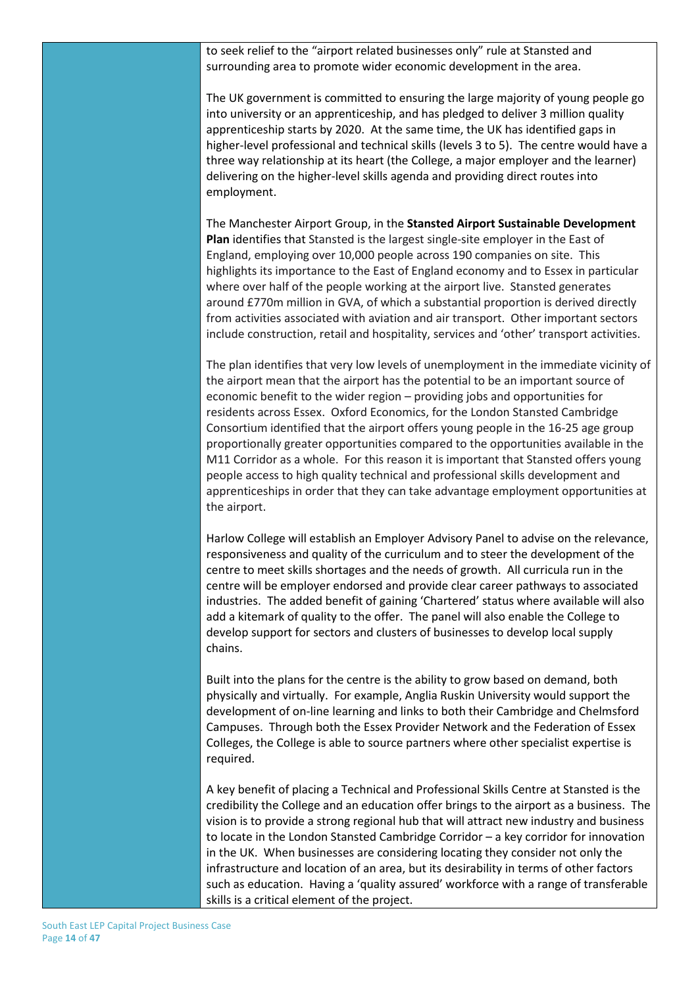to seek relief to the "airport related businesses only" rule at Stansted and surrounding area to promote wider economic development in the area.

The UK government is committed to ensuring the large majority of young people go into university or an apprenticeship, and has pledged to deliver 3 million quality apprenticeship starts by 2020. At the same time, the UK has identified gaps in higher-level professional and technical skills (levels 3 to 5). The centre would have a three way relationship at its heart (the College, a major employer and the learner) delivering on the higher-level skills agenda and providing direct routes into employment.

The Manchester Airport Group, in the **Stansted Airport Sustainable Development Plan** identifies that Stansted is the largest single-site employer in the East of England, employing over 10,000 people across 190 companies on site. This highlights its importance to the East of England economy and to Essex in particular where over half of the people working at the airport live. Stansted generates around £770m million in GVA, of which a substantial proportion is derived directly from activities associated with aviation and air transport. Other important sectors include construction, retail and hospitality, services and 'other' transport activities.

The plan identifies that very low levels of unemployment in the immediate vicinity of the airport mean that the airport has the potential to be an important source of economic benefit to the wider region – providing jobs and opportunities for residents across Essex. Oxford Economics, for the London Stansted Cambridge Consortium identified that the airport offers young people in the 16-25 age group proportionally greater opportunities compared to the opportunities available in the M11 Corridor as a whole. For this reason it is important that Stansted offers young people access to high quality technical and professional skills development and apprenticeships in order that they can take advantage employment opportunities at the airport.

Harlow College will establish an Employer Advisory Panel to advise on the relevance, responsiveness and quality of the curriculum and to steer the development of the centre to meet skills shortages and the needs of growth. All curricula run in the centre will be employer endorsed and provide clear career pathways to associated industries. The added benefit of gaining 'Chartered' status where available will also add a kitemark of quality to the offer. The panel will also enable the College to develop support for sectors and clusters of businesses to develop local supply chains.

Built into the plans for the centre is the ability to grow based on demand, both physically and virtually. For example, Anglia Ruskin University would support the development of on-line learning and links to both their Cambridge and Chelmsford Campuses. Through both the Essex Provider Network and the Federation of Essex Colleges, the College is able to source partners where other specialist expertise is required.

A key benefit of placing a Technical and Professional Skills Centre at Stansted is the credibility the College and an education offer brings to the airport as a business. The vision is to provide a strong regional hub that will attract new industry and business to locate in the London Stansted Cambridge Corridor – a key corridor for innovation in the UK. When businesses are considering locating they consider not only the infrastructure and location of an area, but its desirability in terms of other factors such as education. Having a 'quality assured' workforce with a range of transferable skills is a critical element of the project.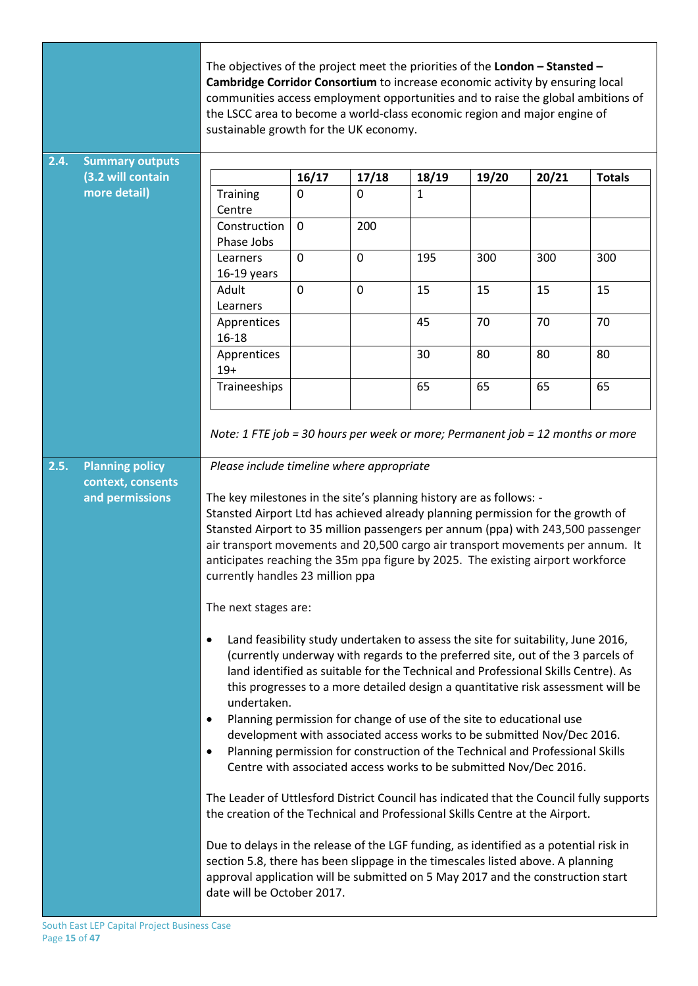|       |                                                                | The objectives of the project meet the priorities of the London $-$ Stansted $-$<br>Cambridge Corridor Consortium to increase economic activity by ensuring local<br>communities access employment opportunities and to raise the global ambitions of<br>the LSCC area to become a world-class economic region and major engine of<br>sustainable growth for the UK economy.                                                                                                                                                                                                                                                                                                                                                                                                                                                                                                                                                                                                                                                                                                                                                                                                                                                                                                                                                                                                                                                                                                                                                                                                                                                                                                                                                                                                                     |                |             |       |       |       |               |
|-------|----------------------------------------------------------------|--------------------------------------------------------------------------------------------------------------------------------------------------------------------------------------------------------------------------------------------------------------------------------------------------------------------------------------------------------------------------------------------------------------------------------------------------------------------------------------------------------------------------------------------------------------------------------------------------------------------------------------------------------------------------------------------------------------------------------------------------------------------------------------------------------------------------------------------------------------------------------------------------------------------------------------------------------------------------------------------------------------------------------------------------------------------------------------------------------------------------------------------------------------------------------------------------------------------------------------------------------------------------------------------------------------------------------------------------------------------------------------------------------------------------------------------------------------------------------------------------------------------------------------------------------------------------------------------------------------------------------------------------------------------------------------------------------------------------------------------------------------------------------------------------|----------------|-------------|-------|-------|-------|---------------|
| 2, 4. | <b>Summary outputs</b>                                         |                                                                                                                                                                                                                                                                                                                                                                                                                                                                                                                                                                                                                                                                                                                                                                                                                                                                                                                                                                                                                                                                                                                                                                                                                                                                                                                                                                                                                                                                                                                                                                                                                                                                                                                                                                                                  |                |             |       |       |       |               |
|       | (3.2 will contain                                              |                                                                                                                                                                                                                                                                                                                                                                                                                                                                                                                                                                                                                                                                                                                                                                                                                                                                                                                                                                                                                                                                                                                                                                                                                                                                                                                                                                                                                                                                                                                                                                                                                                                                                                                                                                                                  | 16/17          | 17/18       | 18/19 | 19/20 | 20/21 | <b>Totals</b> |
|       | more detail)                                                   | Training<br>Centre                                                                                                                                                                                                                                                                                                                                                                                                                                                                                                                                                                                                                                                                                                                                                                                                                                                                                                                                                                                                                                                                                                                                                                                                                                                                                                                                                                                                                                                                                                                                                                                                                                                                                                                                                                               | 0              | $\mathbf 0$ | 1     |       |       |               |
|       |                                                                | Construction                                                                                                                                                                                                                                                                                                                                                                                                                                                                                                                                                                                                                                                                                                                                                                                                                                                                                                                                                                                                                                                                                                                                                                                                                                                                                                                                                                                                                                                                                                                                                                                                                                                                                                                                                                                     | $\overline{0}$ | 200         |       |       |       |               |
|       |                                                                | Phase Jobs                                                                                                                                                                                                                                                                                                                                                                                                                                                                                                                                                                                                                                                                                                                                                                                                                                                                                                                                                                                                                                                                                                                                                                                                                                                                                                                                                                                                                                                                                                                                                                                                                                                                                                                                                                                       |                |             |       |       |       |               |
|       |                                                                | Learners                                                                                                                                                                                                                                                                                                                                                                                                                                                                                                                                                                                                                                                                                                                                                                                                                                                                                                                                                                                                                                                                                                                                                                                                                                                                                                                                                                                                                                                                                                                                                                                                                                                                                                                                                                                         | 0              | $\mathbf 0$ | 195   | 300   | 300   | 300           |
|       |                                                                | $16-19$ years                                                                                                                                                                                                                                                                                                                                                                                                                                                                                                                                                                                                                                                                                                                                                                                                                                                                                                                                                                                                                                                                                                                                                                                                                                                                                                                                                                                                                                                                                                                                                                                                                                                                                                                                                                                    | $\mathbf 0$    | $\mathbf 0$ | 15    |       | 15    |               |
|       |                                                                | Adult<br>Learners                                                                                                                                                                                                                                                                                                                                                                                                                                                                                                                                                                                                                                                                                                                                                                                                                                                                                                                                                                                                                                                                                                                                                                                                                                                                                                                                                                                                                                                                                                                                                                                                                                                                                                                                                                                |                |             |       | 15    |       | 15            |
|       |                                                                | Apprentices                                                                                                                                                                                                                                                                                                                                                                                                                                                                                                                                                                                                                                                                                                                                                                                                                                                                                                                                                                                                                                                                                                                                                                                                                                                                                                                                                                                                                                                                                                                                                                                                                                                                                                                                                                                      |                |             | 45    | 70    | 70    | 70            |
|       |                                                                | $16 - 18$                                                                                                                                                                                                                                                                                                                                                                                                                                                                                                                                                                                                                                                                                                                                                                                                                                                                                                                                                                                                                                                                                                                                                                                                                                                                                                                                                                                                                                                                                                                                                                                                                                                                                                                                                                                        |                |             |       |       |       |               |
|       |                                                                | Apprentices                                                                                                                                                                                                                                                                                                                                                                                                                                                                                                                                                                                                                                                                                                                                                                                                                                                                                                                                                                                                                                                                                                                                                                                                                                                                                                                                                                                                                                                                                                                                                                                                                                                                                                                                                                                      |                |             | 30    | 80    | 80    | 80            |
|       |                                                                | $19+$<br>Traineeships                                                                                                                                                                                                                                                                                                                                                                                                                                                                                                                                                                                                                                                                                                                                                                                                                                                                                                                                                                                                                                                                                                                                                                                                                                                                                                                                                                                                                                                                                                                                                                                                                                                                                                                                                                            |                |             | 65    | 65    | 65    | 65            |
| 2.5.  | <b>Planning policy</b><br>context, consents<br>and permissions | Note: 1 FTE job = 30 hours per week or more; Permanent job = 12 months or more<br>Please include timeline where appropriate<br>The key milestones in the site's planning history are as follows: -<br>Stansted Airport Ltd has achieved already planning permission for the growth of<br>Stansted Airport to 35 million passengers per annum (ppa) with 243,500 passenger<br>air transport movements and 20,500 cargo air transport movements per annum. It<br>anticipates reaching the 35m ppa figure by 2025. The existing airport workforce<br>currently handles 23 million ppa<br>The next stages are:<br>Land feasibility study undertaken to assess the site for suitability, June 2016,<br>$\bullet$<br>(currently underway with regards to the preferred site, out of the 3 parcels of<br>land identified as suitable for the Technical and Professional Skills Centre). As<br>this progresses to a more detailed design a quantitative risk assessment will be<br>undertaken.<br>Planning permission for change of use of the site to educational use<br>$\bullet$<br>development with associated access works to be submitted Nov/Dec 2016.<br>Planning permission for construction of the Technical and Professional Skills<br>$\bullet$<br>Centre with associated access works to be submitted Nov/Dec 2016.<br>The Leader of Uttlesford District Council has indicated that the Council fully supports<br>the creation of the Technical and Professional Skills Centre at the Airport.<br>Due to delays in the release of the LGF funding, as identified as a potential risk in<br>section 5.8, there has been slippage in the timescales listed above. A planning<br>approval application will be submitted on 5 May 2017 and the construction start<br>date will be October 2017. |                |             |       |       |       |               |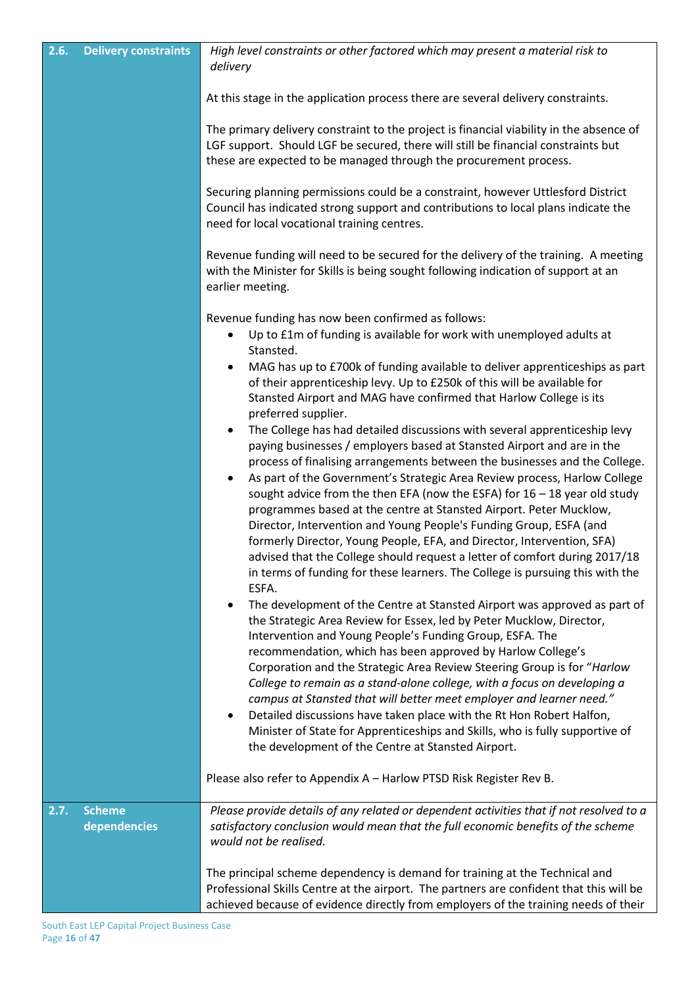| 2.6. | <b>Delivery constraints</b>   | High level constraints or other factored which may present a material risk to<br>delivery                                                                                                                                                                                                                                                                                                                                                                                                                                                                                                                                                                                                                                                                                                                             |
|------|-------------------------------|-----------------------------------------------------------------------------------------------------------------------------------------------------------------------------------------------------------------------------------------------------------------------------------------------------------------------------------------------------------------------------------------------------------------------------------------------------------------------------------------------------------------------------------------------------------------------------------------------------------------------------------------------------------------------------------------------------------------------------------------------------------------------------------------------------------------------|
|      |                               | At this stage in the application process there are several delivery constraints.                                                                                                                                                                                                                                                                                                                                                                                                                                                                                                                                                                                                                                                                                                                                      |
|      |                               | The primary delivery constraint to the project is financial viability in the absence of<br>LGF support. Should LGF be secured, there will still be financial constraints but<br>these are expected to be managed through the procurement process.                                                                                                                                                                                                                                                                                                                                                                                                                                                                                                                                                                     |
|      |                               | Securing planning permissions could be a constraint, however Uttlesford District<br>Council has indicated strong support and contributions to local plans indicate the<br>need for local vocational training centres.                                                                                                                                                                                                                                                                                                                                                                                                                                                                                                                                                                                                 |
|      |                               | Revenue funding will need to be secured for the delivery of the training. A meeting<br>with the Minister for Skills is being sought following indication of support at an<br>earlier meeting.                                                                                                                                                                                                                                                                                                                                                                                                                                                                                                                                                                                                                         |
|      |                               | Revenue funding has now been confirmed as follows:                                                                                                                                                                                                                                                                                                                                                                                                                                                                                                                                                                                                                                                                                                                                                                    |
|      |                               | Up to £1m of funding is available for work with unemployed adults at                                                                                                                                                                                                                                                                                                                                                                                                                                                                                                                                                                                                                                                                                                                                                  |
|      |                               | Stansted.<br>MAG has up to £700k of funding available to deliver apprenticeships as part<br>of their apprenticeship levy. Up to £250k of this will be available for<br>Stansted Airport and MAG have confirmed that Harlow College is its<br>preferred supplier.                                                                                                                                                                                                                                                                                                                                                                                                                                                                                                                                                      |
|      |                               | The College has had detailed discussions with several apprenticeship levy<br>$\bullet$<br>paying businesses / employers based at Stansted Airport and are in the<br>process of finalising arrangements between the businesses and the College.<br>As part of the Government's Strategic Area Review process, Harlow College<br>$\bullet$<br>sought advice from the then EFA (now the ESFA) for $16 - 18$ year old study<br>programmes based at the centre at Stansted Airport. Peter Mucklow,<br>Director, Intervention and Young People's Funding Group, ESFA (and<br>formerly Director, Young People, EFA, and Director, Intervention, SFA)<br>advised that the College should request a letter of comfort during 2017/18<br>in terms of funding for these learners. The College is pursuing this with the<br>ESFA. |
|      |                               | The development of the Centre at Stansted Airport was approved as part of<br>the Strategic Area Review for Essex, led by Peter Mucklow, Director,<br>Intervention and Young People's Funding Group, ESFA. The<br>recommendation, which has been approved by Harlow College's<br>Corporation and the Strategic Area Review Steering Group is for "Harlow<br>College to remain as a stand-alone college, with a focus on developing a<br>campus at Stansted that will better meet employer and learner need."<br>Detailed discussions have taken place with the Rt Hon Robert Halfon,<br>$\bullet$<br>Minister of State for Apprenticeships and Skills, who is fully supportive of<br>the development of the Centre at Stansted Airport.                                                                                |
|      |                               | Please also refer to Appendix A - Harlow PTSD Risk Register Rev B.                                                                                                                                                                                                                                                                                                                                                                                                                                                                                                                                                                                                                                                                                                                                                    |
| 2.7. | <b>Scheme</b><br>dependencies | Please provide details of any related or dependent activities that if not resolved to a<br>satisfactory conclusion would mean that the full economic benefits of the scheme<br>would not be realised.                                                                                                                                                                                                                                                                                                                                                                                                                                                                                                                                                                                                                 |
|      |                               | The principal scheme dependency is demand for training at the Technical and<br>Professional Skills Centre at the airport. The partners are confident that this will be<br>achieved because of evidence directly from employers of the training needs of their                                                                                                                                                                                                                                                                                                                                                                                                                                                                                                                                                         |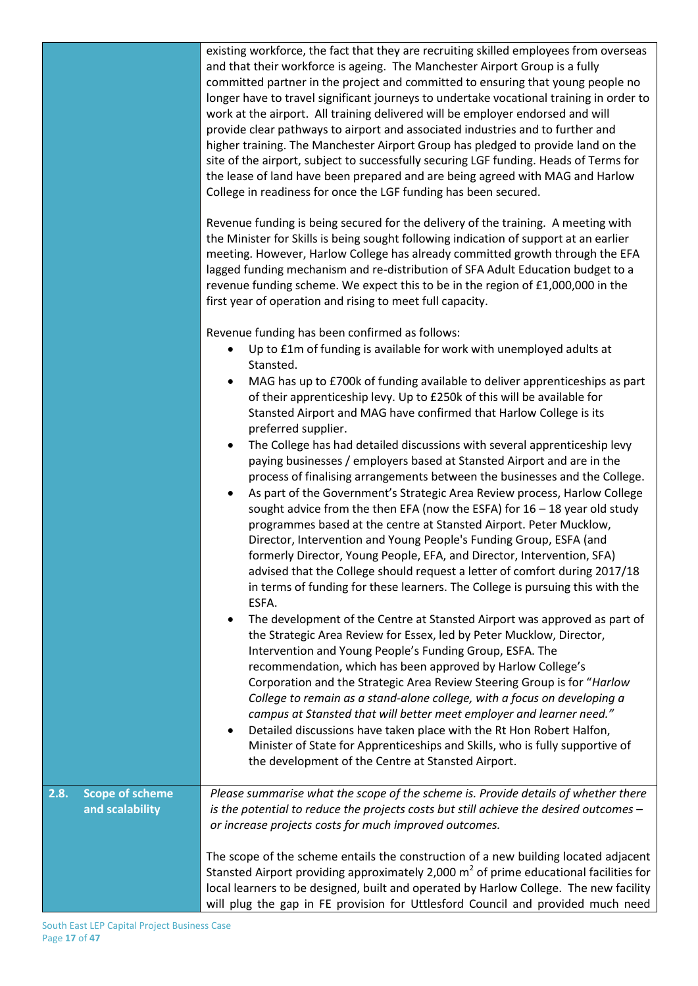|                                                   | existing workforce, the fact that they are recruiting skilled employees from overseas<br>and that their workforce is ageing. The Manchester Airport Group is a fully<br>committed partner in the project and committed to ensuring that young people no<br>longer have to travel significant journeys to undertake vocational training in order to<br>work at the airport. All training delivered will be employer endorsed and will<br>provide clear pathways to airport and associated industries and to further and<br>higher training. The Manchester Airport Group has pledged to provide land on the<br>site of the airport, subject to successfully securing LGF funding. Heads of Terms for<br>the lease of land have been prepared and are being agreed with MAG and Harlow<br>College in readiness for once the LGF funding has been secured.                                                                                                                                                                                                                                                                                                                                                                                                                                                                                                                                                                                                                                                                                                                                                                                                                                                                                                                                                                                                                                                                                                      |
|---------------------------------------------------|--------------------------------------------------------------------------------------------------------------------------------------------------------------------------------------------------------------------------------------------------------------------------------------------------------------------------------------------------------------------------------------------------------------------------------------------------------------------------------------------------------------------------------------------------------------------------------------------------------------------------------------------------------------------------------------------------------------------------------------------------------------------------------------------------------------------------------------------------------------------------------------------------------------------------------------------------------------------------------------------------------------------------------------------------------------------------------------------------------------------------------------------------------------------------------------------------------------------------------------------------------------------------------------------------------------------------------------------------------------------------------------------------------------------------------------------------------------------------------------------------------------------------------------------------------------------------------------------------------------------------------------------------------------------------------------------------------------------------------------------------------------------------------------------------------------------------------------------------------------------------------------------------------------------------------------------------------------|
|                                                   | Revenue funding is being secured for the delivery of the training. A meeting with<br>the Minister for Skills is being sought following indication of support at an earlier<br>meeting. However, Harlow College has already committed growth through the EFA<br>lagged funding mechanism and re-distribution of SFA Adult Education budget to a<br>revenue funding scheme. We expect this to be in the region of £1,000,000 in the<br>first year of operation and rising to meet full capacity.                                                                                                                                                                                                                                                                                                                                                                                                                                                                                                                                                                                                                                                                                                                                                                                                                                                                                                                                                                                                                                                                                                                                                                                                                                                                                                                                                                                                                                                               |
|                                                   | Revenue funding has been confirmed as follows:<br>Up to £1m of funding is available for work with unemployed adults at<br>$\bullet$<br>Stansted.<br>MAG has up to £700k of funding available to deliver apprenticeships as part<br>٠<br>of their apprenticeship levy. Up to £250k of this will be available for<br>Stansted Airport and MAG have confirmed that Harlow College is its<br>preferred supplier.<br>The College has had detailed discussions with several apprenticeship levy<br>٠<br>paying businesses / employers based at Stansted Airport and are in the<br>process of finalising arrangements between the businesses and the College.<br>As part of the Government's Strategic Area Review process, Harlow College<br>٠<br>sought advice from the then EFA (now the ESFA) for $16 - 18$ year old study<br>programmes based at the centre at Stansted Airport. Peter Mucklow,<br>Director, Intervention and Young People's Funding Group, ESFA (and<br>formerly Director, Young People, EFA, and Director, Intervention, SFA)<br>advised that the College should request a letter of comfort during 2017/18<br>in terms of funding for these learners. The College is pursuing this with the<br>ESFA.<br>The development of the Centre at Stansted Airport was approved as part of<br>٠<br>the Strategic Area Review for Essex, led by Peter Mucklow, Director,<br>Intervention and Young People's Funding Group, ESFA. The<br>recommendation, which has been approved by Harlow College's<br>Corporation and the Strategic Area Review Steering Group is for "Harlow<br>College to remain as a stand-alone college, with a focus on developing a<br>campus at Stansted that will better meet employer and learner need."<br>Detailed discussions have taken place with the Rt Hon Robert Halfon,<br>٠<br>Minister of State for Apprenticeships and Skills, who is fully supportive of<br>the development of the Centre at Stansted Airport. |
| <b>Scope of scheme</b><br>2.8.<br>and scalability | Please summarise what the scope of the scheme is. Provide details of whether there<br>is the potential to reduce the projects costs but still achieve the desired outcomes -<br>or increase projects costs for much improved outcomes.<br>The scope of the scheme entails the construction of a new building located adjacent                                                                                                                                                                                                                                                                                                                                                                                                                                                                                                                                                                                                                                                                                                                                                                                                                                                                                                                                                                                                                                                                                                                                                                                                                                                                                                                                                                                                                                                                                                                                                                                                                                |
|                                                   | Stansted Airport providing approximately 2,000 $m2$ of prime educational facilities for<br>local learners to be designed, built and operated by Harlow College. The new facility<br>will plug the gap in FE provision for Uttlesford Council and provided much need                                                                                                                                                                                                                                                                                                                                                                                                                                                                                                                                                                                                                                                                                                                                                                                                                                                                                                                                                                                                                                                                                                                                                                                                                                                                                                                                                                                                                                                                                                                                                                                                                                                                                          |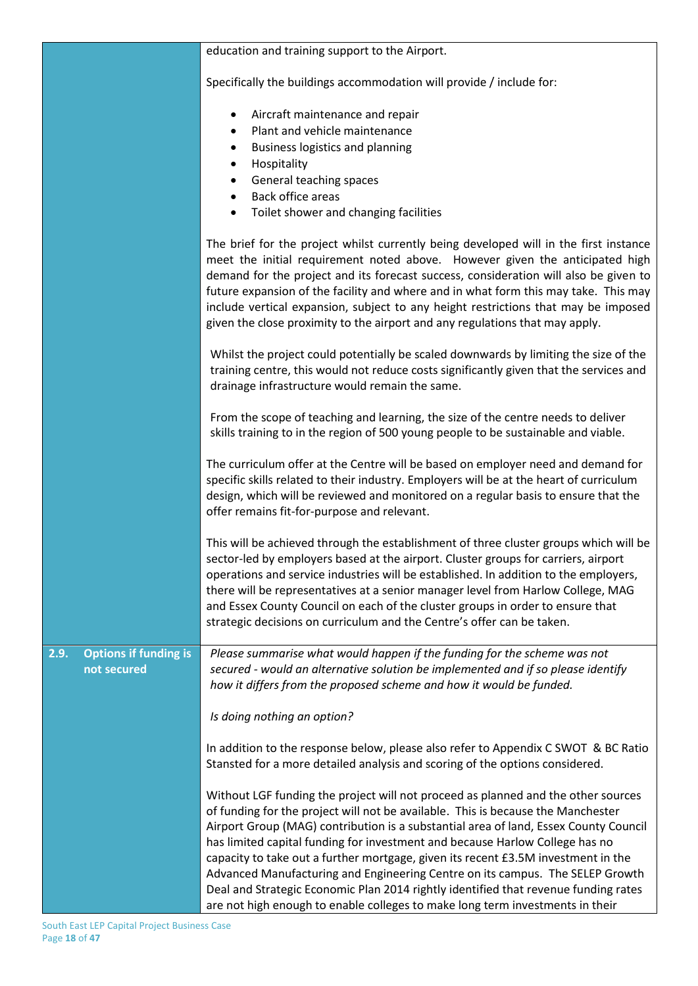|                                                     | education and training support to the Airport.                                                                                                                                                                                                                                                                                                                                                                                                                                                                                                                                                                                                                                              |
|-----------------------------------------------------|---------------------------------------------------------------------------------------------------------------------------------------------------------------------------------------------------------------------------------------------------------------------------------------------------------------------------------------------------------------------------------------------------------------------------------------------------------------------------------------------------------------------------------------------------------------------------------------------------------------------------------------------------------------------------------------------|
|                                                     | Specifically the buildings accommodation will provide / include for:                                                                                                                                                                                                                                                                                                                                                                                                                                                                                                                                                                                                                        |
|                                                     | Aircraft maintenance and repair<br>٠<br>Plant and vehicle maintenance<br>$\bullet$<br>Business logistics and planning<br>٠<br>Hospitality<br>٠<br>General teaching spaces<br>$\bullet$<br>Back office areas<br>Toilet shower and changing facilities<br>$\bullet$                                                                                                                                                                                                                                                                                                                                                                                                                           |
|                                                     | The brief for the project whilst currently being developed will in the first instance<br>meet the initial requirement noted above. However given the anticipated high<br>demand for the project and its forecast success, consideration will also be given to<br>future expansion of the facility and where and in what form this may take. This may<br>include vertical expansion, subject to any height restrictions that may be imposed<br>given the close proximity to the airport and any regulations that may apply.                                                                                                                                                                  |
|                                                     | Whilst the project could potentially be scaled downwards by limiting the size of the<br>training centre, this would not reduce costs significantly given that the services and<br>drainage infrastructure would remain the same.                                                                                                                                                                                                                                                                                                                                                                                                                                                            |
|                                                     | From the scope of teaching and learning, the size of the centre needs to deliver<br>skills training to in the region of 500 young people to be sustainable and viable.                                                                                                                                                                                                                                                                                                                                                                                                                                                                                                                      |
|                                                     | The curriculum offer at the Centre will be based on employer need and demand for<br>specific skills related to their industry. Employers will be at the heart of curriculum<br>design, which will be reviewed and monitored on a regular basis to ensure that the<br>offer remains fit-for-purpose and relevant.                                                                                                                                                                                                                                                                                                                                                                            |
|                                                     | This will be achieved through the establishment of three cluster groups which will be<br>sector-led by employers based at the airport. Cluster groups for carriers, airport<br>operations and service industries will be established. In addition to the employers,<br>there will be representatives at a senior manager level from Harlow College, MAG<br>and Essex County Council on each of the cluster groups in order to ensure that<br>strategic decisions on curriculum and the Centre's offer can be taken.                                                                                                                                                                         |
| <b>Options if funding is</b><br>2.9.<br>not secured | Please summarise what would happen if the funding for the scheme was not<br>secured - would an alternative solution be implemented and if so please identify<br>how it differs from the proposed scheme and how it would be funded.                                                                                                                                                                                                                                                                                                                                                                                                                                                         |
|                                                     | Is doing nothing an option?                                                                                                                                                                                                                                                                                                                                                                                                                                                                                                                                                                                                                                                                 |
|                                                     | In addition to the response below, please also refer to Appendix C SWOT & BC Ratio<br>Stansted for a more detailed analysis and scoring of the options considered.                                                                                                                                                                                                                                                                                                                                                                                                                                                                                                                          |
|                                                     | Without LGF funding the project will not proceed as planned and the other sources<br>of funding for the project will not be available. This is because the Manchester<br>Airport Group (MAG) contribution is a substantial area of land, Essex County Council<br>has limited capital funding for investment and because Harlow College has no<br>capacity to take out a further mortgage, given its recent £3.5M investment in the<br>Advanced Manufacturing and Engineering Centre on its campus. The SELEP Growth<br>Deal and Strategic Economic Plan 2014 rightly identified that revenue funding rates<br>are not high enough to enable colleges to make long term investments in their |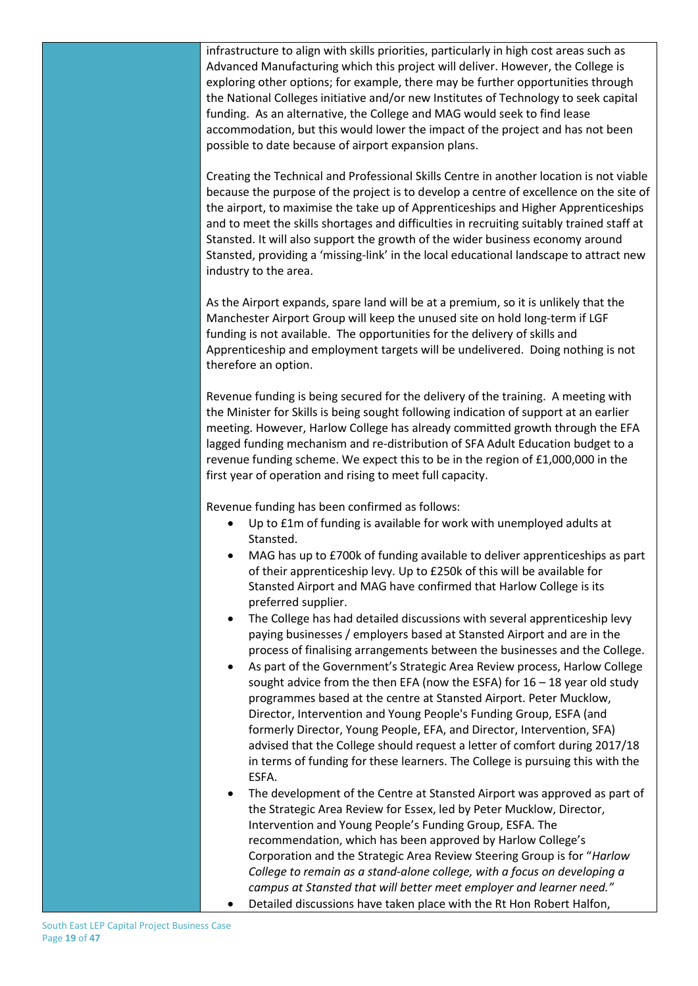infrastructure to align with skills priorities, particularly in high cost areas such as Advanced Manufacturing which this project will deliver. However, the College is exploring other options; for example, there may be further opportunities through the National Colleges initiative and/or new Institutes of Technology to seek capital funding. As an alternative, the College and MAG would seek to find lease accommodation, but this would lower the impact of the project and has not been possible to date because of airport expansion plans.

Creating the Technical and Professional Skills Centre in another location is not viable because the purpose of the project is to develop a centre of excellence on the site of the airport, to maximise the take up of Apprenticeships and Higher Apprenticeships and to meet the skills shortages and difficulties in recruiting suitably trained staff at Stansted. It will also support the growth of the wider business economy around Stansted, providing a 'missing-link' in the local educational landscape to attract new industry to the area.

As the Airport expands, spare land will be at a premium, so it is unlikely that the Manchester Airport Group will keep the unused site on hold long-term if LGF funding is not available. The opportunities for the delivery of skills and Apprenticeship and employment targets will be undelivered. Doing nothing is not therefore an option.

Revenue funding is being secured for the delivery of the training. A meeting with the Minister for Skills is being sought following indication of support at an earlier meeting. However, Harlow College has already committed growth through the EFA lagged funding mechanism and re-distribution of SFA Adult Education budget to a revenue funding scheme. We expect this to be in the region of £1,000,000 in the first year of operation and rising to meet full capacity.

Revenue funding has been confirmed as follows:

- Up to £1m of funding is available for work with unemployed adults at Stansted.
- MAG has up to £700k of funding available to deliver apprenticeships as part of their apprenticeship levy. Up to £250k of this will be available for Stansted Airport and MAG have confirmed that Harlow College is its preferred supplier.
- The College has had detailed discussions with several apprenticeship levy paying businesses / employers based at Stansted Airport and are in the process of finalising arrangements between the businesses and the College.
- As part of the Government's Strategic Area Review process, Harlow College sought advice from the then EFA (now the ESFA) for  $16 - 18$  year old study programmes based at the centre at Stansted Airport. Peter Mucklow, Director, Intervention and Young People's Funding Group, ESFA (and formerly Director, Young People, EFA, and Director, Intervention, SFA) advised that the College should request a letter of comfort during 2017/18 in terms of funding for these learners. The College is pursuing this with the ESFA.
- The development of the Centre at Stansted Airport was approved as part of the Strategic Area Review for Essex, led by Peter Mucklow, Director, Intervention and Young People's Funding Group, ESFA. The recommendation, which has been approved by Harlow College's Corporation and the Strategic Area Review Steering Group is for "*Harlow College to remain as a stand-alone college, with a focus on developing a campus at Stansted that will better meet employer and learner need."* Detailed discussions have taken place with the Rt Hon Robert Halfon,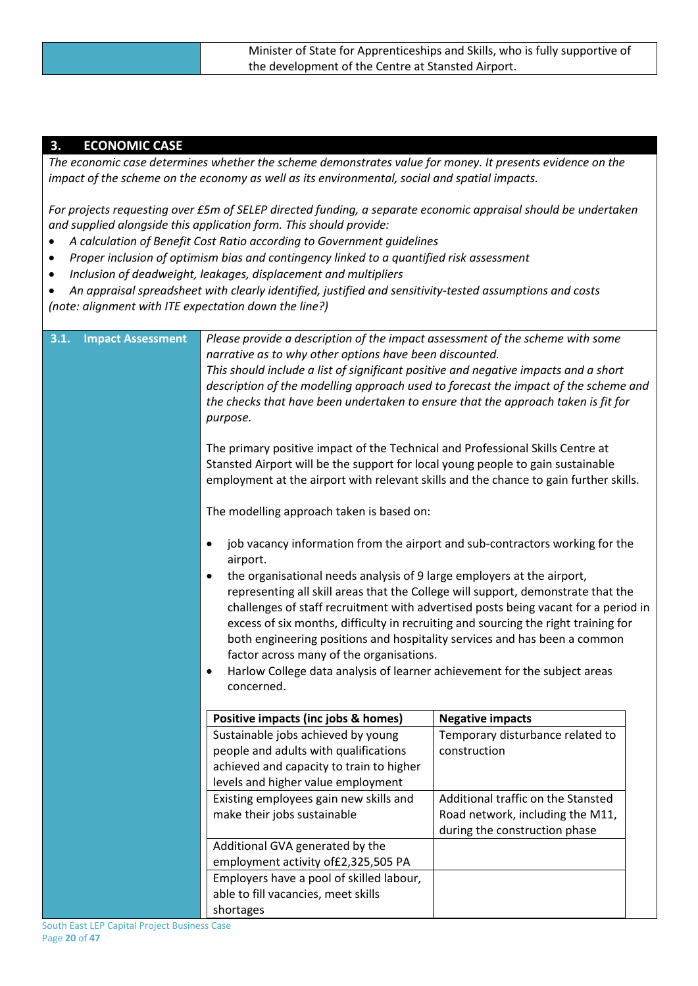| Minister of State for Apprenticeships and Skills, who is fully supportive of |
|------------------------------------------------------------------------------|
| the development of the Centre at Stansted Airport.                           |

### **3. ECONOMIC CASE**

*The economic case determines whether the scheme demonstrates value for money. It presents evidence on the impact of the scheme on the economy as well as its environmental, social and spatial impacts.* 

*For projects requesting over £5m of SELEP directed funding, a separate economic appraisal should be undertaken and supplied alongside this application form. This should provide:*

- *A calculation of Benefit Cost Ratio according to Government guidelines*
- *Proper inclusion of optimism bias and contingency linked to a quantified risk assessment*
- *Inclusion of deadweight, leakages, displacement and multipliers*
- *An appraisal spreadsheet with clearly identified, justified and sensitivity-tested assumptions and costs (note: alignment with ITE expectation down the line?)*

| 3.1. | <b>Impact Assessment</b> | Please provide a description of the impact assessment of the scheme with some<br>narrative as to why other options have been discounted.<br>This should include a list of significant positive and negative impacts and a short<br>description of the modelling approach used to forecast the impact of the scheme and<br>the checks that have been undertaken to ensure that the approach taken is fit for<br>purpose.<br>The primary positive impact of the Technical and Professional Skills Centre at<br>Stansted Airport will be the support for local young people to gain sustainable<br>employment at the airport with relevant skills and the chance to gain further skills.<br>The modelling approach taken is based on:<br>job vacancy information from the airport and sub-contractors working for the<br>$\bullet$<br>airport.<br>the organisational needs analysis of 9 large employers at the airport,<br>$\bullet$<br>representing all skill areas that the College will support, demonstrate that the<br>challenges of staff recruitment with advertised posts being vacant for a period in<br>excess of six months, difficulty in recruiting and sourcing the right training for<br>both engineering positions and hospitality services and has been a common<br>factor across many of the organisations.<br>Harlow College data analysis of learner achievement for the subject areas<br>$\bullet$<br>concerned. |                                    |  |
|------|--------------------------|-------------------------------------------------------------------------------------------------------------------------------------------------------------------------------------------------------------------------------------------------------------------------------------------------------------------------------------------------------------------------------------------------------------------------------------------------------------------------------------------------------------------------------------------------------------------------------------------------------------------------------------------------------------------------------------------------------------------------------------------------------------------------------------------------------------------------------------------------------------------------------------------------------------------------------------------------------------------------------------------------------------------------------------------------------------------------------------------------------------------------------------------------------------------------------------------------------------------------------------------------------------------------------------------------------------------------------------------------------------------------------------------------------------------------------------|------------------------------------|--|
|      |                          | Positive impacts (inc jobs & homes)                                                                                                                                                                                                                                                                                                                                                                                                                                                                                                                                                                                                                                                                                                                                                                                                                                                                                                                                                                                                                                                                                                                                                                                                                                                                                                                                                                                                 | <b>Negative impacts</b>            |  |
|      |                          | Sustainable jobs achieved by young                                                                                                                                                                                                                                                                                                                                                                                                                                                                                                                                                                                                                                                                                                                                                                                                                                                                                                                                                                                                                                                                                                                                                                                                                                                                                                                                                                                                  | Temporary disturbance related to   |  |
|      |                          | people and adults with qualifications                                                                                                                                                                                                                                                                                                                                                                                                                                                                                                                                                                                                                                                                                                                                                                                                                                                                                                                                                                                                                                                                                                                                                                                                                                                                                                                                                                                               | construction                       |  |
|      |                          | achieved and capacity to train to higher                                                                                                                                                                                                                                                                                                                                                                                                                                                                                                                                                                                                                                                                                                                                                                                                                                                                                                                                                                                                                                                                                                                                                                                                                                                                                                                                                                                            |                                    |  |
|      |                          | levels and higher value employment                                                                                                                                                                                                                                                                                                                                                                                                                                                                                                                                                                                                                                                                                                                                                                                                                                                                                                                                                                                                                                                                                                                                                                                                                                                                                                                                                                                                  |                                    |  |
|      |                          | Existing employees gain new skills and                                                                                                                                                                                                                                                                                                                                                                                                                                                                                                                                                                                                                                                                                                                                                                                                                                                                                                                                                                                                                                                                                                                                                                                                                                                                                                                                                                                              | Additional traffic on the Stansted |  |
|      |                          | make their jobs sustainable                                                                                                                                                                                                                                                                                                                                                                                                                                                                                                                                                                                                                                                                                                                                                                                                                                                                                                                                                                                                                                                                                                                                                                                                                                                                                                                                                                                                         | Road network, including the M11,   |  |
|      |                          |                                                                                                                                                                                                                                                                                                                                                                                                                                                                                                                                                                                                                                                                                                                                                                                                                                                                                                                                                                                                                                                                                                                                                                                                                                                                                                                                                                                                                                     | during the construction phase      |  |
|      |                          | Additional GVA generated by the                                                                                                                                                                                                                                                                                                                                                                                                                                                                                                                                                                                                                                                                                                                                                                                                                                                                                                                                                                                                                                                                                                                                                                                                                                                                                                                                                                                                     |                                    |  |
|      |                          | employment activity of £2,325,505 PA                                                                                                                                                                                                                                                                                                                                                                                                                                                                                                                                                                                                                                                                                                                                                                                                                                                                                                                                                                                                                                                                                                                                                                                                                                                                                                                                                                                                |                                    |  |
|      |                          | Employers have a pool of skilled labour,<br>able to fill vacancies, meet skills                                                                                                                                                                                                                                                                                                                                                                                                                                                                                                                                                                                                                                                                                                                                                                                                                                                                                                                                                                                                                                                                                                                                                                                                                                                                                                                                                     |                                    |  |
|      |                          | shortages                                                                                                                                                                                                                                                                                                                                                                                                                                                                                                                                                                                                                                                                                                                                                                                                                                                                                                                                                                                                                                                                                                                                                                                                                                                                                                                                                                                                                           |                                    |  |
|      |                          |                                                                                                                                                                                                                                                                                                                                                                                                                                                                                                                                                                                                                                                                                                                                                                                                                                                                                                                                                                                                                                                                                                                                                                                                                                                                                                                                                                                                                                     |                                    |  |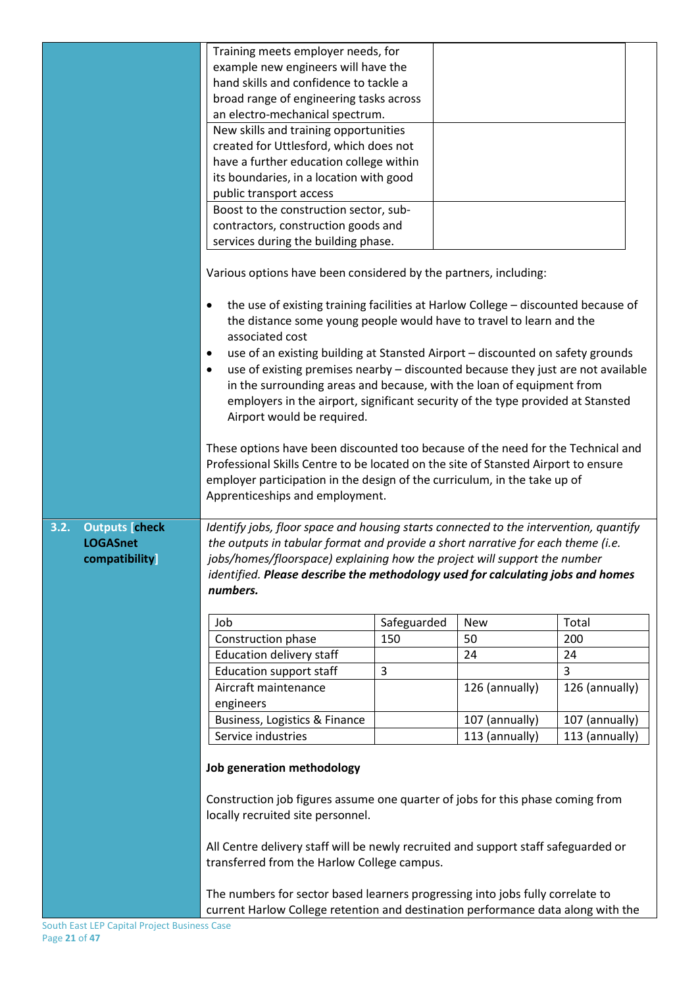|                                                                   | Training meets employer needs, for<br>example new engineers will have the<br>hand skills and confidence to tackle a<br>broad range of engineering tasks across<br>an electro-mechanical spectrum.<br>New skills and training opportunities<br>created for Uttlesford, which does not<br>have a further education college within<br>its boundaries, in a location with good<br>public transport access<br>Boost to the construction sector, sub-<br>contractors, construction goods and<br>services during the building phase.<br>Various options have been considered by the partners, including:<br>the use of existing training facilities at Harlow College - discounted because of<br>$\bullet$<br>the distance some young people would have to travel to learn and the<br>associated cost<br>use of an existing building at Stansted Airport - discounted on safety grounds<br>$\bullet$<br>use of existing premises nearby - discounted because they just are not available<br>$\bullet$<br>in the surrounding areas and because, with the loan of equipment from<br>employers in the airport, significant security of the type provided at Stansted<br>Airport would be required.<br>These options have been discounted too because of the need for the Technical and |             |                |                |  |  |
|-------------------------------------------------------------------|------------------------------------------------------------------------------------------------------------------------------------------------------------------------------------------------------------------------------------------------------------------------------------------------------------------------------------------------------------------------------------------------------------------------------------------------------------------------------------------------------------------------------------------------------------------------------------------------------------------------------------------------------------------------------------------------------------------------------------------------------------------------------------------------------------------------------------------------------------------------------------------------------------------------------------------------------------------------------------------------------------------------------------------------------------------------------------------------------------------------------------------------------------------------------------------------------------------------------------------------------------------------------|-------------|----------------|----------------|--|--|
|                                                                   | Professional Skills Centre to be located on the site of Stansted Airport to ensure<br>employer participation in the design of the curriculum, in the take up of<br>Apprenticeships and employment.                                                                                                                                                                                                                                                                                                                                                                                                                                                                                                                                                                                                                                                                                                                                                                                                                                                                                                                                                                                                                                                                           |             |                |                |  |  |
| <b>Outputs [check</b><br>3.2.<br><b>LOGASnet</b><br>compatibility | Identify jobs, floor space and housing starts connected to the intervention, quantify<br>the outputs in tabular format and provide a short narrative for each theme (i.e.<br>jobs/homes/floorspace) explaining how the project will support the number<br>identified. Please describe the methodology used for calculating jobs and homes<br>numbers.                                                                                                                                                                                                                                                                                                                                                                                                                                                                                                                                                                                                                                                                                                                                                                                                                                                                                                                        |             |                |                |  |  |
|                                                                   | Job                                                                                                                                                                                                                                                                                                                                                                                                                                                                                                                                                                                                                                                                                                                                                                                                                                                                                                                                                                                                                                                                                                                                                                                                                                                                          | Safeguarded | <b>New</b>     | Total          |  |  |
|                                                                   | Construction phase                                                                                                                                                                                                                                                                                                                                                                                                                                                                                                                                                                                                                                                                                                                                                                                                                                                                                                                                                                                                                                                                                                                                                                                                                                                           | 150         | 50             | 200            |  |  |
|                                                                   | <b>Education delivery staff</b>                                                                                                                                                                                                                                                                                                                                                                                                                                                                                                                                                                                                                                                                                                                                                                                                                                                                                                                                                                                                                                                                                                                                                                                                                                              |             | 24             | 24             |  |  |
|                                                                   | <b>Education support staff</b>                                                                                                                                                                                                                                                                                                                                                                                                                                                                                                                                                                                                                                                                                                                                                                                                                                                                                                                                                                                                                                                                                                                                                                                                                                               | 3           |                | $\overline{3}$ |  |  |
|                                                                   | Aircraft maintenance<br>engineers                                                                                                                                                                                                                                                                                                                                                                                                                                                                                                                                                                                                                                                                                                                                                                                                                                                                                                                                                                                                                                                                                                                                                                                                                                            |             | 126 (annually) | 126 (annually) |  |  |
|                                                                   | Business, Logistics & Finance                                                                                                                                                                                                                                                                                                                                                                                                                                                                                                                                                                                                                                                                                                                                                                                                                                                                                                                                                                                                                                                                                                                                                                                                                                                |             | 107 (annually) | 107 (annually) |  |  |
|                                                                   | Service industries                                                                                                                                                                                                                                                                                                                                                                                                                                                                                                                                                                                                                                                                                                                                                                                                                                                                                                                                                                                                                                                                                                                                                                                                                                                           |             | 113 (annually) | 113 (annually) |  |  |
|                                                                   | Job generation methodology<br>Construction job figures assume one quarter of jobs for this phase coming from<br>locally recruited site personnel.                                                                                                                                                                                                                                                                                                                                                                                                                                                                                                                                                                                                                                                                                                                                                                                                                                                                                                                                                                                                                                                                                                                            |             |                |                |  |  |
|                                                                   | All Centre delivery staff will be newly recruited and support staff safeguarded or<br>transferred from the Harlow College campus.                                                                                                                                                                                                                                                                                                                                                                                                                                                                                                                                                                                                                                                                                                                                                                                                                                                                                                                                                                                                                                                                                                                                            |             |                |                |  |  |
|                                                                   | The numbers for sector based learners progressing into jobs fully correlate to<br>current Harlow College retention and destination performance data along with the                                                                                                                                                                                                                                                                                                                                                                                                                                                                                                                                                                                                                                                                                                                                                                                                                                                                                                                                                                                                                                                                                                           |             |                |                |  |  |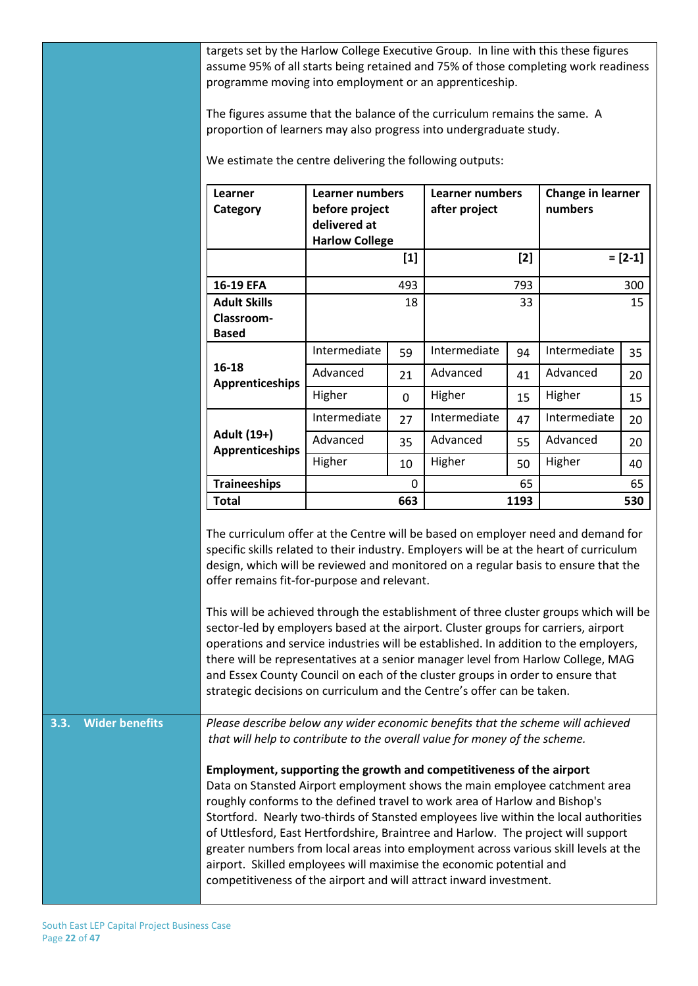targets set by the Harlow College Executive Group. In line with this these figures assume 95% of all starts being retained and 75% of those completing work readiness programme moving into employment or an apprenticeship.

The figures assume that the balance of the curriculum remains the same. A proportion of learners may also progress into undergraduate study.

We estimate the centre delivering the following outputs:

| Learner<br>Category                                      | <b>Learner numbers</b><br>before project<br>delivered at<br><b>Harlow College</b> |          | Learner numbers<br>after project |      | Change in learner<br>numbers |          |
|----------------------------------------------------------|-----------------------------------------------------------------------------------|----------|----------------------------------|------|------------------------------|----------|
|                                                          |                                                                                   | $[1]$    |                                  | [2]  |                              | $=[2-1]$ |
| 16-19 EFA                                                |                                                                                   | 493      |                                  | 793  |                              | 300      |
| <b>Adult Skills</b><br><b>Classroom-</b><br><b>Based</b> |                                                                                   | 18       |                                  | 33   |                              | 15       |
|                                                          | Intermediate                                                                      | 59       | Intermediate                     | 94   | Intermediate                 | 35       |
| 16-18<br>Apprenticeships                                 | Advanced                                                                          | 21       | Advanced                         | 41   | Advanced                     | 20       |
|                                                          | Higher                                                                            | $\Omega$ | Higher                           | 15   | Higher                       | 15       |
|                                                          | Intermediate                                                                      | 27       | Intermediate                     | 47   | Intermediate                 | 20       |
| Adult (19+)<br>Apprenticeships                           | Advanced                                                                          | 35       | Advanced                         | 55   | Advanced                     | 20       |
|                                                          | Higher                                                                            | 10       | Higher                           | 50   | Higher                       | 40       |
| <b>Traineeships</b>                                      |                                                                                   | 0        |                                  | 65   |                              | 65       |
| <b>Total</b>                                             |                                                                                   | 663      |                                  | 1193 |                              | 530      |

The curriculum offer at the Centre will be based on employer need and demand for specific skills related to their industry. Employers will be at the heart of curriculum design, which will be reviewed and monitored on a regular basis to ensure that the offer remains fit-for-purpose and relevant.

This will be achieved through the establishment of three cluster groups which will be sector-led by employers based at the airport. Cluster groups for carriers, airport operations and service industries will be established. In addition to the employers, there will be representatives at a senior manager level from Harlow College, MAG and Essex County Council on each of the cluster groups in order to ensure that strategic decisions on curriculum and the Centre's offer can be taken.

**3.3. Wider benefits** *Please describe below any wider economic benefits that the scheme will achieved that will help to contribute to the overall value for money of the scheme.*

> **Employment, supporting the growth and competitiveness of the airport** Data on Stansted Airport employment shows the main employee catchment area roughly conforms to the defined travel to work area of Harlow and Bishop's Stortford. Nearly two-thirds of Stansted employees live within the local authorities of Uttlesford, East Hertfordshire, Braintree and Harlow. The project will support greater numbers from local areas into employment across various skill levels at the airport. Skilled employees will maximise the economic potential and competitiveness of the airport and will attract inward investment.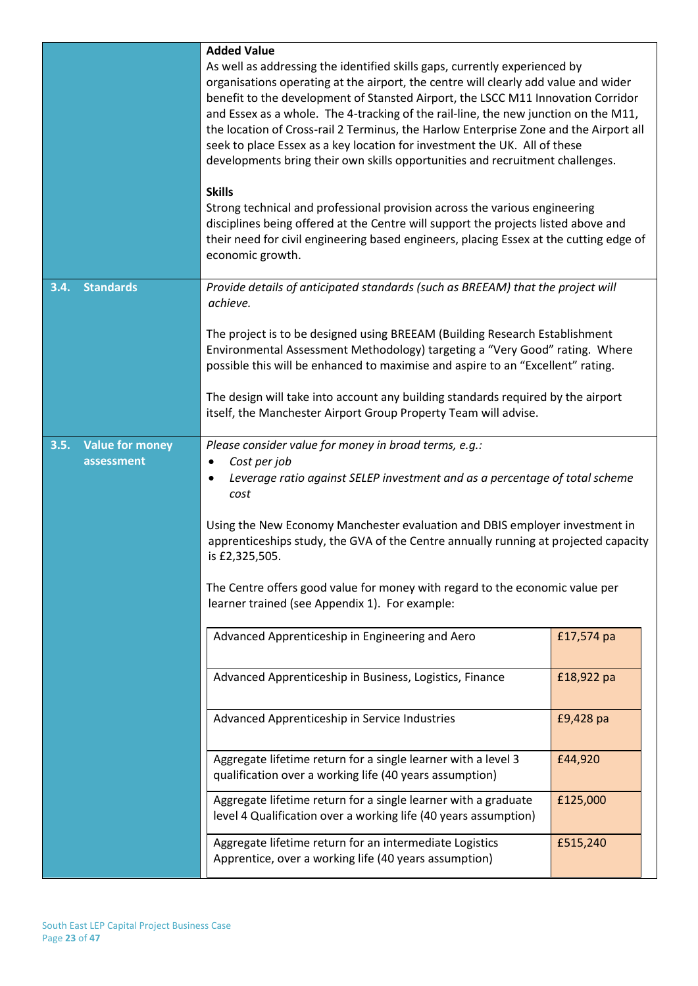|                                              | <b>Added Value</b><br>As well as addressing the identified skills gaps, currently experienced by<br>organisations operating at the airport, the centre will clearly add value and wider<br>benefit to the development of Stansted Airport, the LSCC M11 Innovation Corridor<br>and Essex as a whole. The 4-tracking of the rail-line, the new junction on the M11,<br>the location of Cross-rail 2 Terminus, the Harlow Enterprise Zone and the Airport all<br>seek to place Essex as a key location for investment the UK. All of these<br>developments bring their own skills opportunities and recruitment challenges.<br><b>Skills</b><br>Strong technical and professional provision across the various engineering<br>disciplines being offered at the Centre will support the projects listed above and<br>their need for civil engineering based engineers, placing Essex at the cutting edge of<br>economic growth. |            |  |  |  |  |
|----------------------------------------------|------------------------------------------------------------------------------------------------------------------------------------------------------------------------------------------------------------------------------------------------------------------------------------------------------------------------------------------------------------------------------------------------------------------------------------------------------------------------------------------------------------------------------------------------------------------------------------------------------------------------------------------------------------------------------------------------------------------------------------------------------------------------------------------------------------------------------------------------------------------------------------------------------------------------------|------------|--|--|--|--|
| <b>Standards</b><br>3.4.                     | Provide details of anticipated standards (such as BREEAM) that the project will<br>achieve.                                                                                                                                                                                                                                                                                                                                                                                                                                                                                                                                                                                                                                                                                                                                                                                                                                  |            |  |  |  |  |
|                                              | The project is to be designed using BREEAM (Building Research Establishment<br>Environmental Assessment Methodology) targeting a "Very Good" rating. Where<br>possible this will be enhanced to maximise and aspire to an "Excellent" rating.                                                                                                                                                                                                                                                                                                                                                                                                                                                                                                                                                                                                                                                                                |            |  |  |  |  |
|                                              | The design will take into account any building standards required by the airport<br>itself, the Manchester Airport Group Property Team will advise.                                                                                                                                                                                                                                                                                                                                                                                                                                                                                                                                                                                                                                                                                                                                                                          |            |  |  |  |  |
| <b>Value for money</b><br>3.5.<br>assessment | Please consider value for money in broad terms, e.g.:<br>Cost per job<br>$\bullet$<br>Leverage ratio against SELEP investment and as a percentage of total scheme<br>$\bullet$<br>cost                                                                                                                                                                                                                                                                                                                                                                                                                                                                                                                                                                                                                                                                                                                                       |            |  |  |  |  |
|                                              | Using the New Economy Manchester evaluation and DBIS employer investment in<br>apprenticeships study, the GVA of the Centre annually running at projected capacity<br>is £2,325,505.                                                                                                                                                                                                                                                                                                                                                                                                                                                                                                                                                                                                                                                                                                                                         |            |  |  |  |  |
|                                              | The Centre offers good value for money with regard to the economic value per<br>learner trained (see Appendix 1). For example:                                                                                                                                                                                                                                                                                                                                                                                                                                                                                                                                                                                                                                                                                                                                                                                               |            |  |  |  |  |
|                                              | Advanced Apprenticeship in Engineering and Aero                                                                                                                                                                                                                                                                                                                                                                                                                                                                                                                                                                                                                                                                                                                                                                                                                                                                              | £17,574 pa |  |  |  |  |
|                                              | Advanced Apprenticeship in Business, Logistics, Finance                                                                                                                                                                                                                                                                                                                                                                                                                                                                                                                                                                                                                                                                                                                                                                                                                                                                      | £18,922 pa |  |  |  |  |
|                                              | Advanced Apprenticeship in Service Industries<br>£9,428 pa                                                                                                                                                                                                                                                                                                                                                                                                                                                                                                                                                                                                                                                                                                                                                                                                                                                                   |            |  |  |  |  |
|                                              | Aggregate lifetime return for a single learner with a level 3<br>£44,920<br>qualification over a working life (40 years assumption)                                                                                                                                                                                                                                                                                                                                                                                                                                                                                                                                                                                                                                                                                                                                                                                          |            |  |  |  |  |
|                                              | Aggregate lifetime return for a single learner with a graduate<br>£125,000<br>level 4 Qualification over a working life (40 years assumption)                                                                                                                                                                                                                                                                                                                                                                                                                                                                                                                                                                                                                                                                                                                                                                                |            |  |  |  |  |
|                                              | Aggregate lifetime return for an intermediate Logistics<br>£515,240<br>Apprentice, over a working life (40 years assumption)                                                                                                                                                                                                                                                                                                                                                                                                                                                                                                                                                                                                                                                                                                                                                                                                 |            |  |  |  |  |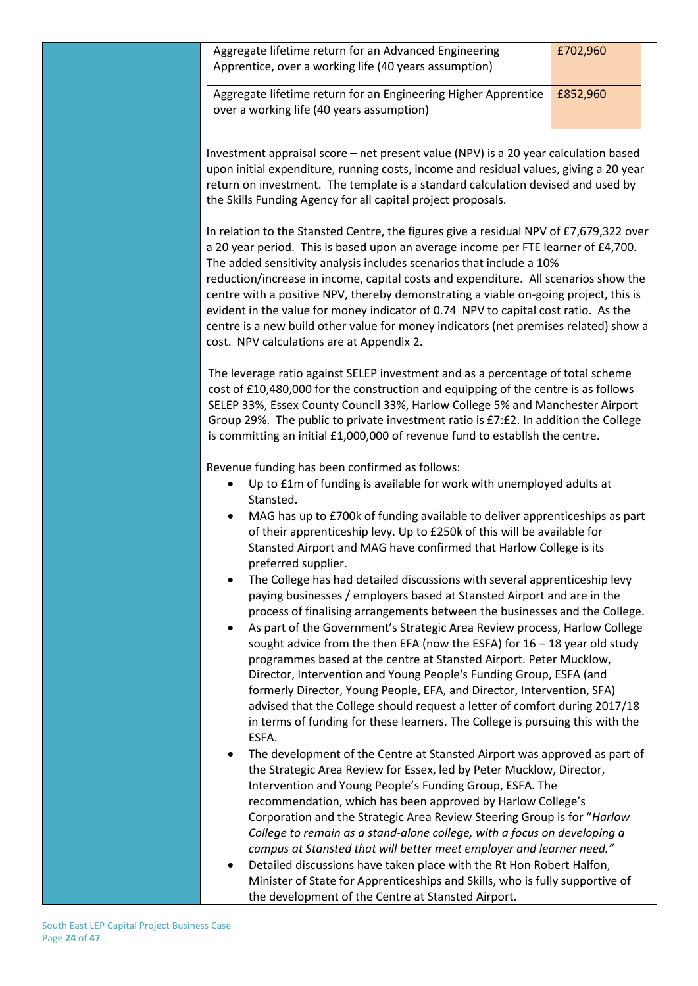| Aggregate lifetime return for an Advanced Engineering<br>Apprentice, over a working life (40 years assumption)                                                                                                                                                                                                                                                                                                                                                                                                                                                                                                                                                                                                            | £702,960 |
|---------------------------------------------------------------------------------------------------------------------------------------------------------------------------------------------------------------------------------------------------------------------------------------------------------------------------------------------------------------------------------------------------------------------------------------------------------------------------------------------------------------------------------------------------------------------------------------------------------------------------------------------------------------------------------------------------------------------------|----------|
| Aggregate lifetime return for an Engineering Higher Apprentice<br>over a working life (40 years assumption)                                                                                                                                                                                                                                                                                                                                                                                                                                                                                                                                                                                                               | £852,960 |
| Investment appraisal score - net present value (NPV) is a 20 year calculation based<br>upon initial expenditure, running costs, income and residual values, giving a 20 year<br>return on investment. The template is a standard calculation devised and used by<br>the Skills Funding Agency for all capital project proposals.                                                                                                                                                                                                                                                                                                                                                                                          |          |
| In relation to the Stansted Centre, the figures give a residual NPV of £7,679,322 over<br>a 20 year period. This is based upon an average income per FTE learner of £4,700.<br>The added sensitivity analysis includes scenarios that include a 10%<br>reduction/increase in income, capital costs and expenditure. All scenarios show the<br>centre with a positive NPV, thereby demonstrating a viable on-going project, this is<br>evident in the value for money indicator of 0.74 NPV to capital cost ratio. As the<br>centre is a new build other value for money indicators (net premises related) show a<br>cost. NPV calculations are at Appendix 2.                                                             |          |
| The leverage ratio against SELEP investment and as a percentage of total scheme<br>cost of £10,480,000 for the construction and equipping of the centre is as follows<br>SELEP 33%, Essex County Council 33%, Harlow College 5% and Manchester Airport<br>Group 29%. The public to private investment ratio is £7:£2. In addition the College<br>is committing an initial £1,000,000 of revenue fund to establish the centre.                                                                                                                                                                                                                                                                                             |          |
| Revenue funding has been confirmed as follows:<br>Up to £1m of funding is available for work with unemployed adults at<br>Stansted.<br>MAG has up to £700k of funding available to deliver apprenticeships as part<br>of their apprenticeship levy. Up to £250k of this will be available for                                                                                                                                                                                                                                                                                                                                                                                                                             |          |
| Stansted Airport and MAG have confirmed that Harlow College is its<br>preferred supplier.<br>The College has had detailed discussions with several apprenticeship levy<br>paying businesses / employers based at Stansted Airport and are in the<br>process of finalising arrangements between the businesses and the College.<br>As part of the Government's Strategic Area Review process, Harlow College<br>$\bullet$<br>sought advice from the then EFA (now the ESFA) for $16 - 18$ year old study                                                                                                                                                                                                                   |          |
| programmes based at the centre at Stansted Airport. Peter Mucklow,<br>Director, Intervention and Young People's Funding Group, ESFA (and<br>formerly Director, Young People, EFA, and Director, Intervention, SFA)<br>advised that the College should request a letter of comfort during 2017/18<br>in terms of funding for these learners. The College is pursuing this with the<br>ESFA.                                                                                                                                                                                                                                                                                                                                |          |
| The development of the Centre at Stansted Airport was approved as part of<br>the Strategic Area Review for Essex, led by Peter Mucklow, Director,<br>Intervention and Young People's Funding Group, ESFA. The<br>recommendation, which has been approved by Harlow College's<br>Corporation and the Strategic Area Review Steering Group is for "Harlow<br>College to remain as a stand-alone college, with a focus on developing a<br>campus at Stansted that will better meet employer and learner need."<br>Detailed discussions have taken place with the Rt Hon Robert Halfon,<br>Minister of State for Apprenticeships and Skills, who is fully supportive of<br>the development of the Centre at Stansted Airport. |          |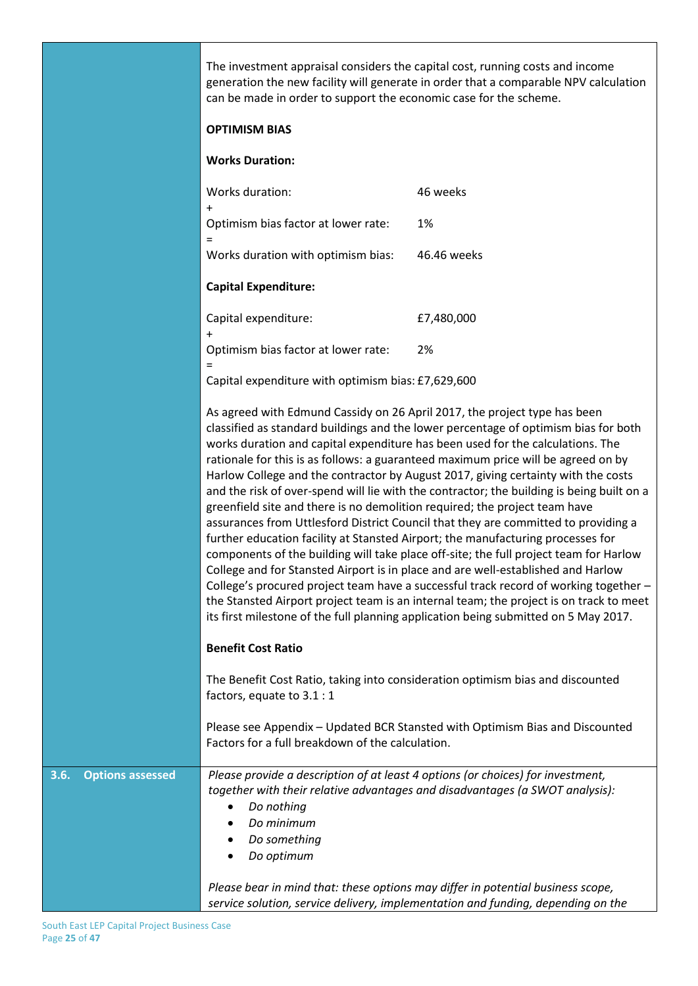|                                 | The investment appraisal considers the capital cost, running costs and income<br>generation the new facility will generate in order that a comparable NPV calculation<br>can be made in order to support the economic case for the scheme.<br><b>OPTIMISM BIAS</b>                                                                                                                                                                                                                                                                                                                                                                                                                                                                                                                                                                                                                                                                                                                                                                                                                                                                                                                                                                     |                                                                                |  |  |  |
|---------------------------------|----------------------------------------------------------------------------------------------------------------------------------------------------------------------------------------------------------------------------------------------------------------------------------------------------------------------------------------------------------------------------------------------------------------------------------------------------------------------------------------------------------------------------------------------------------------------------------------------------------------------------------------------------------------------------------------------------------------------------------------------------------------------------------------------------------------------------------------------------------------------------------------------------------------------------------------------------------------------------------------------------------------------------------------------------------------------------------------------------------------------------------------------------------------------------------------------------------------------------------------|--------------------------------------------------------------------------------|--|--|--|
|                                 | <b>Works Duration:</b>                                                                                                                                                                                                                                                                                                                                                                                                                                                                                                                                                                                                                                                                                                                                                                                                                                                                                                                                                                                                                                                                                                                                                                                                                 |                                                                                |  |  |  |
|                                 | Works duration:<br>$\ddot{}$                                                                                                                                                                                                                                                                                                                                                                                                                                                                                                                                                                                                                                                                                                                                                                                                                                                                                                                                                                                                                                                                                                                                                                                                           | 46 weeks                                                                       |  |  |  |
|                                 | Optimism bias factor at lower rate:                                                                                                                                                                                                                                                                                                                                                                                                                                                                                                                                                                                                                                                                                                                                                                                                                                                                                                                                                                                                                                                                                                                                                                                                    | 1%                                                                             |  |  |  |
|                                 | $=$<br>Works duration with optimism bias:                                                                                                                                                                                                                                                                                                                                                                                                                                                                                                                                                                                                                                                                                                                                                                                                                                                                                                                                                                                                                                                                                                                                                                                              | 46.46 weeks                                                                    |  |  |  |
|                                 | <b>Capital Expenditure:</b>                                                                                                                                                                                                                                                                                                                                                                                                                                                                                                                                                                                                                                                                                                                                                                                                                                                                                                                                                                                                                                                                                                                                                                                                            |                                                                                |  |  |  |
|                                 | Capital expenditure:<br>$\ddot{}$                                                                                                                                                                                                                                                                                                                                                                                                                                                                                                                                                                                                                                                                                                                                                                                                                                                                                                                                                                                                                                                                                                                                                                                                      | £7,480,000                                                                     |  |  |  |
|                                 | Optimism bias factor at lower rate:                                                                                                                                                                                                                                                                                                                                                                                                                                                                                                                                                                                                                                                                                                                                                                                                                                                                                                                                                                                                                                                                                                                                                                                                    | 2%                                                                             |  |  |  |
|                                 | $\equiv$<br>Capital expenditure with optimism bias: £7,629,600                                                                                                                                                                                                                                                                                                                                                                                                                                                                                                                                                                                                                                                                                                                                                                                                                                                                                                                                                                                                                                                                                                                                                                         |                                                                                |  |  |  |
|                                 | As agreed with Edmund Cassidy on 26 April 2017, the project type has been<br>classified as standard buildings and the lower percentage of optimism bias for both<br>works duration and capital expenditure has been used for the calculations. The<br>rationale for this is as follows: a guaranteed maximum price will be agreed on by<br>Harlow College and the contractor by August 2017, giving certainty with the costs<br>and the risk of over-spend will lie with the contractor; the building is being built on a<br>greenfield site and there is no demolition required; the project team have<br>assurances from Uttlesford District Council that they are committed to providing a<br>further education facility at Stansted Airport; the manufacturing processes for<br>components of the building will take place off-site; the full project team for Harlow<br>College and for Stansted Airport is in place and are well-established and Harlow<br>College's procured project team have a successful track record of working together -<br>the Stansted Airport project team is an internal team; the project is on track to meet<br>its first milestone of the full planning application being submitted on 5 May 2017. |                                                                                |  |  |  |
|                                 | <b>Benefit Cost Ratio</b>                                                                                                                                                                                                                                                                                                                                                                                                                                                                                                                                                                                                                                                                                                                                                                                                                                                                                                                                                                                                                                                                                                                                                                                                              |                                                                                |  |  |  |
|                                 | factors, equate to 3.1 : 1                                                                                                                                                                                                                                                                                                                                                                                                                                                                                                                                                                                                                                                                                                                                                                                                                                                                                                                                                                                                                                                                                                                                                                                                             | The Benefit Cost Ratio, taking into consideration optimism bias and discounted |  |  |  |
|                                 | Factors for a full breakdown of the calculation.                                                                                                                                                                                                                                                                                                                                                                                                                                                                                                                                                                                                                                                                                                                                                                                                                                                                                                                                                                                                                                                                                                                                                                                       | Please see Appendix - Updated BCR Stansted with Optimism Bias and Discounted   |  |  |  |
| <b>Options assessed</b><br>3.6. | Please provide a description of at least 4 options (or choices) for investment,<br>Do nothing<br>$\bullet$<br>Do minimum<br>Do something<br>Do optimum<br>٠<br>Please bear in mind that: these options may differ in potential business scope,                                                                                                                                                                                                                                                                                                                                                                                                                                                                                                                                                                                                                                                                                                                                                                                                                                                                                                                                                                                         | together with their relative advantages and disadvantages (a SWOT analysis):   |  |  |  |
|                                 | service solution, service delivery, implementation and funding, depending on the                                                                                                                                                                                                                                                                                                                                                                                                                                                                                                                                                                                                                                                                                                                                                                                                                                                                                                                                                                                                                                                                                                                                                       |                                                                                |  |  |  |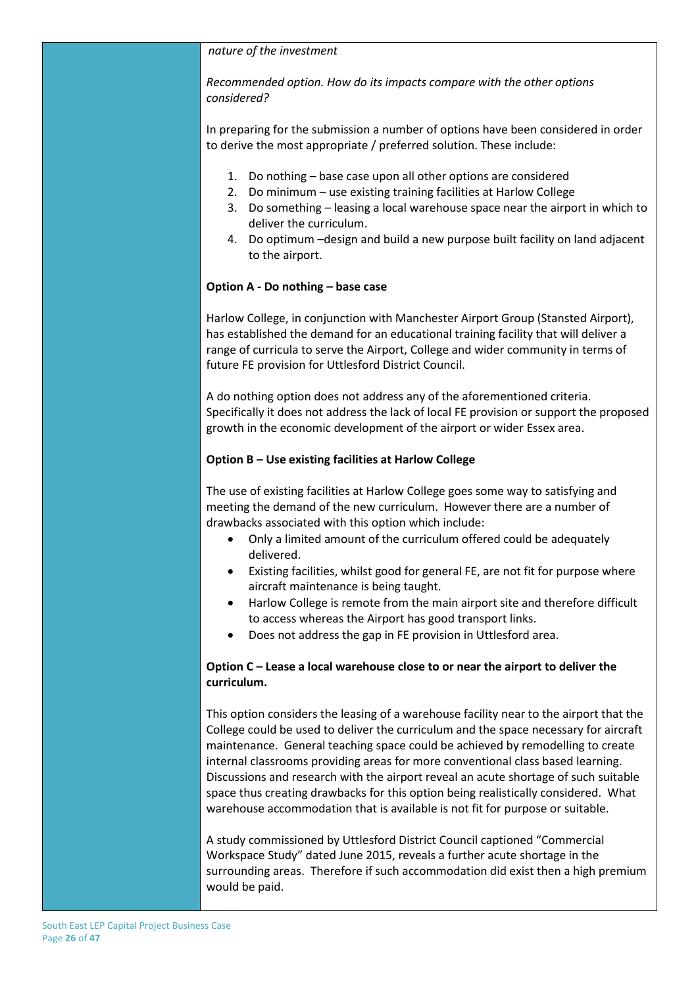#### *nature of the investment*

*Recommended option. How do its impacts compare with the other options considered?*

In preparing for the submission a number of options have been considered in order to derive the most appropriate / preferred solution. These include:

- 1. Do nothing base case upon all other options are considered
- 2. Do minimum use existing training facilities at Harlow College
	- 3. Do something leasing a local warehouse space near the airport in which to deliver the curriculum.
- 4. Do optimum –design and build a new purpose built facility on land adjacent to the airport.

#### **Option A - Do nothing – base case**

Harlow College, in conjunction with Manchester Airport Group (Stansted Airport), has established the demand for an educational training facility that will deliver a range of curricula to serve the Airport, College and wider community in terms of future FE provision for Uttlesford District Council.

A do nothing option does not address any of the aforementioned criteria. Specifically it does not address the lack of local FE provision or support the proposed growth in the economic development of the airport or wider Essex area.

#### **Option B – Use existing facilities at Harlow College**

The use of existing facilities at Harlow College goes some way to satisfying and meeting the demand of the new curriculum. However there are a number of drawbacks associated with this option which include:

- Only a limited amount of the curriculum offered could be adequately delivered.
- Existing facilities, whilst good for general FE, are not fit for purpose where aircraft maintenance is being taught.
- Harlow College is remote from the main airport site and therefore difficult to access whereas the Airport has good transport links.
- Does not address the gap in FE provision in Uttlesford area.

#### **Option C – Lease a local warehouse close to or near the airport to deliver the curriculum.**

This option considers the leasing of a warehouse facility near to the airport that the College could be used to deliver the curriculum and the space necessary for aircraft maintenance. General teaching space could be achieved by remodelling to create internal classrooms providing areas for more conventional class based learning. Discussions and research with the airport reveal an acute shortage of such suitable space thus creating drawbacks for this option being realistically considered. What warehouse accommodation that is available is not fit for purpose or suitable.

A study commissioned by Uttlesford District Council captioned "Commercial Workspace Study" dated June 2015, reveals a further acute shortage in the surrounding areas. Therefore if such accommodation did exist then a high premium would be paid.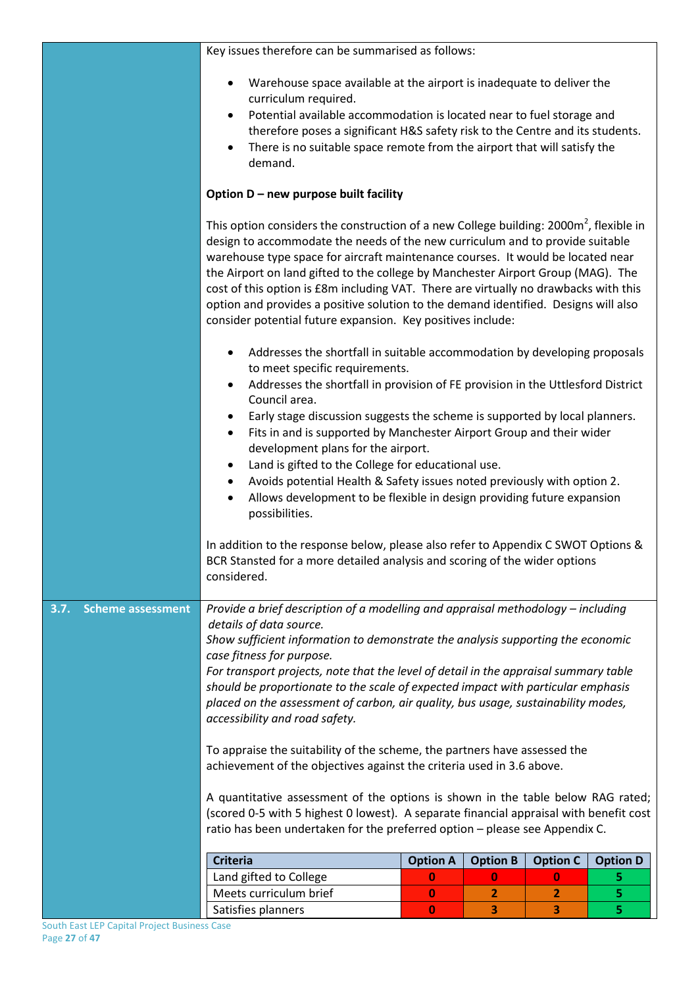|                                  | Key issues therefore can be summarised as follows:                                                                                                                                                                                                                                                                                                                                                                                                                                                                                                                                              |                 |                 |                 |                 |  |  |
|----------------------------------|-------------------------------------------------------------------------------------------------------------------------------------------------------------------------------------------------------------------------------------------------------------------------------------------------------------------------------------------------------------------------------------------------------------------------------------------------------------------------------------------------------------------------------------------------------------------------------------------------|-----------------|-----------------|-----------------|-----------------|--|--|
|                                  | Warehouse space available at the airport is inadequate to deliver the<br>$\bullet$<br>curriculum required.<br>Potential available accommodation is located near to fuel storage and<br>therefore poses a significant H&S safety risk to the Centre and its students.<br>There is no suitable space remote from the airport that will satisfy the<br>$\bullet$<br>demand.                                                                                                                                                                                                                        |                 |                 |                 |                 |  |  |
|                                  | Option D - new purpose built facility                                                                                                                                                                                                                                                                                                                                                                                                                                                                                                                                                           |                 |                 |                 |                 |  |  |
|                                  | This option considers the construction of a new College building: $2000m^2$ , flexible in<br>design to accommodate the needs of the new curriculum and to provide suitable<br>warehouse type space for aircraft maintenance courses. It would be located near<br>the Airport on land gifted to the college by Manchester Airport Group (MAG). The<br>cost of this option is £8m including VAT. There are virtually no drawbacks with this<br>option and provides a positive solution to the demand identified. Designs will also<br>consider potential future expansion. Key positives include: |                 |                 |                 |                 |  |  |
|                                  | Addresses the shortfall in suitable accommodation by developing proposals<br>to meet specific requirements.<br>٠                                                                                                                                                                                                                                                                                                                                                                                                                                                                                |                 |                 |                 |                 |  |  |
|                                  | Addresses the shortfall in provision of FE provision in the Uttlesford District<br>Council area.<br>Early stage discussion suggests the scheme is supported by local planners.<br>Fits in and is supported by Manchester Airport Group and their wider<br>٠<br>development plans for the airport.<br>Land is gifted to the College for educational use.                                                                                                                                                                                                                                         |                 |                 |                 |                 |  |  |
|                                  | Avoids potential Health & Safety issues noted previously with option 2.<br>٠<br>Allows development to be flexible in design providing future expansion<br>possibilities.                                                                                                                                                                                                                                                                                                                                                                                                                        |                 |                 |                 |                 |  |  |
|                                  | In addition to the response below, please also refer to Appendix C SWOT Options &<br>BCR Stansted for a more detailed analysis and scoring of the wider options<br>considered.                                                                                                                                                                                                                                                                                                                                                                                                                  |                 |                 |                 |                 |  |  |
| 3.7.<br><b>Scheme assessment</b> | Provide a brief description of a modelling and appraisal methodology - including<br>details of data source.<br>Show sufficient information to demonstrate the analysis supporting the economic<br>case fitness for purpose.<br>For transport projects, note that the level of detail in the appraisal summary table<br>should be proportionate to the scale of expected impact with particular emphasis<br>placed on the assessment of carbon, air quality, bus usage, sustainability modes,                                                                                                    |                 |                 |                 |                 |  |  |
|                                  | accessibility and road safety.<br>To appraise the suitability of the scheme, the partners have assessed the<br>achievement of the objectives against the criteria used in 3.6 above.                                                                                                                                                                                                                                                                                                                                                                                                            |                 |                 |                 |                 |  |  |
|                                  | A quantitative assessment of the options is shown in the table below RAG rated;<br>(scored 0-5 with 5 highest 0 lowest). A separate financial appraisal with benefit cost<br>ratio has been undertaken for the preferred option - please see Appendix C.                                                                                                                                                                                                                                                                                                                                        |                 |                 |                 |                 |  |  |
|                                  | <b>Criteria</b>                                                                                                                                                                                                                                                                                                                                                                                                                                                                                                                                                                                 | <b>Option A</b> | <b>Option B</b> | <b>Option C</b> | <b>Option D</b> |  |  |
|                                  | Land gifted to College                                                                                                                                                                                                                                                                                                                                                                                                                                                                                                                                                                          | $\bf{0}$        | 0               | 0               | 5               |  |  |
|                                  | Meets curriculum brief                                                                                                                                                                                                                                                                                                                                                                                                                                                                                                                                                                          | $\bf{0}$        | $\overline{2}$  | 2               | 5               |  |  |
|                                  | Satisfies planners<br>5<br>3<br>0<br>З.                                                                                                                                                                                                                                                                                                                                                                                                                                                                                                                                                         |                 |                 |                 |                 |  |  |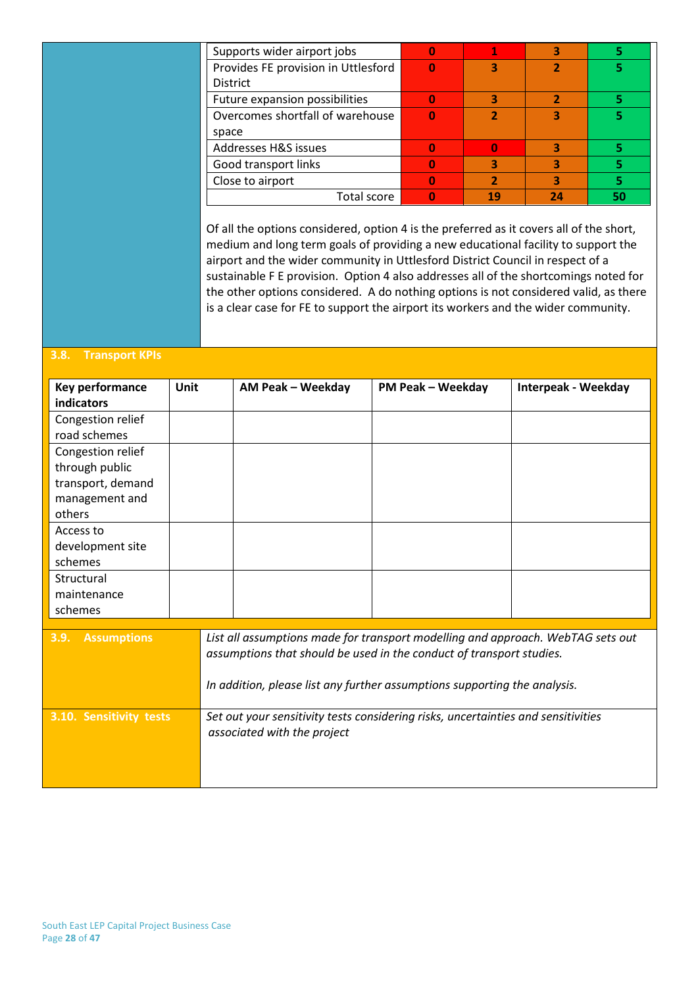| Supports wider airport jobs         | 0 |    |    |    |
|-------------------------------------|---|----|----|----|
| Provides FE provision in Uttlesford | 0 |    |    | 5  |
| <b>District</b>                     |   |    |    |    |
| Future expansion possibilities      |   |    |    |    |
| Overcomes shortfall of warehouse    |   |    | 3  | 5  |
| space                               |   |    |    |    |
| Addresses H&S issues                |   |    | 3  |    |
| Good transport links                |   |    |    |    |
| Close to airport                    |   |    | 3  | 5  |
| Total score                         | 0 | 19 | 24 | 50 |
|                                     |   |    |    |    |

Of all the options considered, option 4 is the preferred as it covers all of the short, medium and long term goals of providing a new educational facility to support the airport and the wider community in Uttlesford District Council in respect of a sustainable F E provision. Option 4 also addresses all of the shortcomings noted for the other options considered. A do nothing options is not considered valid, as there is a clear case for FE to support the airport its workers and the wider community.

#### **3.8. Transport KPIs**

| Key performance            | <b>Unit</b>                                                                       | AM Peak - Weekday                                                               | <b>PM Peak - Weekday</b> | <b>Interpeak - Weekday</b> |
|----------------------------|-----------------------------------------------------------------------------------|---------------------------------------------------------------------------------|--------------------------|----------------------------|
| indicators                 |                                                                                   |                                                                                 |                          |                            |
| Congestion relief          |                                                                                   |                                                                                 |                          |                            |
| road schemes               |                                                                                   |                                                                                 |                          |                            |
| Congestion relief          |                                                                                   |                                                                                 |                          |                            |
| through public             |                                                                                   |                                                                                 |                          |                            |
| transport, demand          |                                                                                   |                                                                                 |                          |                            |
| management and             |                                                                                   |                                                                                 |                          |                            |
| others                     |                                                                                   |                                                                                 |                          |                            |
| Access to                  |                                                                                   |                                                                                 |                          |                            |
| development site           |                                                                                   |                                                                                 |                          |                            |
| schemes                    |                                                                                   |                                                                                 |                          |                            |
| Structural                 |                                                                                   |                                                                                 |                          |                            |
| maintenance                |                                                                                   |                                                                                 |                          |                            |
| schemes                    |                                                                                   |                                                                                 |                          |                            |
|                            |                                                                                   |                                                                                 |                          |                            |
| 3.9.<br><b>Assumptions</b> |                                                                                   | List all assumptions made for transport modelling and approach. WebTAG sets out |                          |                            |
|                            |                                                                                   | assumptions that should be used in the conduct of transport studies.            |                          |                            |
|                            |                                                                                   |                                                                                 |                          |                            |
|                            |                                                                                   | In addition, please list any further assumptions supporting the analysis.       |                          |                            |
|                            |                                                                                   |                                                                                 |                          |                            |
| 3.10. Sensitivity tests    | Set out your sensitivity tests considering risks, uncertainties and sensitivities |                                                                                 |                          |                            |
|                            |                                                                                   | associated with the project                                                     |                          |                            |
|                            |                                                                                   |                                                                                 |                          |                            |
|                            |                                                                                   |                                                                                 |                          |                            |
|                            |                                                                                   |                                                                                 |                          |                            |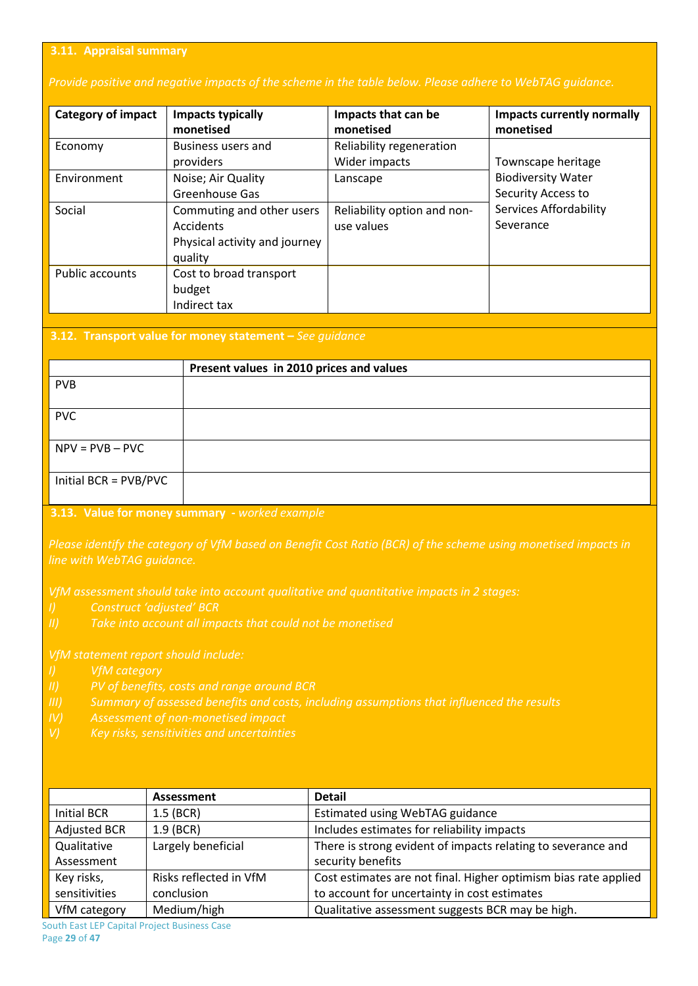#### **3.11. Appraisal summary**

#### *Provide positive and negative impacts of the scheme in the table below. Please adhere to WebTAG guidance.*

| <b>Category of impact</b> | <b>Impacts typically</b><br>monetised                                              | Impacts that can be<br>monetised          | <b>Impacts currently normally</b><br>monetised  |
|---------------------------|------------------------------------------------------------------------------------|-------------------------------------------|-------------------------------------------------|
| Economy                   | <b>Business users and</b><br>providers                                             | Reliability regeneration<br>Wider impacts | Townscape heritage                              |
| Environment               | Noise; Air Quality<br>Greenhouse Gas                                               | Lanscape                                  | <b>Biodiversity Water</b><br>Security Access to |
| Social                    | Commuting and other users<br>Accidents<br>Physical activity and journey<br>quality | Reliability option and non-<br>use values | <b>Services Affordability</b><br>Severance      |
| Public accounts           | Cost to broad transport<br>budget<br>Indirect tax                                  |                                           |                                                 |

#### **3.12. Transport value for money statement –** *See guidance*

|                       | Present values in 2010 prices and values |
|-----------------------|------------------------------------------|
| <b>PVB</b>            |                                          |
| <b>PVC</b>            |                                          |
| $NPV = PVB - PVC$     |                                          |
| Initial BCR = PVB/PVC |                                          |

#### **3.13. Value for money summary -** *worked example*

*Please identify the category of VfM based on Benefit Cost Ratio (BCR) of the scheme using monetised impacts in* 

- 
- 

- 
- 
- 

|                     | Assessment             | <b>Detail</b>                                                   |
|---------------------|------------------------|-----------------------------------------------------------------|
| Initial BCR         | $1.5$ (BCR)            | Estimated using WebTAG guidance                                 |
| <b>Adjusted BCR</b> | $1.9$ (BCR)            | Includes estimates for reliability impacts                      |
| Qualitative         | Largely beneficial     | There is strong evident of impacts relating to severance and    |
| Assessment          |                        | security benefits                                               |
| Key risks,          | Risks reflected in VfM | Cost estimates are not final. Higher optimism bias rate applied |
| sensitivities       | conclusion             | to account for uncertainty in cost estimates                    |
| VfM category        | Medium/high            | Qualitative assessment suggests BCR may be high.                |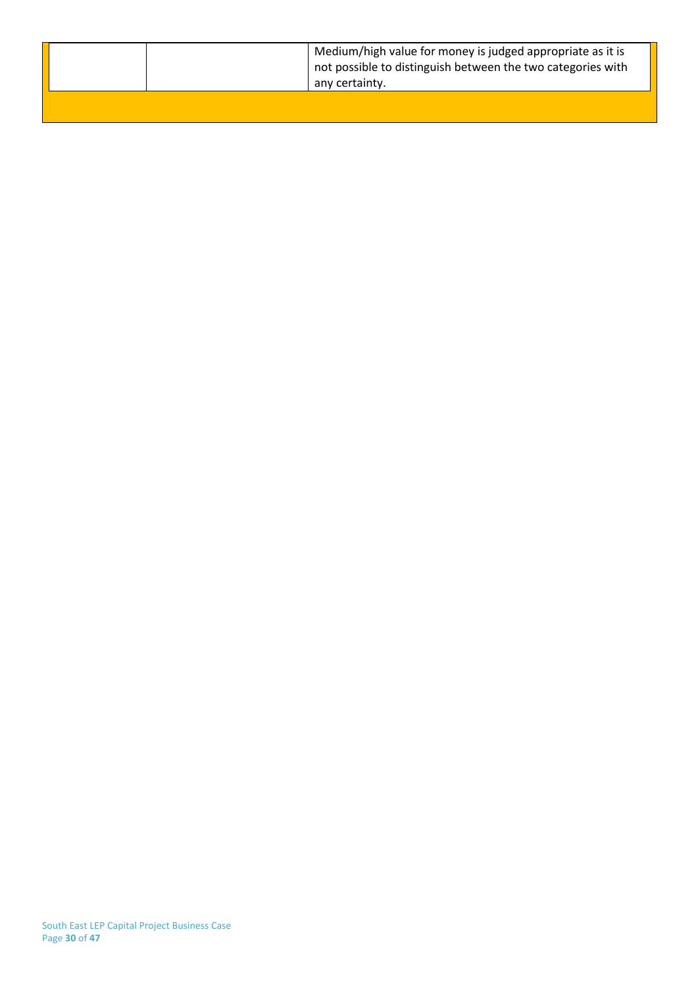| Medium/high value for money is judged appropriate as it is<br>not possible to distinguish between the two categories with<br>any certainty. |
|---------------------------------------------------------------------------------------------------------------------------------------------|
|                                                                                                                                             |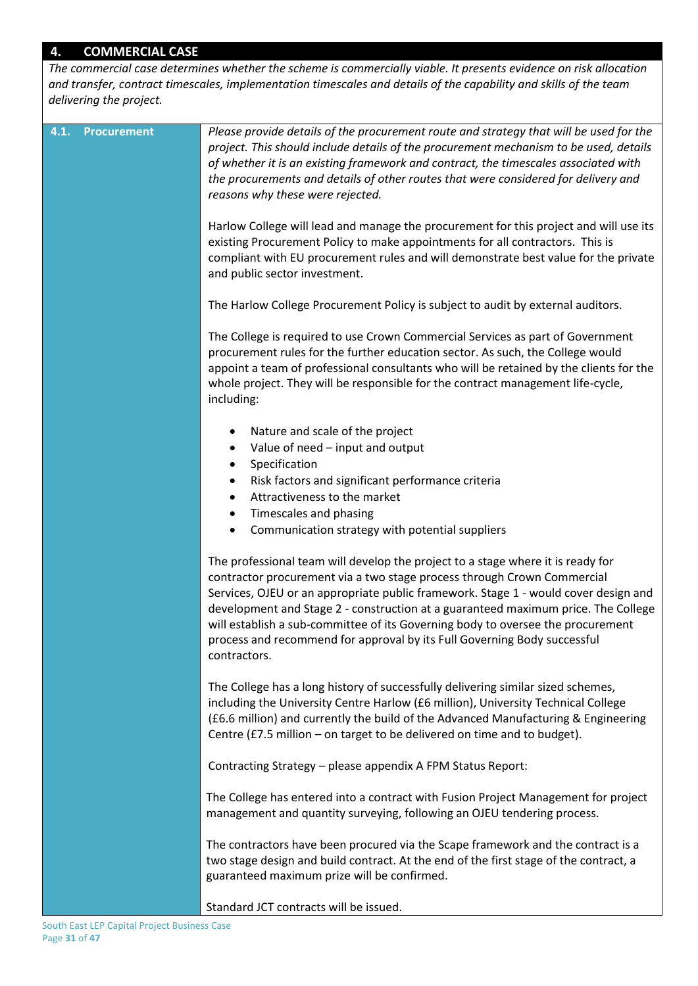## **4. COMMERCIAL CASE**

*The commercial case determines whether the scheme is commercially viable. It presents evidence on risk allocation and transfer, contract timescales, implementation timescales and details of the capability and skills of the team delivering the project.*

| 4.1. | <b>Procurement</b> | Please provide details of the procurement route and strategy that will be used for the<br>project. This should include details of the procurement mechanism to be used, details<br>of whether it is an existing framework and contract, the timescales associated with<br>the procurements and details of other routes that were considered for delivery and<br>reasons why these were rejected.                                                                                                                      |
|------|--------------------|-----------------------------------------------------------------------------------------------------------------------------------------------------------------------------------------------------------------------------------------------------------------------------------------------------------------------------------------------------------------------------------------------------------------------------------------------------------------------------------------------------------------------|
|      |                    | Harlow College will lead and manage the procurement for this project and will use its<br>existing Procurement Policy to make appointments for all contractors. This is<br>compliant with EU procurement rules and will demonstrate best value for the private<br>and public sector investment.                                                                                                                                                                                                                        |
|      |                    | The Harlow College Procurement Policy is subject to audit by external auditors.                                                                                                                                                                                                                                                                                                                                                                                                                                       |
|      |                    | The College is required to use Crown Commercial Services as part of Government<br>procurement rules for the further education sector. As such, the College would<br>appoint a team of professional consultants who will be retained by the clients for the<br>whole project. They will be responsible for the contract management life-cycle,<br>including:                                                                                                                                                           |
|      |                    | Nature and scale of the project<br>٠                                                                                                                                                                                                                                                                                                                                                                                                                                                                                  |
|      |                    | Value of need - input and output<br>٠                                                                                                                                                                                                                                                                                                                                                                                                                                                                                 |
|      |                    | Specification<br>٠<br>Risk factors and significant performance criteria<br>$\bullet$                                                                                                                                                                                                                                                                                                                                                                                                                                  |
|      |                    | Attractiveness to the market<br>$\bullet$                                                                                                                                                                                                                                                                                                                                                                                                                                                                             |
|      |                    | Timescales and phasing<br>$\bullet$                                                                                                                                                                                                                                                                                                                                                                                                                                                                                   |
|      |                    | Communication strategy with potential suppliers<br>$\bullet$                                                                                                                                                                                                                                                                                                                                                                                                                                                          |
|      |                    | The professional team will develop the project to a stage where it is ready for<br>contractor procurement via a two stage process through Crown Commercial<br>Services, OJEU or an appropriate public framework. Stage 1 - would cover design and<br>development and Stage 2 - construction at a guaranteed maximum price. The College<br>will establish a sub-committee of its Governing body to oversee the procurement<br>process and recommend for approval by its Full Governing Body successful<br>contractors. |
|      |                    | The College has a long history of successfully delivering similar sized schemes,<br>including the University Centre Harlow (£6 million), University Technical College<br>(£6.6 million) and currently the build of the Advanced Manufacturing & Engineering<br>Centre (£7.5 million - on target to be delivered on time and to budget).                                                                                                                                                                               |
|      |                    | Contracting Strategy - please appendix A FPM Status Report:                                                                                                                                                                                                                                                                                                                                                                                                                                                           |
|      |                    | The College has entered into a contract with Fusion Project Management for project<br>management and quantity surveying, following an OJEU tendering process.                                                                                                                                                                                                                                                                                                                                                         |
|      |                    | The contractors have been procured via the Scape framework and the contract is a<br>two stage design and build contract. At the end of the first stage of the contract, a<br>guaranteed maximum prize will be confirmed.                                                                                                                                                                                                                                                                                              |
|      |                    | Standard JCT contracts will be issued.                                                                                                                                                                                                                                                                                                                                                                                                                                                                                |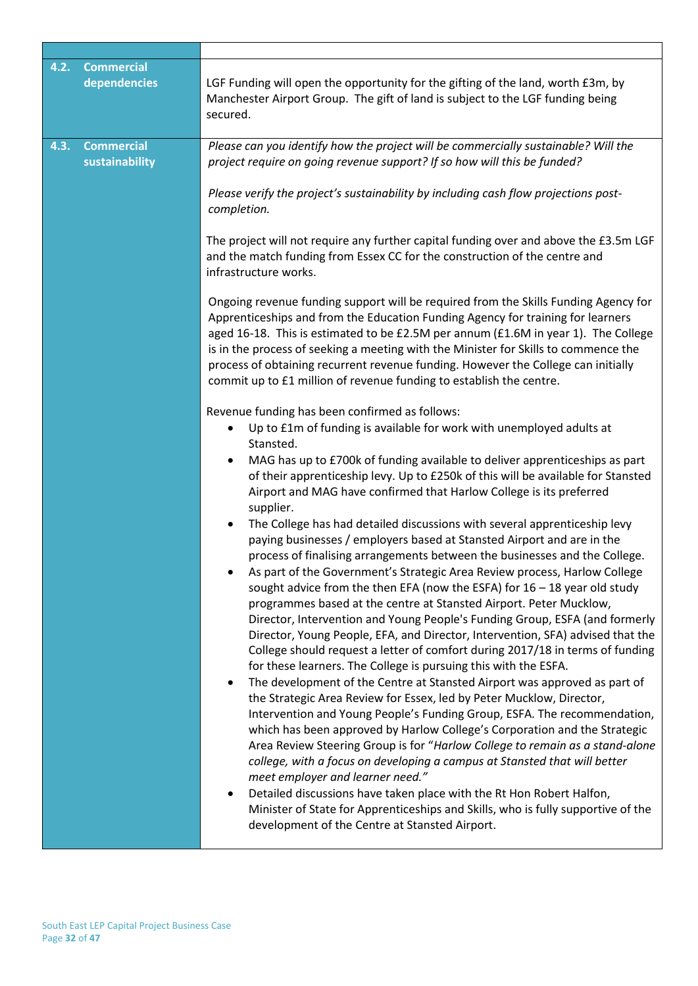| 4.2. | <b>Commercial</b><br>dependencies   | LGF Funding will open the opportunity for the gifting of the land, worth £3m, by<br>Manchester Airport Group. The gift of land is subject to the LGF funding being<br>secured.                                                                                                                                                                                                                                                                                                                                                                                                                                                                                                                                                                                                                                                                                                                                                                                                                                                                                                                                                                                                                                                                                                                                                                                                                                                                                                                                                                                                                                                                                                                                                                                                                                                                                                                                                                                                                                                                                                                                                                                                                                                                                                                                                                                                                                                                                                                                                         |
|------|-------------------------------------|----------------------------------------------------------------------------------------------------------------------------------------------------------------------------------------------------------------------------------------------------------------------------------------------------------------------------------------------------------------------------------------------------------------------------------------------------------------------------------------------------------------------------------------------------------------------------------------------------------------------------------------------------------------------------------------------------------------------------------------------------------------------------------------------------------------------------------------------------------------------------------------------------------------------------------------------------------------------------------------------------------------------------------------------------------------------------------------------------------------------------------------------------------------------------------------------------------------------------------------------------------------------------------------------------------------------------------------------------------------------------------------------------------------------------------------------------------------------------------------------------------------------------------------------------------------------------------------------------------------------------------------------------------------------------------------------------------------------------------------------------------------------------------------------------------------------------------------------------------------------------------------------------------------------------------------------------------------------------------------------------------------------------------------------------------------------------------------------------------------------------------------------------------------------------------------------------------------------------------------------------------------------------------------------------------------------------------------------------------------------------------------------------------------------------------------------------------------------------------------------------------------------------------------|
| 4.3. | <b>Commercial</b><br>sustainability | Please can you identify how the project will be commercially sustainable? Will the<br>project require on going revenue support? If so how will this be funded?<br>Please verify the project's sustainability by including cash flow projections post-<br>completion.<br>The project will not require any further capital funding over and above the £3.5m LGF<br>and the match funding from Essex CC for the construction of the centre and<br>infrastructure works.<br>Ongoing revenue funding support will be required from the Skills Funding Agency for<br>Apprenticeships and from the Education Funding Agency for training for learners<br>aged 16-18. This is estimated to be £2.5M per annum (£1.6M in year 1). The College<br>is in the process of seeking a meeting with the Minister for Skills to commence the<br>process of obtaining recurrent revenue funding. However the College can initially<br>commit up to £1 million of revenue funding to establish the centre.<br>Revenue funding has been confirmed as follows:<br>Up to £1m of funding is available for work with unemployed adults at<br>Stansted.<br>MAG has up to £700k of funding available to deliver apprenticeships as part<br>$\bullet$<br>of their apprenticeship levy. Up to £250k of this will be available for Stansted<br>Airport and MAG have confirmed that Harlow College is its preferred<br>supplier.<br>The College has had detailed discussions with several apprenticeship levy<br>$\bullet$<br>paying businesses / employers based at Stansted Airport and are in the<br>process of finalising arrangements between the businesses and the College.<br>As part of the Government's Strategic Area Review process, Harlow College<br>sought advice from the then EFA (now the ESFA) for $16 - 18$ year old study<br>programmes based at the centre at Stansted Airport. Peter Mucklow,<br>Director, Intervention and Young People's Funding Group, ESFA (and formerly<br>Director, Young People, EFA, and Director, Intervention, SFA) advised that the<br>College should request a letter of comfort during 2017/18 in terms of funding<br>for these learners. The College is pursuing this with the ESFA.<br>The development of the Centre at Stansted Airport was approved as part of<br>$\bullet$<br>the Strategic Area Review for Essex, led by Peter Mucklow, Director,<br>Intervention and Young People's Funding Group, ESFA. The recommendation,<br>which has been approved by Harlow College's Corporation and the Strategic |
|      |                                     | Area Review Steering Group is for "Harlow College to remain as a stand-alone<br>college, with a focus on developing a campus at Stansted that will better<br>meet employer and learner need."<br>Detailed discussions have taken place with the Rt Hon Robert Halfon,<br>Minister of State for Apprenticeships and Skills, who is fully supportive of the<br>development of the Centre at Stansted Airport.                                                                                                                                                                                                                                                                                                                                                                                                                                                                                                                                                                                                                                                                                                                                                                                                                                                                                                                                                                                                                                                                                                                                                                                                                                                                                                                                                                                                                                                                                                                                                                                                                                                                                                                                                                                                                                                                                                                                                                                                                                                                                                                            |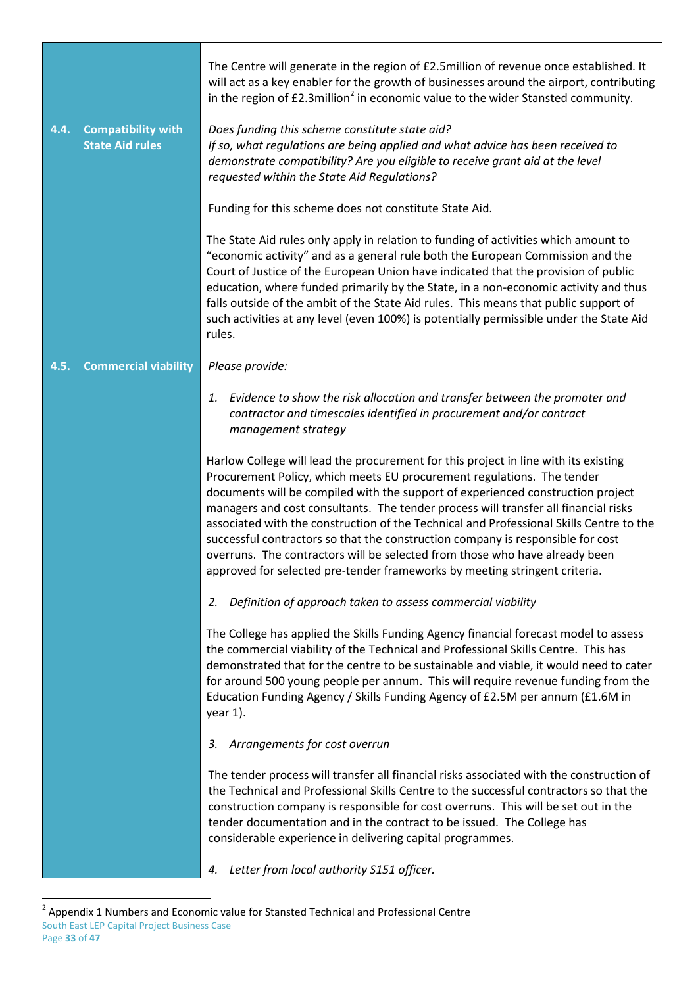|      |                                                     | The Centre will generate in the region of £2.5million of revenue once established. It<br>will act as a key enabler for the growth of businesses around the airport, contributing<br>in the region of £2.3million <sup>2</sup> in economic value to the wider Stansted community.                                                                                                                                                                                                                                                                                                                                                                                                   |
|------|-----------------------------------------------------|------------------------------------------------------------------------------------------------------------------------------------------------------------------------------------------------------------------------------------------------------------------------------------------------------------------------------------------------------------------------------------------------------------------------------------------------------------------------------------------------------------------------------------------------------------------------------------------------------------------------------------------------------------------------------------|
| 4.4. | <b>Compatibility with</b><br><b>State Aid rules</b> | Does funding this scheme constitute state aid?<br>If so, what regulations are being applied and what advice has been received to<br>demonstrate compatibility? Are you eligible to receive grant aid at the level<br>requested within the State Aid Regulations?                                                                                                                                                                                                                                                                                                                                                                                                                   |
|      |                                                     | Funding for this scheme does not constitute State Aid.                                                                                                                                                                                                                                                                                                                                                                                                                                                                                                                                                                                                                             |
|      |                                                     | The State Aid rules only apply in relation to funding of activities which amount to<br>"economic activity" and as a general rule both the European Commission and the<br>Court of Justice of the European Union have indicated that the provision of public<br>education, where funded primarily by the State, in a non-economic activity and thus<br>falls outside of the ambit of the State Aid rules. This means that public support of<br>such activities at any level (even 100%) is potentially permissible under the State Aid<br>rules.                                                                                                                                    |
| 4.5. | <b>Commercial viability</b>                         | Please provide:                                                                                                                                                                                                                                                                                                                                                                                                                                                                                                                                                                                                                                                                    |
|      |                                                     | Evidence to show the risk allocation and transfer between the promoter and<br>1.<br>contractor and timescales identified in procurement and/or contract<br>management strategy                                                                                                                                                                                                                                                                                                                                                                                                                                                                                                     |
|      |                                                     | Harlow College will lead the procurement for this project in line with its existing<br>Procurement Policy, which meets EU procurement regulations. The tender<br>documents will be compiled with the support of experienced construction project<br>managers and cost consultants. The tender process will transfer all financial risks<br>associated with the construction of the Technical and Professional Skills Centre to the<br>successful contractors so that the construction company is responsible for cost<br>overruns. The contractors will be selected from those who have already been<br>approved for selected pre-tender frameworks by meeting stringent criteria. |
|      |                                                     | Definition of approach taken to assess commercial viability<br>2.                                                                                                                                                                                                                                                                                                                                                                                                                                                                                                                                                                                                                  |
|      |                                                     | The College has applied the Skills Funding Agency financial forecast model to assess<br>the commercial viability of the Technical and Professional Skills Centre. This has<br>demonstrated that for the centre to be sustainable and viable, it would need to cater<br>for around 500 young people per annum. This will require revenue funding from the<br>Education Funding Agency / Skills Funding Agency of £2.5M per annum (£1.6M in<br>year 1).                                                                                                                                                                                                                              |
|      |                                                     | Arrangements for cost overrun<br>3.                                                                                                                                                                                                                                                                                                                                                                                                                                                                                                                                                                                                                                                |
|      |                                                     | The tender process will transfer all financial risks associated with the construction of<br>the Technical and Professional Skills Centre to the successful contractors so that the<br>construction company is responsible for cost overruns. This will be set out in the<br>tender documentation and in the contract to be issued. The College has<br>considerable experience in delivering capital programmes.                                                                                                                                                                                                                                                                    |
|      |                                                     | Letter from local authority S151 officer.<br>4.                                                                                                                                                                                                                                                                                                                                                                                                                                                                                                                                                                                                                                    |

South East LEP Capital Project Business Case Page **33** of **47** 2 Appendix 1 Numbers and Economic value for Stansted Technical and Professional Centre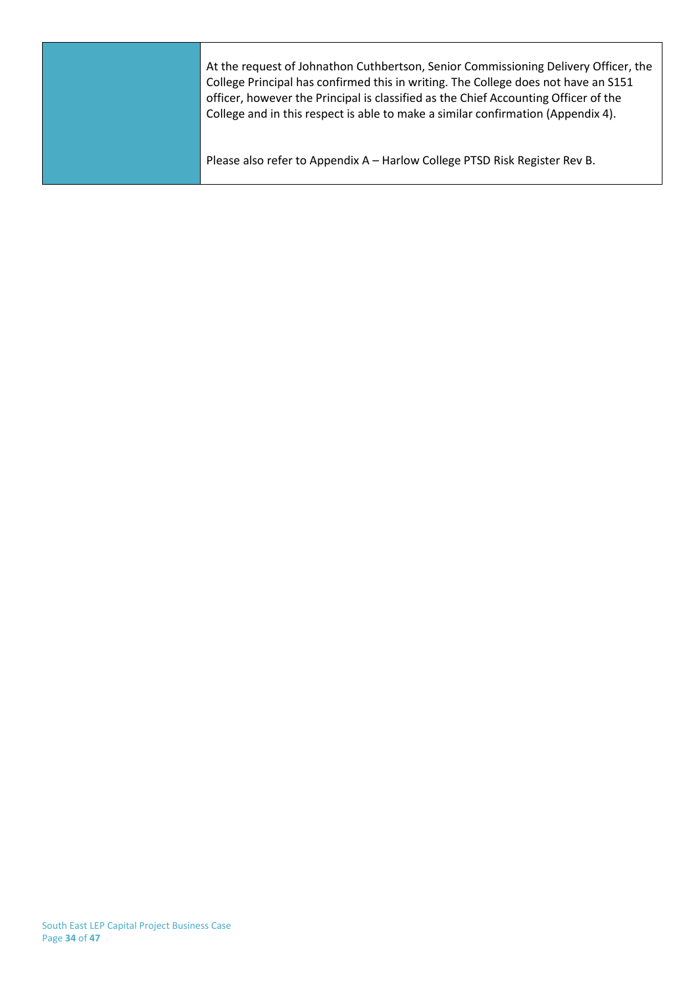| At the request of Johnathon Cuthbertson, Senior Commissioning Delivery Officer, the<br>College Principal has confirmed this in writing. The College does not have an S151<br>officer, however the Principal is classified as the Chief Accounting Officer of the<br>College and in this respect is able to make a similar confirmation (Appendix 4). |
|------------------------------------------------------------------------------------------------------------------------------------------------------------------------------------------------------------------------------------------------------------------------------------------------------------------------------------------------------|
| Please also refer to Appendix A - Harlow College PTSD Risk Register Rev B.                                                                                                                                                                                                                                                                           |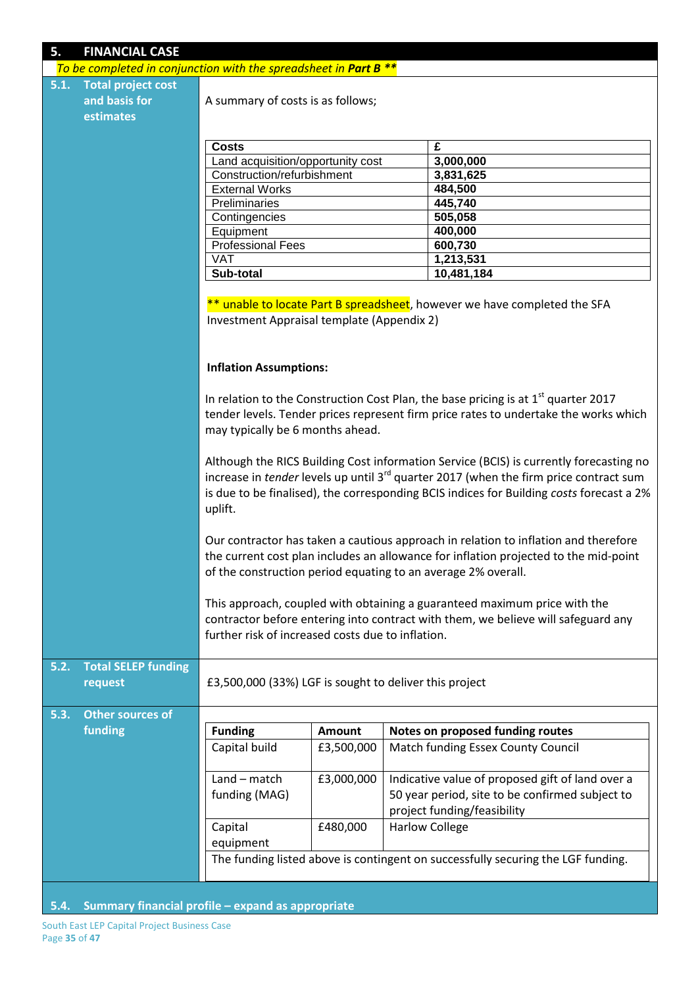| 5.<br><b>FINANCIAL CASE</b>                                      |                                                                                                                                                                                                                                                                                                    |                                   |                       |                                                                                                                                                                              |  |  |  |
|------------------------------------------------------------------|----------------------------------------------------------------------------------------------------------------------------------------------------------------------------------------------------------------------------------------------------------------------------------------------------|-----------------------------------|-----------------------|------------------------------------------------------------------------------------------------------------------------------------------------------------------------------|--|--|--|
| To be completed in conjunction with the spreadsheet in Part B ** |                                                                                                                                                                                                                                                                                                    |                                   |                       |                                                                                                                                                                              |  |  |  |
| <b>Total project cost</b><br>5.1.                                |                                                                                                                                                                                                                                                                                                    |                                   |                       |                                                                                                                                                                              |  |  |  |
| and basis for                                                    |                                                                                                                                                                                                                                                                                                    | A summary of costs is as follows; |                       |                                                                                                                                                                              |  |  |  |
| estimates                                                        |                                                                                                                                                                                                                                                                                                    |                                   |                       |                                                                                                                                                                              |  |  |  |
|                                                                  |                                                                                                                                                                                                                                                                                                    |                                   |                       |                                                                                                                                                                              |  |  |  |
|                                                                  | <b>Costs</b>                                                                                                                                                                                                                                                                                       |                                   |                       | £                                                                                                                                                                            |  |  |  |
|                                                                  | Land acquisition/opportunity cost                                                                                                                                                                                                                                                                  |                                   |                       | 3,000,000                                                                                                                                                                    |  |  |  |
|                                                                  | Construction/refurbishment                                                                                                                                                                                                                                                                         |                                   |                       | 3,831,625                                                                                                                                                                    |  |  |  |
|                                                                  | <b>External Works</b>                                                                                                                                                                                                                                                                              |                                   |                       | 484,500                                                                                                                                                                      |  |  |  |
|                                                                  | Preliminaries                                                                                                                                                                                                                                                                                      |                                   |                       | 445,740                                                                                                                                                                      |  |  |  |
|                                                                  | Contingencies                                                                                                                                                                                                                                                                                      |                                   |                       | 505,058                                                                                                                                                                      |  |  |  |
|                                                                  | Equipment                                                                                                                                                                                                                                                                                          |                                   |                       | 400,000                                                                                                                                                                      |  |  |  |
|                                                                  | <b>Professional Fees</b>                                                                                                                                                                                                                                                                           |                                   |                       | 600,730                                                                                                                                                                      |  |  |  |
|                                                                  | <b>VAT</b>                                                                                                                                                                                                                                                                                         |                                   |                       | 1,213,531                                                                                                                                                                    |  |  |  |
|                                                                  | Sub-total                                                                                                                                                                                                                                                                                          |                                   |                       | 10,481,184                                                                                                                                                                   |  |  |  |
|                                                                  | Investment Appraisal template (Appendix 2)                                                                                                                                                                                                                                                         |                                   |                       | ** unable to locate Part B spreadsheet, however we have completed the SFA                                                                                                    |  |  |  |
|                                                                  | <b>Inflation Assumptions:</b>                                                                                                                                                                                                                                                                      |                                   |                       |                                                                                                                                                                              |  |  |  |
|                                                                  | may typically be 6 months ahead.                                                                                                                                                                                                                                                                   |                                   |                       | In relation to the Construction Cost Plan, the base pricing is at $1st$ quarter 2017<br>tender levels. Tender prices represent firm price rates to undertake the works which |  |  |  |
|                                                                  | Although the RICS Building Cost information Service (BCIS) is currently forecasting no<br>increase in tender levels up until 3 <sup>rd</sup> quarter 2017 (when the firm price contract sum<br>is due to be finalised), the corresponding BCIS indices for Building costs forecast a 2%<br>uplift. |                                   |                       |                                                                                                                                                                              |  |  |  |
|                                                                  | Our contractor has taken a cautious approach in relation to inflation and therefore<br>the current cost plan includes an allowance for inflation projected to the mid-point<br>of the construction period equating to an average 2% overall.                                                       |                                   |                       |                                                                                                                                                                              |  |  |  |
|                                                                  | This approach, coupled with obtaining a guaranteed maximum price with the<br>contractor before entering into contract with them, we believe will safeguard any<br>further risk of increased costs due to inflation.                                                                                |                                   |                       |                                                                                                                                                                              |  |  |  |
| 5.2.<br><b>Total SELEP funding</b><br>request                    | £3,500,000 (33%) LGF is sought to deliver this project                                                                                                                                                                                                                                             |                                   |                       |                                                                                                                                                                              |  |  |  |
| <b>Other sources of</b><br>5.3.                                  |                                                                                                                                                                                                                                                                                                    |                                   |                       |                                                                                                                                                                              |  |  |  |
| funding                                                          | <b>Funding</b>                                                                                                                                                                                                                                                                                     | Amount                            |                       | Notes on proposed funding routes                                                                                                                                             |  |  |  |
|                                                                  | Capital build                                                                                                                                                                                                                                                                                      | £3,500,000                        |                       | Match funding Essex County Council                                                                                                                                           |  |  |  |
|                                                                  |                                                                                                                                                                                                                                                                                                    |                                   |                       |                                                                                                                                                                              |  |  |  |
|                                                                  | $Land - match$                                                                                                                                                                                                                                                                                     | £3,000,000                        |                       | Indicative value of proposed gift of land over a                                                                                                                             |  |  |  |
|                                                                  | funding (MAG)                                                                                                                                                                                                                                                                                      |                                   |                       | 50 year period, site to be confirmed subject to                                                                                                                              |  |  |  |
|                                                                  |                                                                                                                                                                                                                                                                                                    |                                   |                       | project funding/feasibility                                                                                                                                                  |  |  |  |
|                                                                  | Capital                                                                                                                                                                                                                                                                                            | £480,000                          | <b>Harlow College</b> |                                                                                                                                                                              |  |  |  |
|                                                                  | equipment                                                                                                                                                                                                                                                                                          |                                   |                       |                                                                                                                                                                              |  |  |  |
|                                                                  |                                                                                                                                                                                                                                                                                                    |                                   |                       | The funding listed above is contingent on successfully securing the LGF funding.                                                                                             |  |  |  |
| 5.4.                                                             | Summary financial profile - expand as appropriate                                                                                                                                                                                                                                                  |                                   |                       |                                                                                                                                                                              |  |  |  |

South East LEP Capital Project Business Case Page **35** of **47**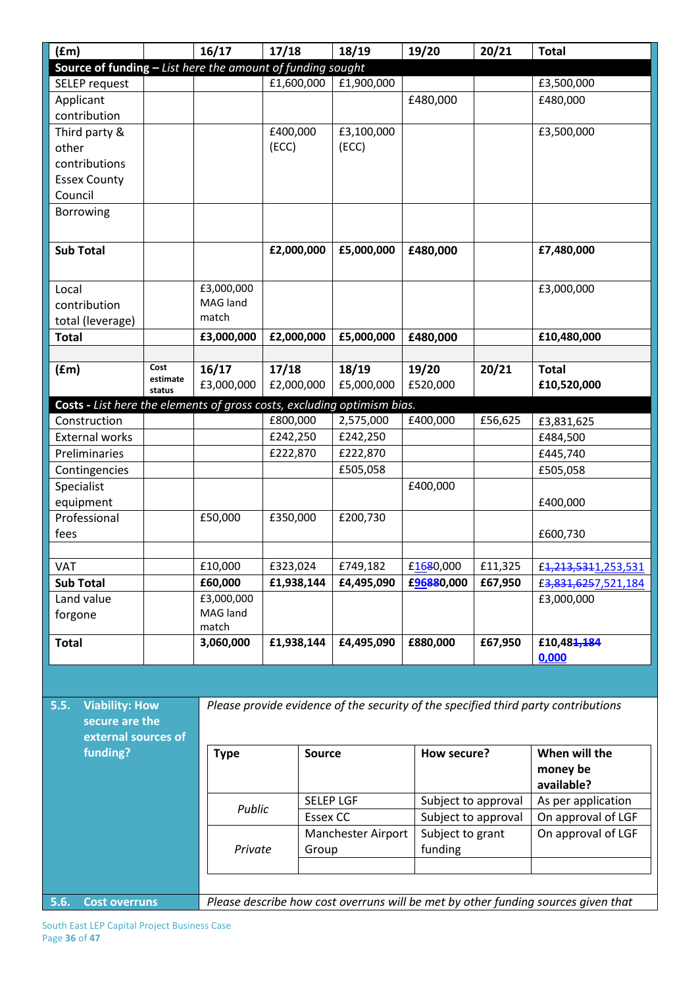| (fm)                                                                                    |          | 16/17                                                                             | 17/18           | 18/19                  | 19/20                   | 20/21   | <b>Total</b>                                                                       |
|-----------------------------------------------------------------------------------------|----------|-----------------------------------------------------------------------------------|-----------------|------------------------|-------------------------|---------|------------------------------------------------------------------------------------|
| Source of funding - List here the amount of funding sought                              |          |                                                                                   |                 |                        |                         |         |                                                                                    |
| SELEP request                                                                           |          |                                                                                   | £1,600,000      | £1,900,000             |                         |         | £3,500,000                                                                         |
| Applicant                                                                               |          |                                                                                   |                 |                        | £480,000                |         | £480,000                                                                           |
| contribution                                                                            |          |                                                                                   |                 |                        |                         |         |                                                                                    |
| Third party &                                                                           |          |                                                                                   | £400,000        | £3,100,000             |                         |         | £3,500,000                                                                         |
| other                                                                                   |          |                                                                                   | (ECC)           | (ECC)                  |                         |         |                                                                                    |
| contributions                                                                           |          |                                                                                   |                 |                        |                         |         |                                                                                    |
| <b>Essex County</b>                                                                     |          |                                                                                   |                 |                        |                         |         |                                                                                    |
| Council                                                                                 |          |                                                                                   |                 |                        |                         |         |                                                                                    |
| Borrowing                                                                               |          |                                                                                   |                 |                        |                         |         |                                                                                    |
|                                                                                         |          |                                                                                   |                 |                        |                         |         |                                                                                    |
| <b>Sub Total</b>                                                                        |          |                                                                                   | £2,000,000      | £5,000,000             | £480,000                |         | £7,480,000                                                                         |
|                                                                                         |          |                                                                                   |                 |                        |                         |         |                                                                                    |
|                                                                                         |          |                                                                                   |                 |                        |                         |         |                                                                                    |
| Local                                                                                   |          | £3,000,000<br>MAG land                                                            |                 |                        |                         |         | £3,000,000                                                                         |
| contribution                                                                            |          | match                                                                             |                 |                        |                         |         |                                                                                    |
| total (leverage)                                                                        |          |                                                                                   |                 |                        |                         |         |                                                                                    |
| <b>Total</b>                                                                            |          | £3,000,000                                                                        | £2,000,000      | £5,000,000             | £480,000                |         | £10,480,000                                                                        |
|                                                                                         | Cost     | 16/17                                                                             | 17/18           | 18/19                  | 19/20                   | 20/21   | <b>Total</b>                                                                       |
| (fm)                                                                                    | estimate | £3,000,000                                                                        | £2,000,000      | £5,000,000             | £520,000                |         | £10,520,000                                                                        |
|                                                                                         | status   |                                                                                   |                 |                        |                         |         |                                                                                    |
| Costs - List here the elements of gross costs, excluding optimism bias.<br>Construction |          |                                                                                   | £800,000        | 2,575,000              | £400,000                | £56,625 |                                                                                    |
| <b>External works</b>                                                                   |          |                                                                                   | £242,250        | £242,250               |                         |         | £3,831,625                                                                         |
| Preliminaries                                                                           |          |                                                                                   | £222,870        | £222,870               |                         |         | £484,500                                                                           |
|                                                                                         |          |                                                                                   |                 |                        |                         |         | £445,740                                                                           |
| Contingencies                                                                           |          |                                                                                   |                 | £505,058               |                         |         | £505,058                                                                           |
| Specialist                                                                              |          |                                                                                   |                 |                        | £400,000                |         |                                                                                    |
| equipment                                                                               |          |                                                                                   |                 |                        |                         |         | £400,000                                                                           |
| Professional                                                                            |          | £50,000                                                                           | £350,000        | £200,730               |                         |         |                                                                                    |
| fees                                                                                    |          |                                                                                   |                 |                        |                         |         | £600,730                                                                           |
| <b>VAT</b>                                                                              |          |                                                                                   | £323,024        |                        |                         |         |                                                                                    |
| <b>Sub Total</b>                                                                        |          | £10,000<br>£60,000                                                                | £1,938,144      | £749,182<br>£4,495,090 | £1680,000<br>£96880,000 | £11,325 | £4,213,5311,253,531<br>£3,831,6257,521,184                                         |
|                                                                                         |          | £3,000,000                                                                        |                 |                        |                         | £67,950 | £3,000,000                                                                         |
| Land value                                                                              |          | MAG land                                                                          |                 |                        |                         |         |                                                                                    |
| forgone                                                                                 |          | match                                                                             |                 |                        |                         |         |                                                                                    |
| <b>Total</b>                                                                            |          | 3,060,000                                                                         | £1,938,144      | £4,495,090             | £880,000                | £67,950 | £10,48 <del>1,184</del>                                                            |
|                                                                                         |          |                                                                                   |                 |                        |                         |         | 0,000                                                                              |
|                                                                                         |          |                                                                                   |                 |                        |                         |         |                                                                                    |
|                                                                                         |          |                                                                                   |                 |                        |                         |         |                                                                                    |
| <b>Viability: How</b><br>5.5.                                                           |          |                                                                                   |                 |                        |                         |         | Please provide evidence of the security of the specified third party contributions |
| secure are the                                                                          |          |                                                                                   |                 |                        |                         |         |                                                                                    |
| external sources of                                                                     |          |                                                                                   |                 |                        |                         |         |                                                                                    |
| funding?                                                                                |          | <b>Type</b>                                                                       | <b>Source</b>   |                        | How secure?             |         | When will the                                                                      |
|                                                                                         |          |                                                                                   |                 |                        |                         |         | money be                                                                           |
|                                                                                         |          |                                                                                   |                 |                        |                         |         | available?                                                                         |
|                                                                                         |          | Public                                                                            |                 | <b>SELEP LGF</b>       | Subject to approval     |         | As per application                                                                 |
|                                                                                         |          |                                                                                   | <b>Essex CC</b> |                        | Subject to approval     |         | On approval of LGF                                                                 |
|                                                                                         |          |                                                                                   |                 | Manchester Airport     | Subject to grant        |         | On approval of LGF                                                                 |
|                                                                                         |          | Private                                                                           | Group           |                        | funding                 |         |                                                                                    |
|                                                                                         |          |                                                                                   |                 |                        |                         |         |                                                                                    |
|                                                                                         |          |                                                                                   |                 |                        |                         |         |                                                                                    |
| 5.6.<br><b>Cost overruns</b>                                                            |          | Please describe how cost overruns will be met by other funding sources given that |                 |                        |                         |         |                                                                                    |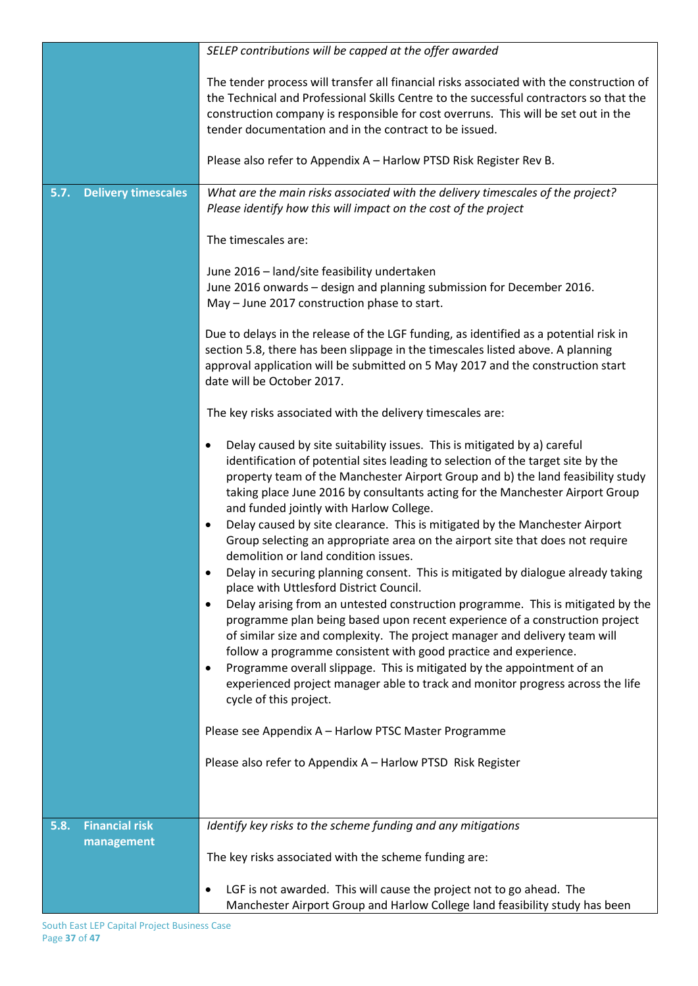|                                             | SELEP contributions will be capped at the offer awarded                                                                                                                                                                                                                                                                                                                                                                                                                                                                                                                                                                                                                      |
|---------------------------------------------|------------------------------------------------------------------------------------------------------------------------------------------------------------------------------------------------------------------------------------------------------------------------------------------------------------------------------------------------------------------------------------------------------------------------------------------------------------------------------------------------------------------------------------------------------------------------------------------------------------------------------------------------------------------------------|
|                                             | The tender process will transfer all financial risks associated with the construction of<br>the Technical and Professional Skills Centre to the successful contractors so that the<br>construction company is responsible for cost overruns. This will be set out in the<br>tender documentation and in the contract to be issued.                                                                                                                                                                                                                                                                                                                                           |
|                                             | Please also refer to Appendix A - Harlow PTSD Risk Register Rev B.                                                                                                                                                                                                                                                                                                                                                                                                                                                                                                                                                                                                           |
| <b>Delivery timescales</b><br>5.7.          | What are the main risks associated with the delivery timescales of the project?<br>Please identify how this will impact on the cost of the project                                                                                                                                                                                                                                                                                                                                                                                                                                                                                                                           |
|                                             | The timescales are:                                                                                                                                                                                                                                                                                                                                                                                                                                                                                                                                                                                                                                                          |
|                                             | June 2016 - land/site feasibility undertaken<br>June 2016 onwards - design and planning submission for December 2016.<br>May - June 2017 construction phase to start.                                                                                                                                                                                                                                                                                                                                                                                                                                                                                                        |
|                                             | Due to delays in the release of the LGF funding, as identified as a potential risk in<br>section 5.8, there has been slippage in the timescales listed above. A planning<br>approval application will be submitted on 5 May 2017 and the construction start<br>date will be October 2017.                                                                                                                                                                                                                                                                                                                                                                                    |
|                                             | The key risks associated with the delivery timescales are:                                                                                                                                                                                                                                                                                                                                                                                                                                                                                                                                                                                                                   |
|                                             | Delay caused by site suitability issues. This is mitigated by a) careful<br>$\bullet$<br>identification of potential sites leading to selection of the target site by the<br>property team of the Manchester Airport Group and b) the land feasibility study<br>taking place June 2016 by consultants acting for the Manchester Airport Group<br>and funded jointly with Harlow College.                                                                                                                                                                                                                                                                                     |
|                                             | Delay caused by site clearance. This is mitigated by the Manchester Airport<br>Group selecting an appropriate area on the airport site that does not require<br>demolition or land condition issues.                                                                                                                                                                                                                                                                                                                                                                                                                                                                         |
|                                             | Delay in securing planning consent. This is mitigated by dialogue already taking<br>$\bullet$<br>place with Uttlesford District Council.<br>Delay arising from an untested construction programme. This is mitigated by the<br>$\bullet$<br>programme plan being based upon recent experience of a construction project<br>of similar size and complexity. The project manager and delivery team will<br>follow a programme consistent with good practice and experience.<br>Programme overall slippage. This is mitigated by the appointment of an<br>$\bullet$<br>experienced project manager able to track and monitor progress across the life<br>cycle of this project. |
|                                             | Please see Appendix A - Harlow PTSC Master Programme                                                                                                                                                                                                                                                                                                                                                                                                                                                                                                                                                                                                                         |
|                                             | Please also refer to Appendix A - Harlow PTSD Risk Register                                                                                                                                                                                                                                                                                                                                                                                                                                                                                                                                                                                                                  |
|                                             |                                                                                                                                                                                                                                                                                                                                                                                                                                                                                                                                                                                                                                                                              |
| <b>Financial risk</b><br>5.8.<br>management | Identify key risks to the scheme funding and any mitigations                                                                                                                                                                                                                                                                                                                                                                                                                                                                                                                                                                                                                 |
|                                             | The key risks associated with the scheme funding are:                                                                                                                                                                                                                                                                                                                                                                                                                                                                                                                                                                                                                        |
|                                             | LGF is not awarded. This will cause the project not to go ahead. The<br>Manchester Airport Group and Harlow College land feasibility study has been                                                                                                                                                                                                                                                                                                                                                                                                                                                                                                                          |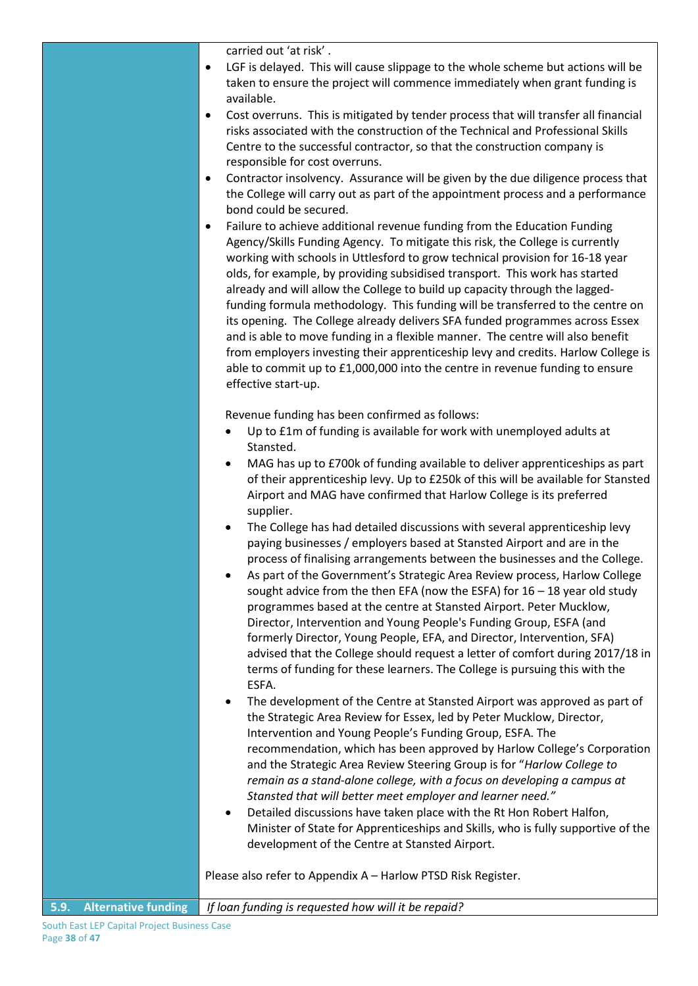carried out 'at risk' .

- LGF is delayed. This will cause slippage to the whole scheme but actions will be taken to ensure the project will commence immediately when grant funding is available.
- Cost overruns. This is mitigated by tender process that will transfer all financial risks associated with the construction of the Technical and Professional Skills Centre to the successful contractor, so that the construction company is responsible for cost overruns.
- Contractor insolvency. Assurance will be given by the due diligence process that the College will carry out as part of the appointment process and a performance bond could be secured.
- Failure to achieve additional revenue funding from the Education Funding Agency/Skills Funding Agency. To mitigate this risk, the College is currently working with schools in Uttlesford to grow technical provision for 16-18 year olds, for example, by providing subsidised transport. This work has started already and will allow the College to build up capacity through the laggedfunding formula methodology. This funding will be transferred to the centre on its opening. The College already delivers SFA funded programmes across Essex and is able to move funding in a flexible manner. The centre will also benefit from employers investing their apprenticeship levy and credits. Harlow College is able to commit up to £1,000,000 into the centre in revenue funding to ensure effective start-up.

Revenue funding has been confirmed as follows:

- Up to £1m of funding is available for work with unemployed adults at Stansted.
- MAG has up to £700k of funding available to deliver apprenticeships as part of their apprenticeship levy. Up to £250k of this will be available for Stansted Airport and MAG have confirmed that Harlow College is its preferred supplier.
- The College has had detailed discussions with several apprenticeship levy paying businesses / employers based at Stansted Airport and are in the process of finalising arrangements between the businesses and the College.
- As part of the Government's Strategic Area Review process, Harlow College sought advice from the then EFA (now the ESFA) for 16 – 18 year old study programmes based at the centre at Stansted Airport. Peter Mucklow, Director, Intervention and Young People's Funding Group, ESFA (and formerly Director, Young People, EFA, and Director, Intervention, SFA) advised that the College should request a letter of comfort during 2017/18 in terms of funding for these learners. The College is pursuing this with the ESFA.
- The development of the Centre at Stansted Airport was approved as part of the Strategic Area Review for Essex, led by Peter Mucklow, Director, Intervention and Young People's Funding Group, ESFA. The recommendation, which has been approved by Harlow College's Corporation and the Strategic Area Review Steering Group is for "*Harlow College to remain as a stand-alone college, with a focus on developing a campus at Stansted that will better meet employer and learner need."*
- Detailed discussions have taken place with the Rt Hon Robert Halfon, Minister of State for Apprenticeships and Skills, who is fully supportive of the development of the Centre at Stansted Airport.

Please also refer to Appendix A – Harlow PTSD Risk Register.

**5.9. Alternative funding** *If loan funding is requested how will it be repaid?*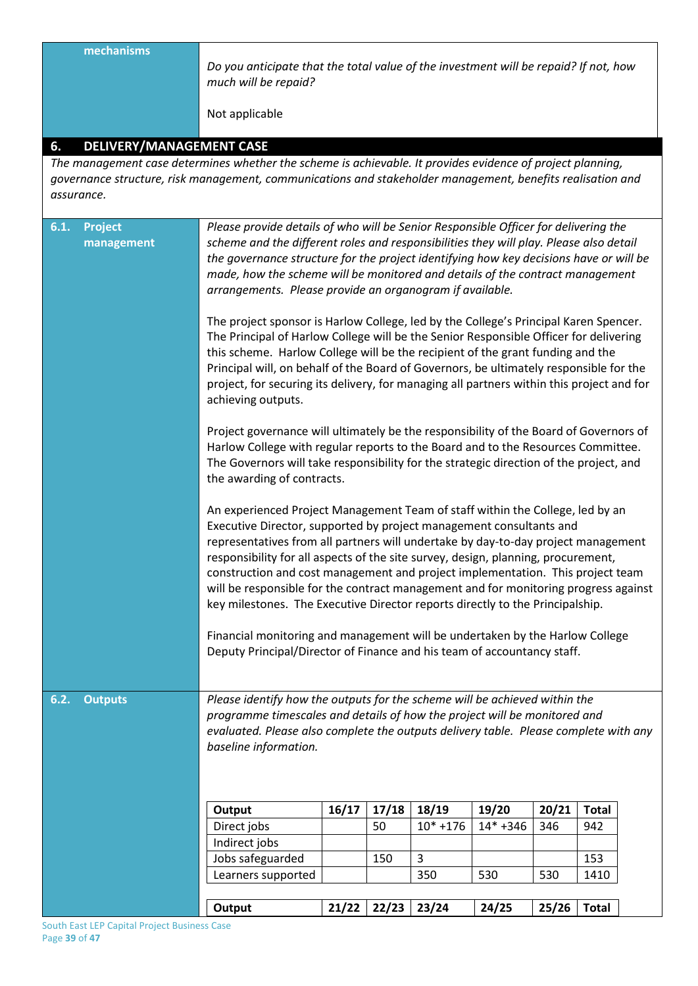**mechanisms** *Do you anticipate that the total value of the investment will be repaid? If not, how much will be repaid?* Not applicable **6. DELIVERY/MANAGEMENT CASE** *The management case determines whether the scheme is achievable. It provides evidence of project planning, governance structure, risk management, communications and stakeholder management, benefits realisation and assurance.* **6.1. Project management**  *Please provide details of who will be Senior Responsible Officer for delivering the scheme and the different roles and responsibilities they will play. Please also detail the governance structure for the project identifying how key decisions have or will be made, how the scheme will be monitored and details of the contract management arrangements. Please provide an organogram if available.* The project sponsor is Harlow College, led by the College's Principal Karen Spencer. The Principal of Harlow College will be the Senior Responsible Officer for delivering this scheme. Harlow College will be the recipient of the grant funding and the Principal will, on behalf of the Board of Governors, be ultimately responsible for the project, for securing its delivery, for managing all partners within this project and for achieving outputs. Project governance will ultimately be the responsibility of the Board of Governors of Harlow College with regular reports to the Board and to the Resources Committee. The Governors will take responsibility for the strategic direction of the project, and the awarding of contracts. An experienced Project Management Team of staff within the College, led by an Executive Director, supported by project management consultants and representatives from all partners will undertake by day-to-day project management responsibility for all aspects of the site survey, design, planning, procurement, construction and cost management and project implementation. This project team will be responsible for the contract management and for monitoring progress against key milestones. The Executive Director reports directly to the Principalship. Financial monitoring and management will be undertaken by the Harlow College Deputy Principal/Director of Finance and his team of accountancy staff. **6.2. Outputs** *Please identify how the outputs for the scheme will be achieved within the programme timescales and details of how the project will be monitored and evaluated. Please also complete the outputs delivery table. Please complete with any baseline information.* **Output 16/17 17/18 18/19 19/20 20/21 Total** Direct jobs 50 10\* +176 14\* +346 346 942 Indirect jobs Jobs safeguarded  $\begin{vmatrix} 150 & 3 & 153 \end{vmatrix}$  153 Learners supported 350 530 530 1410

**Output 21/22 22/23 23/24 24/25 25/26 Total**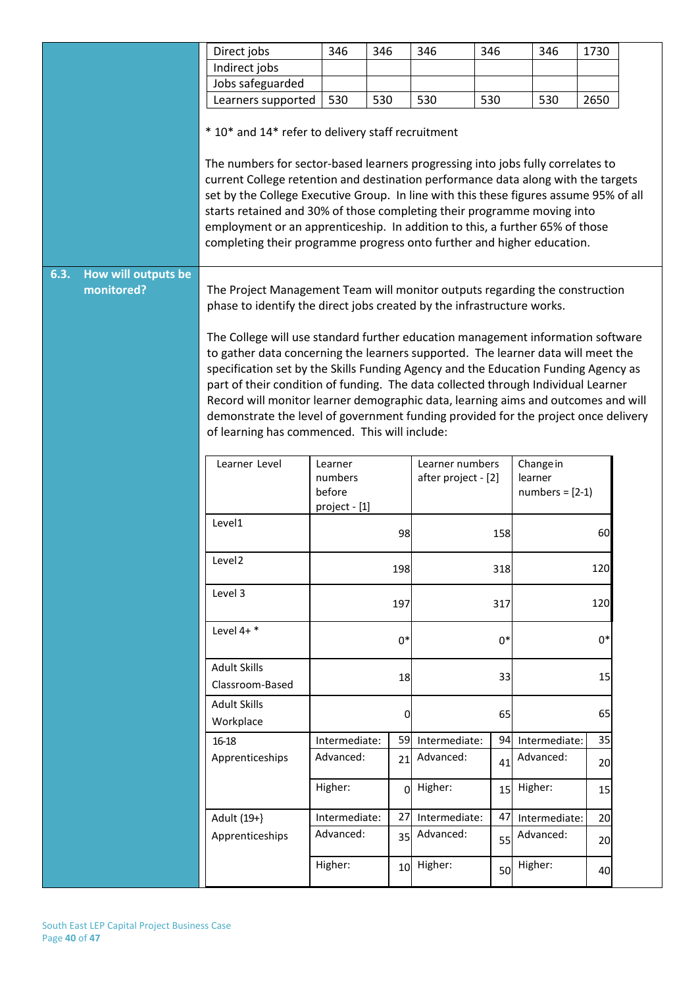|      |                     | Direct jobs                                                                                                                                                                                                                                                                                                                                                                                                                                                                                                                                                                | 346                                                                                                                                  | 346             | 346                        | 346  | 346                        | 1730 |  |
|------|---------------------|----------------------------------------------------------------------------------------------------------------------------------------------------------------------------------------------------------------------------------------------------------------------------------------------------------------------------------------------------------------------------------------------------------------------------------------------------------------------------------------------------------------------------------------------------------------------------|--------------------------------------------------------------------------------------------------------------------------------------|-----------------|----------------------------|------|----------------------------|------|--|
|      |                     | Indirect jobs                                                                                                                                                                                                                                                                                                                                                                                                                                                                                                                                                              |                                                                                                                                      |                 |                            |      |                            |      |  |
|      |                     | Jobs safeguarded                                                                                                                                                                                                                                                                                                                                                                                                                                                                                                                                                           |                                                                                                                                      |                 |                            |      |                            |      |  |
|      |                     | Learners supported                                                                                                                                                                                                                                                                                                                                                                                                                                                                                                                                                         | 530                                                                                                                                  | 530             | 530                        | 530  | 530                        | 2650 |  |
|      |                     | * 10* and 14* refer to delivery staff recruitment                                                                                                                                                                                                                                                                                                                                                                                                                                                                                                                          |                                                                                                                                      |                 |                            |      |                            |      |  |
| 6.3. | How will outputs be | The numbers for sector-based learners progressing into jobs fully correlates to<br>current College retention and destination performance data along with the targets<br>set by the College Executive Group. In line with this these figures assume 95% of all<br>starts retained and 30% of those completing their programme moving into<br>employment or an apprenticeship. In addition to this, a further 65% of those<br>completing their programme progress onto further and higher education.                                                                         |                                                                                                                                      |                 |                            |      |                            |      |  |
|      | monitored?          | The Project Management Team will monitor outputs regarding the construction<br>phase to identify the direct jobs created by the infrastructure works.                                                                                                                                                                                                                                                                                                                                                                                                                      |                                                                                                                                      |                 |                            |      |                            |      |  |
|      |                     | The College will use standard further education management information software<br>to gather data concerning the learners supported. The learner data will meet the<br>specification set by the Skills Funding Agency and the Education Funding Agency as<br>part of their condition of funding. The data collected through Individual Learner<br>Record will monitor learner demographic data, learning aims and outcomes and will<br>demonstrate the level of government funding provided for the project once delivery<br>of learning has commenced. This will include: |                                                                                                                                      |                 |                            |      |                            |      |  |
|      |                     | Learner Level                                                                                                                                                                                                                                                                                                                                                                                                                                                                                                                                                              | Learner numbers<br>Change in<br>Learner<br>numbers<br>after project - [2]<br>learner<br>before<br>$numbers = [2-1]$<br>project - [1] |                 |                            |      |                            |      |  |
|      |                     | Level1                                                                                                                                                                                                                                                                                                                                                                                                                                                                                                                                                                     |                                                                                                                                      | 98              |                            | 158  |                            | 60   |  |
|      |                     | Level <sub>2</sub>                                                                                                                                                                                                                                                                                                                                                                                                                                                                                                                                                         |                                                                                                                                      | 198             |                            | 318  |                            | 120  |  |
|      |                     | Level 3                                                                                                                                                                                                                                                                                                                                                                                                                                                                                                                                                                    |                                                                                                                                      | 197             |                            | 317  |                            | 120  |  |
|      |                     | Level $4+$ *                                                                                                                                                                                                                                                                                                                                                                                                                                                                                                                                                               |                                                                                                                                      | $0*$            |                            | $0*$ |                            | $0*$ |  |
|      |                     | <b>Adult Skills</b><br>Classroom-Based                                                                                                                                                                                                                                                                                                                                                                                                                                                                                                                                     |                                                                                                                                      | 18              |                            | 33   |                            | 15   |  |
|      |                     | <b>Adult Skills</b>                                                                                                                                                                                                                                                                                                                                                                                                                                                                                                                                                        |                                                                                                                                      |                 |                            |      |                            |      |  |
|      |                     | Workplace                                                                                                                                                                                                                                                                                                                                                                                                                                                                                                                                                                  |                                                                                                                                      | 0               |                            | 65   |                            | 65   |  |
|      |                     |                                                                                                                                                                                                                                                                                                                                                                                                                                                                                                                                                                            |                                                                                                                                      | 59              |                            | 94   |                            | 35   |  |
|      |                     | 16-18                                                                                                                                                                                                                                                                                                                                                                                                                                                                                                                                                                      | Intermediate:<br>Advanced:                                                                                                           |                 | Intermediate:<br>Advanced: |      | Intermediate:<br>Advanced: |      |  |
|      |                     | Apprenticeships                                                                                                                                                                                                                                                                                                                                                                                                                                                                                                                                                            |                                                                                                                                      | 21              |                            | 41   |                            | 20   |  |
|      |                     |                                                                                                                                                                                                                                                                                                                                                                                                                                                                                                                                                                            | Higher:                                                                                                                              | ΩI              | Higher:                    | 15   | Higher:                    | 15   |  |
|      |                     | Adult (19+}                                                                                                                                                                                                                                                                                                                                                                                                                                                                                                                                                                | Intermediate:                                                                                                                        | 27              | Intermediate:              | 47   | Intermediate:              | 20   |  |
|      |                     | Apprenticeships                                                                                                                                                                                                                                                                                                                                                                                                                                                                                                                                                            | Advanced:                                                                                                                            | 35              | Advanced:                  | 55   | Advanced:                  | 20   |  |
|      |                     |                                                                                                                                                                                                                                                                                                                                                                                                                                                                                                                                                                            | Higher:                                                                                                                              | 10 <sup>1</sup> | Higher:                    | 50   | Higher:                    | 40   |  |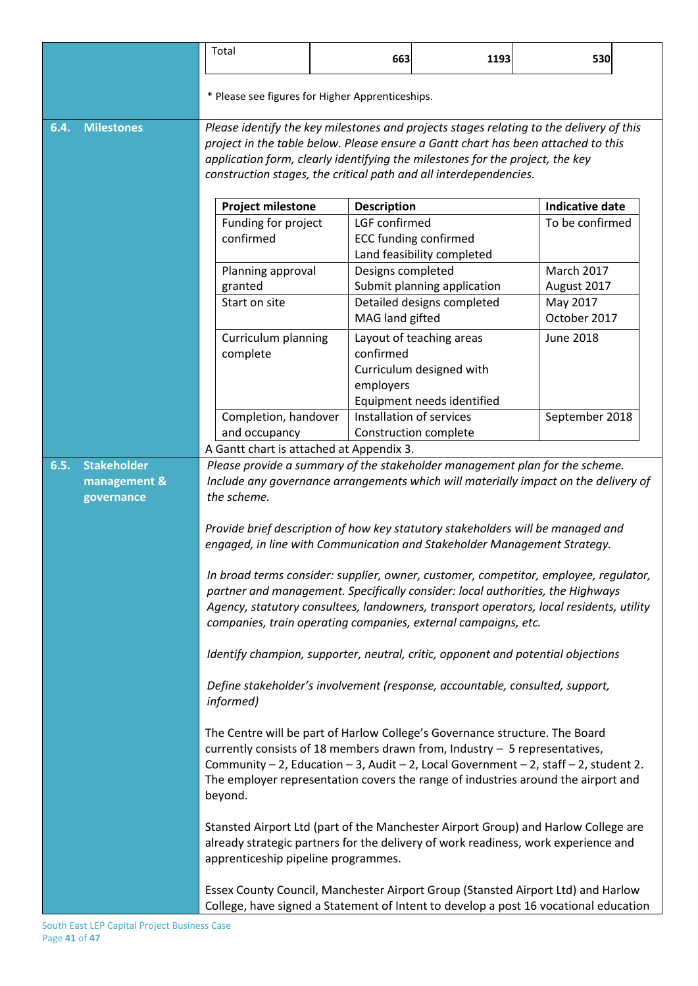|      |                            | Total                                                                                                                                                                    | 663                                                                                  | 1193                         | 530                      |  |
|------|----------------------------|--------------------------------------------------------------------------------------------------------------------------------------------------------------------------|--------------------------------------------------------------------------------------|------------------------------|--------------------------|--|
|      |                            |                                                                                                                                                                          |                                                                                      |                              |                          |  |
|      |                            | * Please see figures for Higher Apprenticeships.                                                                                                                         |                                                                                      |                              |                          |  |
| 6.4. | <b>Milestones</b>          | Please identify the key milestones and projects stages relating to the delivery of this                                                                                  |                                                                                      |                              |                          |  |
|      |                            | project in the table below. Please ensure a Gantt chart has been attached to this<br>application form, clearly identifying the milestones for the project, the key       |                                                                                      |                              |                          |  |
|      |                            | construction stages, the critical path and all interdependencies.                                                                                                        |                                                                                      |                              |                          |  |
|      |                            | <b>Project milestone</b><br><b>Description</b>                                                                                                                           |                                                                                      | <b>Indicative date</b>       |                          |  |
|      |                            | Funding for project                                                                                                                                                      | LGF confirmed                                                                        |                              | To be confirmed          |  |
|      |                            | confirmed                                                                                                                                                                |                                                                                      | <b>ECC funding confirmed</b> |                          |  |
|      |                            |                                                                                                                                                                          |                                                                                      | Land feasibility completed   |                          |  |
|      |                            | Planning approval                                                                                                                                                        | Designs completed                                                                    |                              | <b>March 2017</b>        |  |
|      |                            | granted                                                                                                                                                                  |                                                                                      | Submit planning application  | August 2017              |  |
|      |                            | Start on site                                                                                                                                                            | MAG land gifted                                                                      | Detailed designs completed   | May 2017<br>October 2017 |  |
|      |                            |                                                                                                                                                                          |                                                                                      |                              |                          |  |
|      |                            | Curriculum planning<br>complete                                                                                                                                          | confirmed                                                                            | Layout of teaching areas     | June 2018                |  |
|      |                            |                                                                                                                                                                          |                                                                                      | Curriculum designed with     |                          |  |
|      |                            |                                                                                                                                                                          | employers                                                                            |                              |                          |  |
|      |                            |                                                                                                                                                                          |                                                                                      | Equipment needs identified   |                          |  |
|      |                            | Completion, handover                                                                                                                                                     |                                                                                      | Installation of services     | September 2018           |  |
|      |                            | and occupancy                                                                                                                                                            |                                                                                      | Construction complete        |                          |  |
|      |                            |                                                                                                                                                                          | A Gantt chart is attached at Appendix 3.                                             |                              |                          |  |
| 6.5. | <b>Stakeholder</b>         | Please provide a summary of the stakeholder management plan for the scheme.                                                                                              |                                                                                      |                              |                          |  |
|      | management &<br>governance | Include any governance arrangements which will materially impact on the delivery of<br>the scheme.                                                                       |                                                                                      |                              |                          |  |
|      |                            |                                                                                                                                                                          |                                                                                      |                              |                          |  |
|      |                            | Provide brief description of how key statutory stakeholders will be managed and                                                                                          |                                                                                      |                              |                          |  |
|      |                            | engaged, in line with Communication and Stakeholder Management Strategy.                                                                                                 |                                                                                      |                              |                          |  |
|      |                            | In broad terms consider: supplier, owner, customer, competitor, employee, regulator,                                                                                     |                                                                                      |                              |                          |  |
|      |                            | partner and management. Specifically consider: local authorities, the Highways                                                                                           |                                                                                      |                              |                          |  |
|      |                            | Agency, statutory consultees, landowners, transport operators, local residents, utility                                                                                  |                                                                                      |                              |                          |  |
|      |                            | companies, train operating companies, external campaigns, etc.                                                                                                           |                                                                                      |                              |                          |  |
|      |                            | Identify champion, supporter, neutral, critic, opponent and potential objections                                                                                         |                                                                                      |                              |                          |  |
|      |                            | Define stakeholder's involvement (response, accountable, consulted, support,<br>informed)                                                                                |                                                                                      |                              |                          |  |
|      |                            |                                                                                                                                                                          |                                                                                      |                              |                          |  |
|      |                            |                                                                                                                                                                          | The Centre will be part of Harlow College's Governance structure. The Board          |                              |                          |  |
|      |                            |                                                                                                                                                                          | currently consists of 18 members drawn from, Industry $-5$ representatives,          |                              |                          |  |
|      |                            |                                                                                                                                                                          | Community - 2, Education - 3, Audit - 2, Local Government - 2, staff - 2, student 2. |                              |                          |  |
|      |                            | The employer representation covers the range of industries around the airport and<br>beyond.                                                                             |                                                                                      |                              |                          |  |
|      |                            |                                                                                                                                                                          |                                                                                      |                              |                          |  |
|      |                            | Stansted Airport Ltd (part of the Manchester Airport Group) and Harlow College are<br>already strategic partners for the delivery of work readiness, work experience and |                                                                                      |                              |                          |  |
|      |                            | apprenticeship pipeline programmes.                                                                                                                                      |                                                                                      |                              |                          |  |
|      |                            | Essex County Council, Manchester Airport Group (Stansted Airport Ltd) and Harlow<br>College, have signed a Statement of Intent to develop a post 16 vocational education |                                                                                      |                              |                          |  |
|      |                            |                                                                                                                                                                          |                                                                                      |                              |                          |  |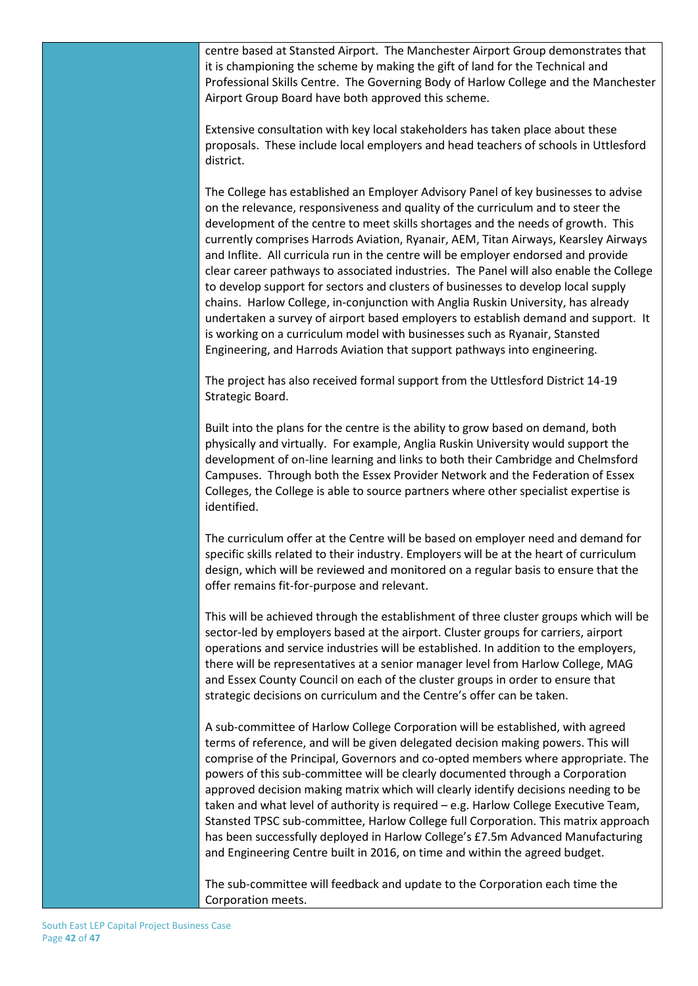centre based at Stansted Airport. The Manchester Airport Group demonstrates that it is championing the scheme by making the gift of land for the Technical and Professional Skills Centre. The Governing Body of Harlow College and the Manchester Airport Group Board have both approved this scheme.

Extensive consultation with key local stakeholders has taken place about these proposals. These include local employers and head teachers of schools in Uttlesford district.

The College has established an Employer Advisory Panel of key businesses to advise on the relevance, responsiveness and quality of the curriculum and to steer the development of the centre to meet skills shortages and the needs of growth. This currently comprises Harrods Aviation, Ryanair, AEM, Titan Airways, Kearsley Airways and Inflite. All curricula run in the centre will be employer endorsed and provide clear career pathways to associated industries. The Panel will also enable the College to develop support for sectors and clusters of businesses to develop local supply chains. Harlow College, in-conjunction with Anglia Ruskin University, has already undertaken a survey of airport based employers to establish demand and support. It is working on a curriculum model with businesses such as Ryanair, Stansted Engineering, and Harrods Aviation that support pathways into engineering.

The project has also received formal support from the Uttlesford District 14-19 Strategic Board.

Built into the plans for the centre is the ability to grow based on demand, both physically and virtually. For example, Anglia Ruskin University would support the development of on-line learning and links to both their Cambridge and Chelmsford Campuses. Through both the Essex Provider Network and the Federation of Essex Colleges, the College is able to source partners where other specialist expertise is identified.

The curriculum offer at the Centre will be based on employer need and demand for specific skills related to their industry. Employers will be at the heart of curriculum design, which will be reviewed and monitored on a regular basis to ensure that the offer remains fit-for-purpose and relevant.

This will be achieved through the establishment of three cluster groups which will be sector-led by employers based at the airport. Cluster groups for carriers, airport operations and service industries will be established. In addition to the employers, there will be representatives at a senior manager level from Harlow College, MAG and Essex County Council on each of the cluster groups in order to ensure that strategic decisions on curriculum and the Centre's offer can be taken.

A sub-committee of Harlow College Corporation will be established, with agreed terms of reference, and will be given delegated decision making powers. This will comprise of the Principal, Governors and co-opted members where appropriate. The powers of this sub-committee will be clearly documented through a Corporation approved decision making matrix which will clearly identify decisions needing to be taken and what level of authority is required – e.g. Harlow College Executive Team, Stansted TPSC sub-committee, Harlow College full Corporation. This matrix approach has been successfully deployed in Harlow College's £7.5m Advanced Manufacturing and Engineering Centre built in 2016, on time and within the agreed budget.

The sub-committee will feedback and update to the Corporation each time the Corporation meets.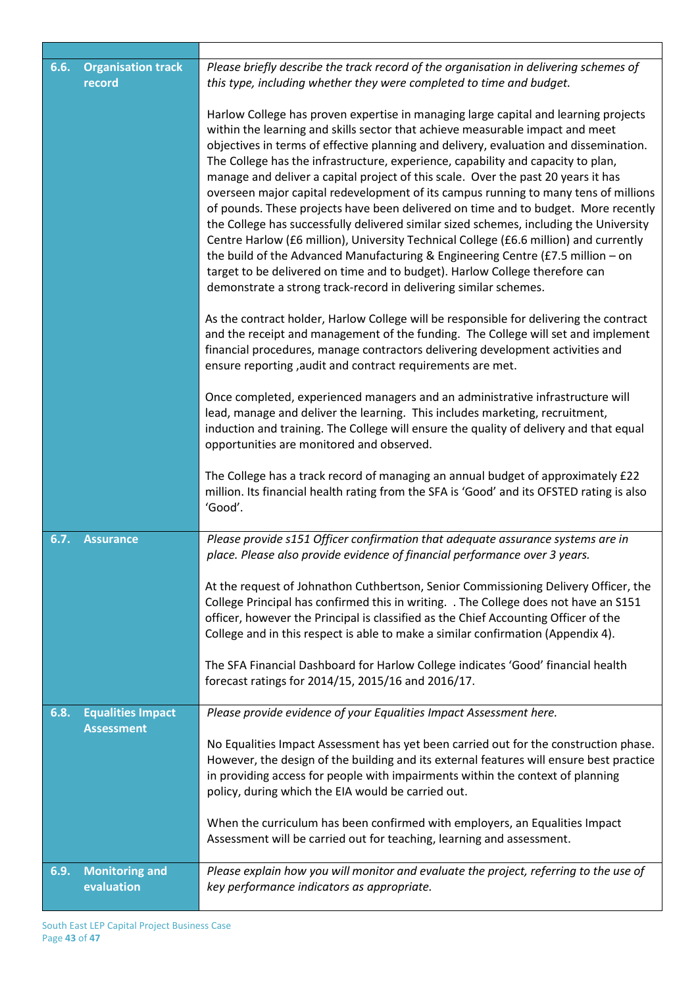| <b>Organisation track</b><br>6.6.<br>record |                                               | Please briefly describe the track record of the organisation in delivering schemes of<br>this type, including whether they were completed to time and budget.<br>Harlow College has proven expertise in managing large capital and learning projects                                                                                                                                                                                                                                                                                                                                                                                                                                                                                                                                                                                                                                                                                                  |  |  |  |
|---------------------------------------------|-----------------------------------------------|-------------------------------------------------------------------------------------------------------------------------------------------------------------------------------------------------------------------------------------------------------------------------------------------------------------------------------------------------------------------------------------------------------------------------------------------------------------------------------------------------------------------------------------------------------------------------------------------------------------------------------------------------------------------------------------------------------------------------------------------------------------------------------------------------------------------------------------------------------------------------------------------------------------------------------------------------------|--|--|--|
|                                             |                                               | within the learning and skills sector that achieve measurable impact and meet<br>objectives in terms of effective planning and delivery, evaluation and dissemination.<br>The College has the infrastructure, experience, capability and capacity to plan,<br>manage and deliver a capital project of this scale. Over the past 20 years it has<br>overseen major capital redevelopment of its campus running to many tens of millions<br>of pounds. These projects have been delivered on time and to budget. More recently<br>the College has successfully delivered similar sized schemes, including the University<br>Centre Harlow (£6 million), University Technical College (£6.6 million) and currently<br>the build of the Advanced Manufacturing & Engineering Centre (£7.5 million – on<br>target to be delivered on time and to budget). Harlow College therefore can<br>demonstrate a strong track-record in delivering similar schemes. |  |  |  |
|                                             |                                               | As the contract holder, Harlow College will be responsible for delivering the contract<br>and the receipt and management of the funding. The College will set and implement<br>financial procedures, manage contractors delivering development activities and<br>ensure reporting, audit and contract requirements are met.                                                                                                                                                                                                                                                                                                                                                                                                                                                                                                                                                                                                                           |  |  |  |
|                                             |                                               | Once completed, experienced managers and an administrative infrastructure will<br>lead, manage and deliver the learning. This includes marketing, recruitment,<br>induction and training. The College will ensure the quality of delivery and that equal<br>opportunities are monitored and observed.                                                                                                                                                                                                                                                                                                                                                                                                                                                                                                                                                                                                                                                 |  |  |  |
|                                             |                                               | The College has a track record of managing an annual budget of approximately £22<br>million. Its financial health rating from the SFA is 'Good' and its OFSTED rating is also<br>'Good'.                                                                                                                                                                                                                                                                                                                                                                                                                                                                                                                                                                                                                                                                                                                                                              |  |  |  |
| 6.7.                                        | <b>Assurance</b>                              | Please provide s151 Officer confirmation that adequate assurance systems are in<br>place. Please also provide evidence of financial performance over 3 years.                                                                                                                                                                                                                                                                                                                                                                                                                                                                                                                                                                                                                                                                                                                                                                                         |  |  |  |
|                                             |                                               | At the request of Johnathon Cuthbertson, Senior Commissioning Delivery Officer, the<br>College Principal has confirmed this in writing. . The College does not have an S151<br>officer, however the Principal is classified as the Chief Accounting Officer of the<br>College and in this respect is able to make a similar confirmation (Appendix 4).                                                                                                                                                                                                                                                                                                                                                                                                                                                                                                                                                                                                |  |  |  |
|                                             |                                               | The SFA Financial Dashboard for Harlow College indicates 'Good' financial health<br>forecast ratings for 2014/15, 2015/16 and 2016/17.                                                                                                                                                                                                                                                                                                                                                                                                                                                                                                                                                                                                                                                                                                                                                                                                                |  |  |  |
| 6.8.                                        | <b>Equalities Impact</b><br><b>Assessment</b> | Please provide evidence of your Equalities Impact Assessment here.                                                                                                                                                                                                                                                                                                                                                                                                                                                                                                                                                                                                                                                                                                                                                                                                                                                                                    |  |  |  |
|                                             |                                               | No Equalities Impact Assessment has yet been carried out for the construction phase.<br>However, the design of the building and its external features will ensure best practice<br>in providing access for people with impairments within the context of planning<br>policy, during which the EIA would be carried out.                                                                                                                                                                                                                                                                                                                                                                                                                                                                                                                                                                                                                               |  |  |  |
|                                             |                                               | When the curriculum has been confirmed with employers, an Equalities Impact<br>Assessment will be carried out for teaching, learning and assessment.                                                                                                                                                                                                                                                                                                                                                                                                                                                                                                                                                                                                                                                                                                                                                                                                  |  |  |  |
| 6.9.                                        | <b>Monitoring and</b><br>evaluation           | Please explain how you will monitor and evaluate the project, referring to the use of<br>key performance indicators as appropriate.                                                                                                                                                                                                                                                                                                                                                                                                                                                                                                                                                                                                                                                                                                                                                                                                                   |  |  |  |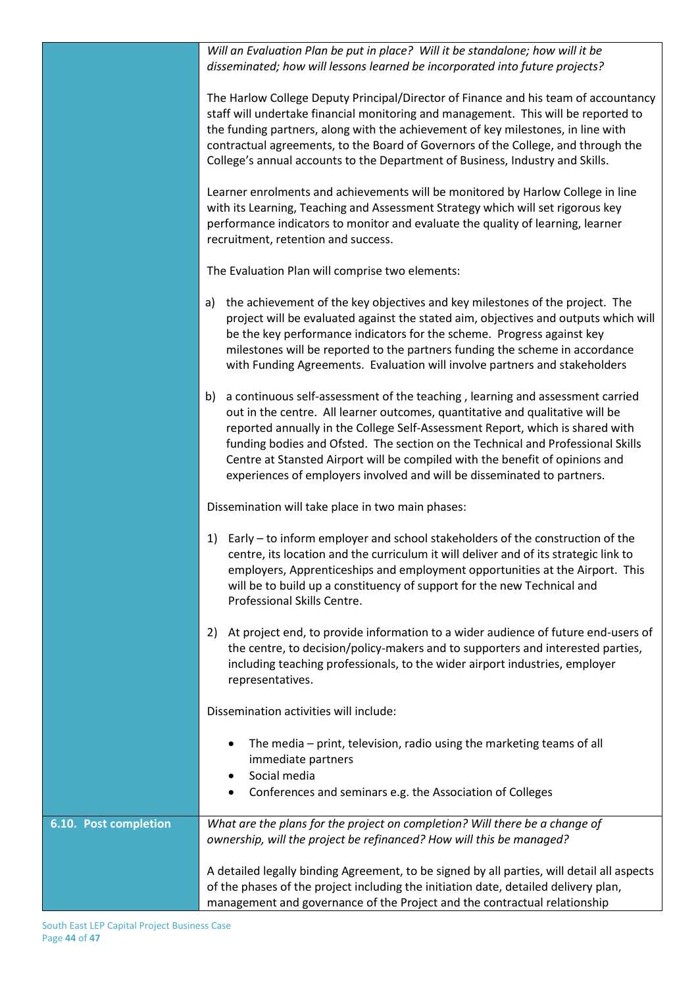|                       | Will an Evaluation Plan be put in place? Will it be standalone; how will it be<br>disseminated; how will lessons learned be incorporated into future projects?                                                                                                                                                                                                                                                                                                                                      |
|-----------------------|-----------------------------------------------------------------------------------------------------------------------------------------------------------------------------------------------------------------------------------------------------------------------------------------------------------------------------------------------------------------------------------------------------------------------------------------------------------------------------------------------------|
|                       | The Harlow College Deputy Principal/Director of Finance and his team of accountancy<br>staff will undertake financial monitoring and management. This will be reported to<br>the funding partners, along with the achievement of key milestones, in line with<br>contractual agreements, to the Board of Governors of the College, and through the<br>College's annual accounts to the Department of Business, Industry and Skills.                                                                 |
|                       | Learner enrolments and achievements will be monitored by Harlow College in line<br>with its Learning, Teaching and Assessment Strategy which will set rigorous key<br>performance indicators to monitor and evaluate the quality of learning, learner<br>recruitment, retention and success.                                                                                                                                                                                                        |
|                       | The Evaluation Plan will comprise two elements:                                                                                                                                                                                                                                                                                                                                                                                                                                                     |
|                       | a) the achievement of the key objectives and key milestones of the project. The<br>project will be evaluated against the stated aim, objectives and outputs which will<br>be the key performance indicators for the scheme. Progress against key<br>milestones will be reported to the partners funding the scheme in accordance<br>with Funding Agreements. Evaluation will involve partners and stakeholders                                                                                      |
|                       | a continuous self-assessment of the teaching, learning and assessment carried<br>b)<br>out in the centre. All learner outcomes, quantitative and qualitative will be<br>reported annually in the College Self-Assessment Report, which is shared with<br>funding bodies and Ofsted. The section on the Technical and Professional Skills<br>Centre at Stansted Airport will be compiled with the benefit of opinions and<br>experiences of employers involved and will be disseminated to partners. |
|                       | Dissemination will take place in two main phases:                                                                                                                                                                                                                                                                                                                                                                                                                                                   |
|                       | Early – to inform employer and school stakeholders of the construction of the<br>1)<br>centre, its location and the curriculum it will deliver and of its strategic link to<br>employers, Apprenticeships and employment opportunities at the Airport. This<br>will be to build up a constituency of support for the new Technical and<br>Professional Skills Centre.                                                                                                                               |
|                       | At project end, to provide information to a wider audience of future end-users of<br>2)<br>the centre, to decision/policy-makers and to supporters and interested parties,<br>including teaching professionals, to the wider airport industries, employer<br>representatives.                                                                                                                                                                                                                       |
|                       | Dissemination activities will include:                                                                                                                                                                                                                                                                                                                                                                                                                                                              |
|                       | The media – print, television, radio using the marketing teams of all<br>immediate partners<br>Social media<br>$\bullet$<br>Conferences and seminars e.g. the Association of Colleges                                                                                                                                                                                                                                                                                                               |
| 6.10. Post completion | What are the plans for the project on completion? Will there be a change of<br>ownership, will the project be refinanced? How will this be managed?                                                                                                                                                                                                                                                                                                                                                 |
|                       | A detailed legally binding Agreement, to be signed by all parties, will detail all aspects<br>of the phases of the project including the initiation date, detailed delivery plan,<br>management and governance of the Project and the contractual relationship                                                                                                                                                                                                                                      |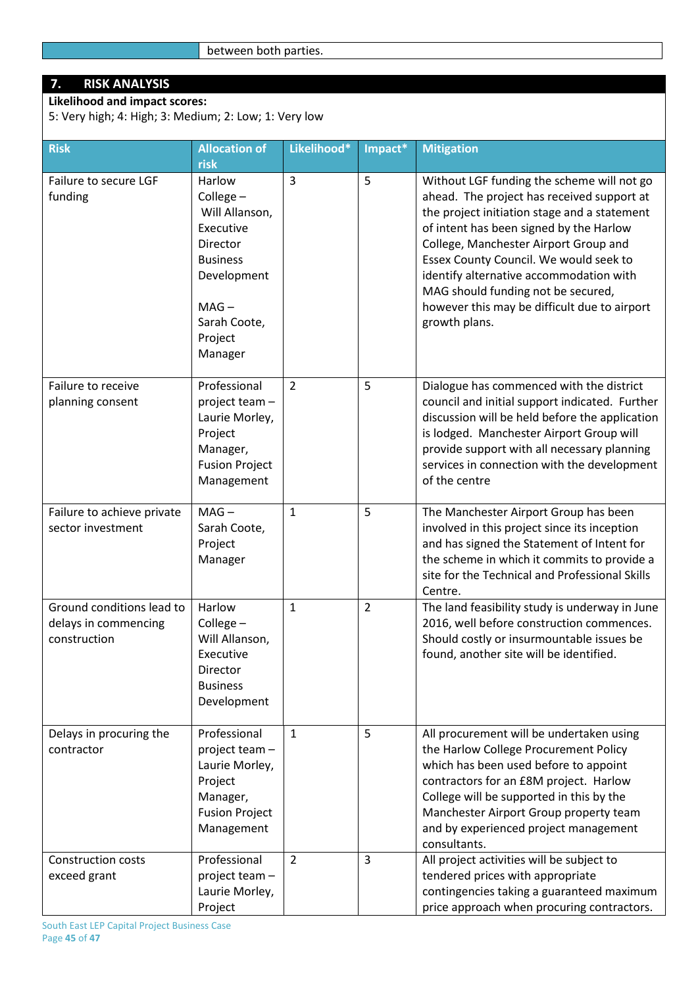# **7. RISK ANALYSIS**

**Likelihood and impact scores:** 5: Very high; 4: High; 3: Medium; 2: Low; 1: Very low

| <b>Risk</b>                                                       | <b>Allocation of</b><br>risk                                                                                                                     | Likelihood*    | Impact*        | <b>Mitigation</b>                                                                                                                                                                                                                                                                                                                                                                                                        |
|-------------------------------------------------------------------|--------------------------------------------------------------------------------------------------------------------------------------------------|----------------|----------------|--------------------------------------------------------------------------------------------------------------------------------------------------------------------------------------------------------------------------------------------------------------------------------------------------------------------------------------------------------------------------------------------------------------------------|
| Failure to secure LGF<br>funding                                  | Harlow<br>College-<br>Will Allanson,<br>Executive<br>Director<br><b>Business</b><br>Development<br>$MAG -$<br>Sarah Coote,<br>Project<br>Manager | 3              | 5              | Without LGF funding the scheme will not go<br>ahead. The project has received support at<br>the project initiation stage and a statement<br>of intent has been signed by the Harlow<br>College, Manchester Airport Group and<br>Essex County Council. We would seek to<br>identify alternative accommodation with<br>MAG should funding not be secured,<br>however this may be difficult due to airport<br>growth plans. |
| Failure to receive<br>planning consent                            | Professional<br>project team -<br>Laurie Morley,<br>Project<br>Manager,<br><b>Fusion Project</b><br>Management                                   | 2              | 5              | Dialogue has commenced with the district<br>council and initial support indicated. Further<br>discussion will be held before the application<br>is lodged. Manchester Airport Group will<br>provide support with all necessary planning<br>services in connection with the development<br>of the centre                                                                                                                  |
| Failure to achieve private<br>sector investment                   | $MAG -$<br>Sarah Coote,<br>Project<br>Manager                                                                                                    | 1              | 5              | The Manchester Airport Group has been<br>involved in this project since its inception<br>and has signed the Statement of Intent for<br>the scheme in which it commits to provide a<br>site for the Technical and Professional Skills<br>Centre.                                                                                                                                                                          |
| Ground conditions lead to<br>delays in commencing<br>construction | Harlow<br>College-<br>Will Allanson,<br>Executive<br>Director<br><b>Business</b><br>Development                                                  | $\mathbf{1}$   | $\overline{2}$ | The land feasibility study is underway in June<br>2016, well before construction commences.<br>Should costly or insurmountable issues be<br>found, another site will be identified.                                                                                                                                                                                                                                      |
| Delays in procuring the<br>contractor                             | Professional<br>project team -<br>Laurie Morley,<br>Project<br>Manager,<br><b>Fusion Project</b><br>Management                                   | $\mathbf{1}$   | 5              | All procurement will be undertaken using<br>the Harlow College Procurement Policy<br>which has been used before to appoint<br>contractors for an £8M project. Harlow<br>College will be supported in this by the<br>Manchester Airport Group property team<br>and by experienced project management<br>consultants.                                                                                                      |
| <b>Construction costs</b><br>exceed grant                         | Professional<br>project team -<br>Laurie Morley,<br>Project                                                                                      | $\overline{2}$ | $\overline{3}$ | All project activities will be subject to<br>tendered prices with appropriate<br>contingencies taking a guaranteed maximum<br>price approach when procuring contractors.                                                                                                                                                                                                                                                 |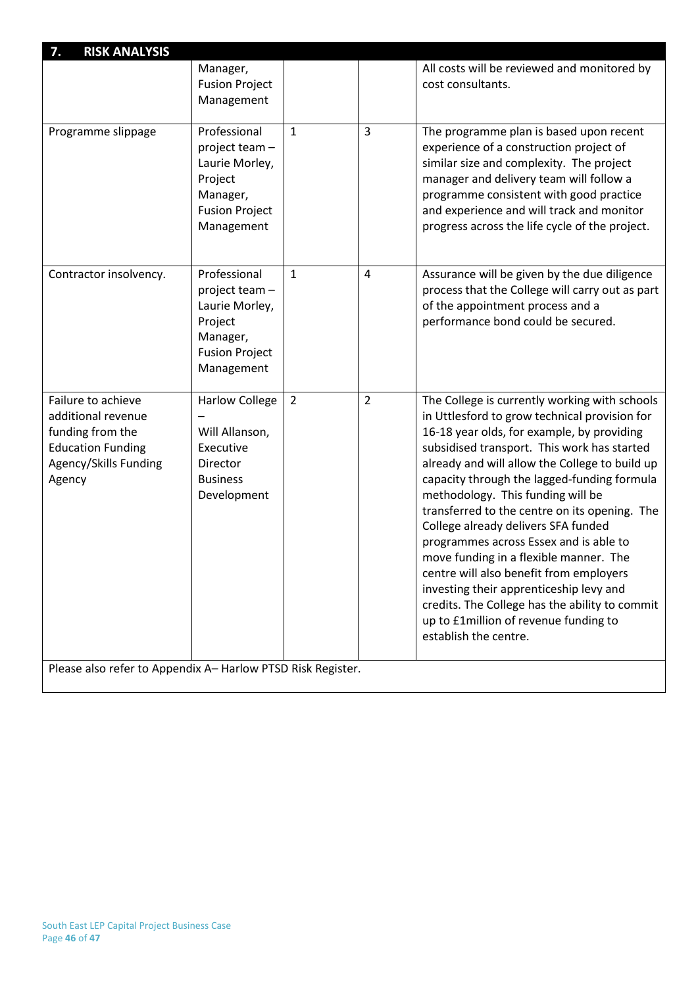| 7.<br><b>RISK ANALYSIS</b>                                                                                                  |                                                                                                                |                |                |                                                                                                                                                                                                                                                                                                                                                                                                                                                                                                                                                                                                                                                                                                                         |
|-----------------------------------------------------------------------------------------------------------------------------|----------------------------------------------------------------------------------------------------------------|----------------|----------------|-------------------------------------------------------------------------------------------------------------------------------------------------------------------------------------------------------------------------------------------------------------------------------------------------------------------------------------------------------------------------------------------------------------------------------------------------------------------------------------------------------------------------------------------------------------------------------------------------------------------------------------------------------------------------------------------------------------------------|
|                                                                                                                             | Manager,                                                                                                       |                |                | All costs will be reviewed and monitored by                                                                                                                                                                                                                                                                                                                                                                                                                                                                                                                                                                                                                                                                             |
|                                                                                                                             | <b>Fusion Project</b>                                                                                          |                |                | cost consultants.                                                                                                                                                                                                                                                                                                                                                                                                                                                                                                                                                                                                                                                                                                       |
|                                                                                                                             | Management                                                                                                     |                |                |                                                                                                                                                                                                                                                                                                                                                                                                                                                                                                                                                                                                                                                                                                                         |
| Programme slippage                                                                                                          | Professional<br>project team -<br>Laurie Morley,<br>Project<br>Manager,<br><b>Fusion Project</b><br>Management | 1              | 3              | The programme plan is based upon recent<br>experience of a construction project of<br>similar size and complexity. The project<br>manager and delivery team will follow a<br>programme consistent with good practice<br>and experience and will track and monitor<br>progress across the life cycle of the project.                                                                                                                                                                                                                                                                                                                                                                                                     |
|                                                                                                                             |                                                                                                                |                |                |                                                                                                                                                                                                                                                                                                                                                                                                                                                                                                                                                                                                                                                                                                                         |
| Contractor insolvency.                                                                                                      | Professional<br>project team -<br>Laurie Morley,<br>Project<br>Manager,<br><b>Fusion Project</b><br>Management | $\mathbf{1}$   | 4              | Assurance will be given by the due diligence<br>process that the College will carry out as part<br>of the appointment process and a<br>performance bond could be secured.                                                                                                                                                                                                                                                                                                                                                                                                                                                                                                                                               |
| Failure to achieve<br>additional revenue<br>funding from the<br><b>Education Funding</b><br>Agency/Skills Funding<br>Agency | <b>Harlow College</b><br>Will Allanson,<br>Executive<br>Director<br><b>Business</b><br>Development             | $\overline{2}$ | $\overline{2}$ | The College is currently working with schools<br>in Uttlesford to grow technical provision for<br>16-18 year olds, for example, by providing<br>subsidised transport. This work has started<br>already and will allow the College to build up<br>capacity through the lagged-funding formula<br>methodology. This funding will be<br>transferred to the centre on its opening. The<br>College already delivers SFA funded<br>programmes across Essex and is able to<br>move funding in a flexible manner. The<br>centre will also benefit from employers<br>investing their apprenticeship levy and<br>credits. The College has the ability to commit<br>up to £1million of revenue funding to<br>establish the centre. |
| Please also refer to Appendix A-Harlow PTSD Risk Register.                                                                  |                                                                                                                |                |                |                                                                                                                                                                                                                                                                                                                                                                                                                                                                                                                                                                                                                                                                                                                         |